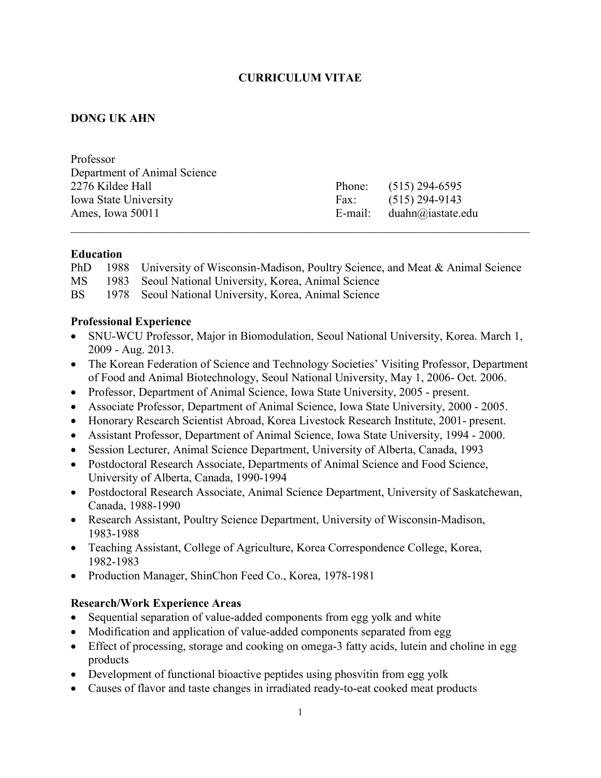## **CURRICULUM VITAE**

## **DONG UK AHN**

| Professor                    |        |                             |
|------------------------------|--------|-----------------------------|
| Department of Animal Science |        |                             |
| 2276 Kildee Hall             | Phone: | $(515)$ 294-6595            |
| <b>Iowa State University</b> | Fax:   | $(515)$ 294-9143            |
| Ames, Iowa 50011             |        | E-mail: $duahn@iastate.edu$ |
|                              |        |                             |

#### **Education**

PhD 1988 University of Wisconsin-Madison, Poultry Science, and Meat & Animal Science

- MS 1983 Seoul National University, Korea, Animal Science
- BS 1978 Seoul National University, Korea, Animal Science

#### **Professional Experience**

- SNU-WCU Professor, Major in Biomodulation, Seoul National University, Korea. March 1, 2009 - Aug. 2013.
- The Korean Federation of Science and Technology Societies' Visiting Professor, Department of Food and Animal Biotechnology, Seoul National University, May 1, 2006- Oct. 2006.
- Professor, Department of Animal Science, Iowa State University, 2005 present.
- Associate Professor, Department of Animal Science, Iowa State University, 2000 2005.
- Honorary Research Scientist Abroad, Korea Livestock Research Institute, 2001- present.
- Assistant Professor, Department of Animal Science, Iowa State University, 1994 2000.
- Session Lecturer, Animal Science Department, University of Alberta, Canada, 1993
- Postdoctoral Research Associate, Departments of Animal Science and Food Science, University of Alberta, Canada, 1990-1994
- Postdoctoral Research Associate, Animal Science Department, University of Saskatchewan, Canada, 1988-1990
- Research Assistant, Poultry Science Department, University of Wisconsin-Madison, 1983-1988
- Teaching Assistant, College of Agriculture, Korea Correspondence College, Korea, 1982-1983
- Production Manager, ShinChon Feed Co., Korea, 1978-1981

## **Research/Work Experience Areas**

- Sequential separation of value-added components from egg yolk and white
- Modification and application of value-added components separated from egg
- Effect of processing, storage and cooking on omega-3 fatty acids, lutein and choline in egg products
- Development of functional bioactive peptides using phosvitin from egg yolk
- Causes of flavor and taste changes in irradiated ready-to-eat cooked meat products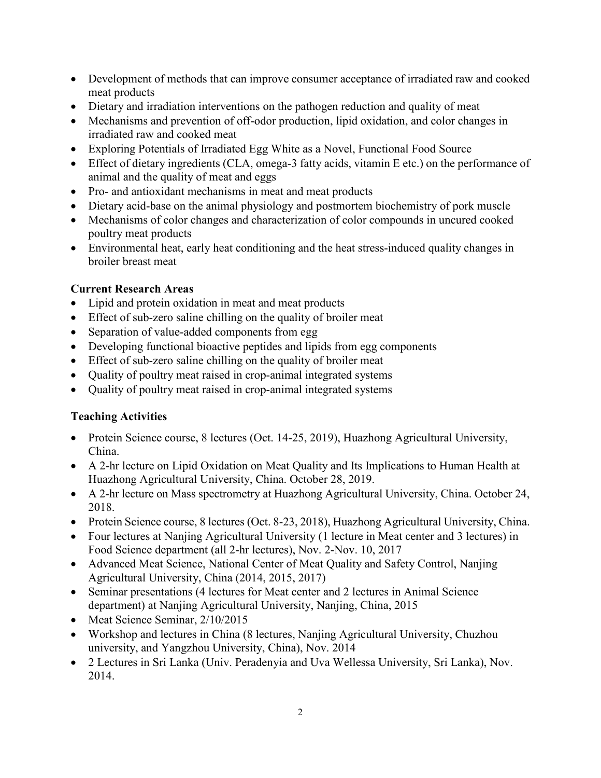- Development of methods that can improve consumer acceptance of irradiated raw and cooked meat products
- Dietary and irradiation interventions on the pathogen reduction and quality of meat
- Mechanisms and prevention of off-odor production, lipid oxidation, and color changes in irradiated raw and cooked meat
- Exploring Potentials of Irradiated Egg White as a Novel, Functional Food Source
- Effect of dietary ingredients (CLA, omega-3 fatty acids, vitamin E etc.) on the performance of animal and the quality of meat and eggs
- Pro- and antioxidant mechanisms in meat and meat products
- Dietary acid-base on the animal physiology and postmortem biochemistry of pork muscle
- Mechanisms of color changes and characterization of color compounds in uncured cooked poultry meat products
- Environmental heat, early heat conditioning and the heat stress-induced quality changes in broiler breast meat

# **Current Research Areas**

- Lipid and protein oxidation in meat and meat products
- Effect of sub-zero saline chilling on the quality of broiler meat
- Separation of value-added components from egg
- Developing functional bioactive peptides and lipids from egg components
- Effect of sub-zero saline chilling on the quality of broiler meat
- Ouality of poultry meat raised in crop-animal integrated systems
- Quality of poultry meat raised in crop-animal integrated systems

# **Teaching Activities**

- Protein Science course, 8 lectures (Oct. 14-25, 2019), Huazhong Agricultural University, China.
- A 2-hr lecture on Lipid Oxidation on Meat Quality and Its Implications to Human Health at Huazhong Agricultural University, China. October 28, 2019.
- A 2-hr lecture on Mass spectrometry at Huazhong Agricultural University, China. October 24, 2018.
- Protein Science course, 8 lectures (Oct. 8-23, 2018), Huazhong Agricultural University, China.
- Four lectures at Nanjing Agricultural University (1 lecture in Meat center and 3 lectures) in Food Science department (all 2-hr lectures), Nov. 2-Nov. 10, 2017
- Advanced Meat Science, National Center of Meat Quality and Safety Control, Nanjing Agricultural University, China (2014, 2015, 2017)
- Seminar presentations (4 lectures for Meat center and 2 lectures in Animal Science department) at Nanjing Agricultural University, Nanjing, China, 2015
- Meat Science Seminar, 2/10/2015
- Workshop and lectures in China (8 lectures, Nanjing Agricultural University, Chuzhou university, and Yangzhou University, China), Nov. 2014
- 2 Lectures in Sri Lanka (Univ. Peradenyia and Uva Wellessa University, Sri Lanka), Nov. 2014.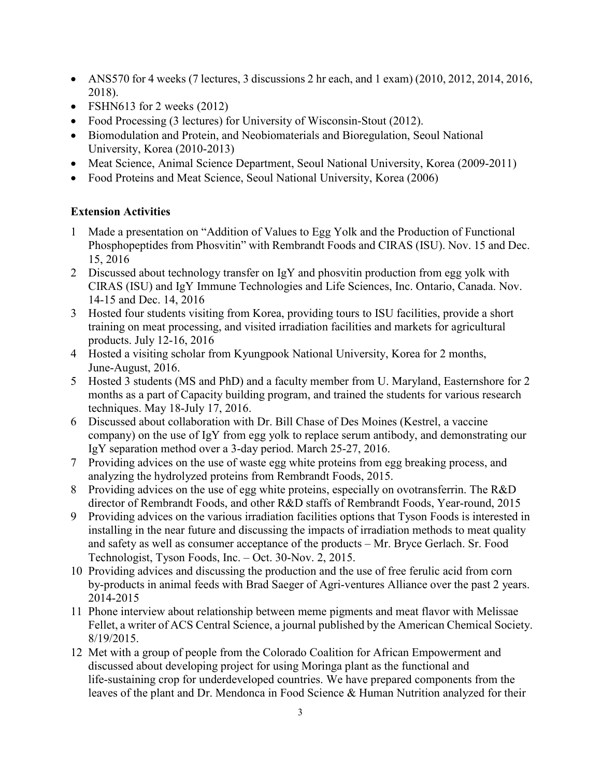- ANS570 for 4 weeks (7 lectures, 3 discussions 2 hr each, and 1 exam) (2010, 2012, 2014, 2016, 2018).
- FSHN613 for 2 weeks (2012)
- Food Processing (3 lectures) for University of Wisconsin-Stout (2012).
- Biomodulation and Protein, and Neobiomaterials and Bioregulation, Seoul National University, Korea (2010-2013)
- Meat Science, Animal Science Department, Seoul National University, Korea (2009-2011)
- Food Proteins and Meat Science, Seoul National University, Korea (2006)

## **Extension Activities**

- 1 Made a presentation on "Addition of Values to Egg Yolk and the Production of Functional Phosphopeptides from Phosvitin" with Rembrandt Foods and CIRAS (ISU). Nov. 15 and Dec. 15, 2016
- 2 Discussed about technology transfer on IgY and phosvitin production from egg yolk with CIRAS (ISU) and IgY Immune Technologies and Life Sciences, Inc. Ontario, Canada. Nov. 14-15 and Dec. 14, 2016
- 3 Hosted four students visiting from Korea, providing tours to ISU facilities, provide a short training on meat processing, and visited irradiation facilities and markets for agricultural products. July 12-16, 2016
- 4 Hosted a visiting scholar from Kyungpook National University, Korea for 2 months, June-August, 2016.
- 5 Hosted 3 students (MS and PhD) and a faculty member from U. Maryland, Easternshore for 2 months as a part of Capacity building program, and trained the students for various research techniques. May 18-July 17, 2016.
- 6 Discussed about collaboration with Dr. Bill Chase of Des Moines (Kestrel, a vaccine company) on the use of IgY from egg yolk to replace serum antibody, and demonstrating our IgY separation method over a 3-day period. March 25-27, 2016.
- 7 Providing advices on the use of waste egg white proteins from egg breaking process, and analyzing the hydrolyzed proteins from Rembrandt Foods, 2015.
- 8 Providing advices on the use of egg white proteins, especially on ovotransferrin. The R&D director of Rembrandt Foods, and other R&D staffs of Rembrandt Foods, Year-round, 2015
- 9 Providing advices on the various irradiation facilities options that Tyson Foods is interested in installing in the near future and discussing the impacts of irradiation methods to meat quality and safety as well as consumer acceptance of the products – Mr. Bryce Gerlach. Sr. Food Technologist, Tyson Foods, Inc. – Oct. 30-Nov. 2, 2015.
- 10 Providing advices and discussing the production and the use of free ferulic acid from corn by-products in animal feeds with Brad Saeger of Agri-ventures Alliance over the past 2 years. 2014-2015
- 11 Phone interview about relationship between meme pigments and meat flavor with Melissae Fellet, a writer of ACS Central Science, a journal published by the American Chemical Society. 8/19/2015.
- 12 Met with a group of people from the Colorado Coalition for African Empowerment and discussed about developing project for using Moringa plant as the functional and life-sustaining crop for underdeveloped countries. We have prepared components from the leaves of the plant and Dr. Mendonca in Food Science & Human Nutrition analyzed for their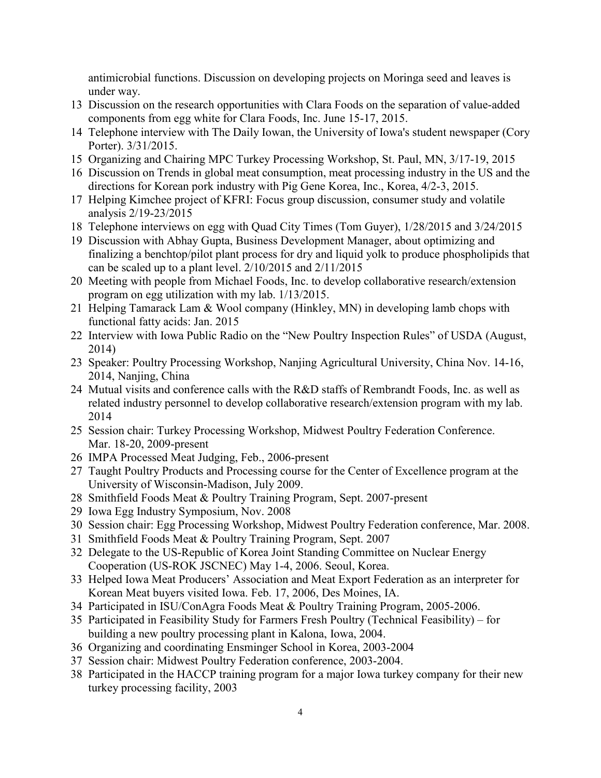antimicrobial functions. Discussion on developing projects on Moringa seed and leaves is under way.

- 13 Discussion on the research opportunities with Clara Foods on the separation of value-added components from egg white for Clara Foods, Inc. June 15-17, 2015.
- 14 Telephone interview with The Daily Iowan, the University of Iowa's student newspaper (Cory Porter). 3/31/2015.
- 15 Organizing and Chairing MPC Turkey Processing Workshop, St. Paul, MN, 3/17-19, 2015
- 16 Discussion on Trends in global meat consumption, meat processing industry in the US and the directions for Korean pork industry with Pig Gene Korea, Inc., Korea, 4/2-3, 2015.
- 17 Helping Kimchee project of KFRI: Focus group discussion, consumer study and volatile analysis 2/19-23/2015
- 18 Telephone interviews on egg with Quad City Times (Tom Guyer), 1/28/2015 and 3/24/2015
- 19 Discussion with Abhay Gupta, Business Development Manager, about optimizing and finalizing a benchtop/pilot plant process for dry and liquid yolk to produce phospholipids that can be scaled up to a plant level. 2/10/2015 and 2/11/2015
- 20 Meeting with people from Michael Foods, Inc. to develop collaborative research/extension program on egg utilization with my lab. 1/13/2015.
- 21 Helping Tamarack Lam & Wool company (Hinkley, MN) in developing lamb chops with functional fatty acids: Jan. 2015
- 22 Interview with Iowa Public Radio on the "New Poultry Inspection Rules" of USDA (August, 2014)
- 23 Speaker: Poultry Processing Workshop, Nanjing Agricultural University, China Nov. 14-16, 2014, Nanjing, China
- 24 Mutual visits and conference calls with the R&D staffs of Rembrandt Foods, Inc. as well as related industry personnel to develop collaborative research/extension program with my lab. 2014
- 25 Session chair: Turkey Processing Workshop, Midwest Poultry Federation Conference. Mar. 18-20, 2009-present
- 26 IMPA Processed Meat Judging, Feb., 2006-present
- 27 Taught Poultry Products and Processing course for the Center of Excellence program at the University of Wisconsin-Madison, July 2009.
- 28 Smithfield Foods Meat & Poultry Training Program, Sept. 2007-present
- 29 Iowa Egg Industry Symposium, Nov. 2008
- 30 Session chair: Egg Processing Workshop, Midwest Poultry Federation conference, Mar. 2008.
- 31 Smithfield Foods Meat & Poultry Training Program, Sept. 2007
- 32 Delegate to the US-Republic of Korea Joint Standing Committee on Nuclear Energy Cooperation (US-ROK JSCNEC) May 1-4, 2006. Seoul, Korea.
- 33 Helped Iowa Meat Producers' Association and Meat Export Federation as an interpreter for Korean Meat buyers visited Iowa. Feb. 17, 2006, Des Moines, IA.
- 34 Participated in ISU/ConAgra Foods Meat & Poultry Training Program, 2005-2006.
- 35 Participated in Feasibility Study for Farmers Fresh Poultry (Technical Feasibility) for building a new poultry processing plant in Kalona, Iowa, 2004.
- 36 Organizing and coordinating Ensminger School in Korea, 2003-2004
- 37 Session chair: Midwest Poultry Federation conference, 2003-2004.
- 38 Participated in the HACCP training program for a major Iowa turkey company for their new turkey processing facility, 2003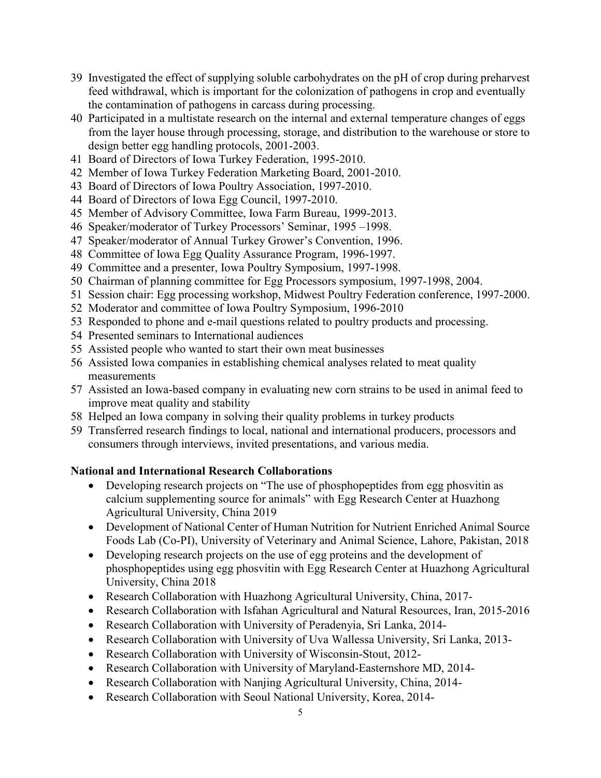- 39 Investigated the effect of supplying soluble carbohydrates on the pH of crop during preharvest feed withdrawal, which is important for the colonization of pathogens in crop and eventually the contamination of pathogens in carcass during processing.
- 40 Participated in a multistate research on the internal and external temperature changes of eggs from the layer house through processing, storage, and distribution to the warehouse or store to design better egg handling protocols, 2001-2003.
- 41 Board of Directors of Iowa Turkey Federation, 1995-2010.
- 42 Member of Iowa Turkey Federation Marketing Board, 2001-2010.
- 43 Board of Directors of Iowa Poultry Association, 1997-2010.
- 44 Board of Directors of Iowa Egg Council, 1997-2010.
- 45 Member of Advisory Committee, Iowa Farm Bureau, 1999-2013.
- 46 Speaker/moderator of Turkey Processors' Seminar, 1995 –1998.
- 47 Speaker/moderator of Annual Turkey Grower's Convention, 1996.
- 48 Committee of Iowa Egg Quality Assurance Program, 1996-1997.
- 49 Committee and a presenter, Iowa Poultry Symposium, 1997-1998.
- 50 Chairman of planning committee for Egg Processors symposium, 1997-1998, 2004.
- 51 Session chair: Egg processing workshop, Midwest Poultry Federation conference, 1997-2000.
- 52 Moderator and committee of Iowa Poultry Symposium, 1996-2010
- 53 Responded to phone and e-mail questions related to poultry products and processing.
- 54 Presented seminars to International audiences
- 55 Assisted people who wanted to start their own meat businesses
- 56 Assisted Iowa companies in establishing chemical analyses related to meat quality measurements
- 57 Assisted an Iowa-based company in evaluating new corn strains to be used in animal feed to improve meat quality and stability
- 58 Helped an Iowa company in solving their quality problems in turkey products
- 59 Transferred research findings to local, national and international producers, processors and consumers through interviews, invited presentations, and various media.

## **National and International Research Collaborations**

- Developing research projects on "The use of phosphopeptides from egg phosvitin as calcium supplementing source for animals" with Egg Research Center at Huazhong Agricultural University, China 2019
- Development of National Center of Human Nutrition for Nutrient Enriched Animal Source Foods Lab (Co-PI), University of Veterinary and Animal Science, Lahore, Pakistan, 2018
- Developing research projects on the use of egg proteins and the development of phosphopeptides using egg phosvitin with Egg Research Center at Huazhong Agricultural University, China 2018
- Research Collaboration with Huazhong Agricultural University, China, 2017-
- Research Collaboration with Isfahan Agricultural and Natural Resources, Iran, 2015-2016
- Research Collaboration with University of Peradenyia, Sri Lanka, 2014-
- Research Collaboration with University of Uva Wallessa University, Sri Lanka, 2013-
- Research Collaboration with University of Wisconsin-Stout, 2012-
- Research Collaboration with University of Maryland-Easternshore MD, 2014-
- Research Collaboration with Nanjing Agricultural University, China, 2014-
- Research Collaboration with Seoul National University, Korea, 2014-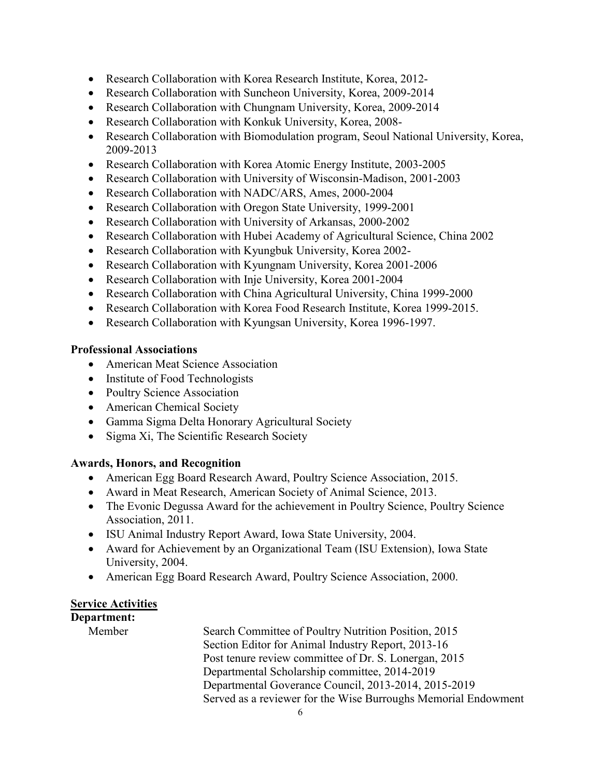- Research Collaboration with Korea Research Institute, Korea, 2012-
- Research Collaboration with Suncheon University, Korea, 2009-2014
- Research Collaboration with Chungnam University, Korea, 2009-2014
- Research Collaboration with Konkuk University, Korea, 2008-
- Research Collaboration with Biomodulation program, Seoul National University, Korea, 2009-2013
- Research Collaboration with Korea Atomic Energy Institute, 2003-2005
- Research Collaboration with University of Wisconsin-Madison, 2001-2003
- Research Collaboration with NADC/ARS, Ames, 2000-2004
- Research Collaboration with Oregon State University, 1999-2001
- Research Collaboration with University of Arkansas, 2000-2002
- Research Collaboration with Hubei Academy of Agricultural Science, China 2002
- Research Collaboration with Kyungbuk University, Korea 2002-
- Research Collaboration with Kyungnam University, Korea 2001-2006
- Research Collaboration with Inje University, Korea 2001-2004
- Research Collaboration with China Agricultural University, China 1999-2000
- Research Collaboration with Korea Food Research Institute, Korea 1999-2015.
- Research Collaboration with Kyungsan University, Korea 1996-1997.

## **Professional Associations**

- American Meat Science Association
- Institute of Food Technologists
- Poultry Science Association
- American Chemical Society
- Gamma Sigma Delta Honorary Agricultural Society
- Sigma Xi, The Scientific Research Society

## **Awards, Honors, and Recognition**

- American Egg Board Research Award, Poultry Science Association, 2015.
- Award in Meat Research, American Society of Animal Science, 2013.
- The Evonic Degussa Award for the achievement in Poultry Science, Poultry Science Association, 2011.
- ISU Animal Industry Report Award, Iowa State University, 2004.
- Award for Achievement by an Organizational Team (ISU Extension), Iowa State University, 2004.
- American Egg Board Research Award, Poultry Science Association, 2000.

## **Service Activities**

## **Department:**

Member Search Committee of Poultry Nutrition Position, 2015 Section Editor for Animal Industry Report, 2013-16 Post tenure review committee of Dr. S. Lonergan, 2015 Departmental Scholarship committee, 2014-2019 Departmental Goverance Council, 2013-2014, 2015-2019 Served as a reviewer for the Wise Burroughs Memorial Endowment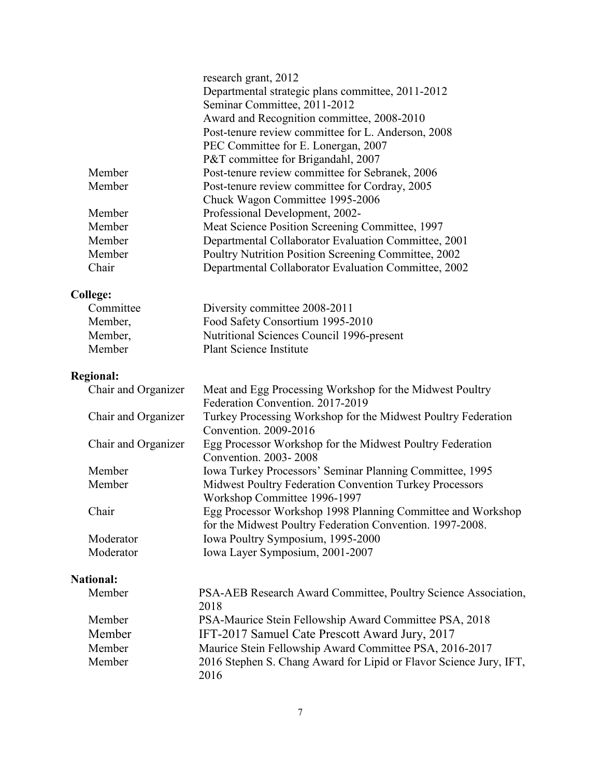|                     | research grant, 2012                                               |
|---------------------|--------------------------------------------------------------------|
|                     | Departmental strategic plans committee, 2011-2012                  |
|                     | Seminar Committee, 2011-2012                                       |
|                     | Award and Recognition committee, 2008-2010                         |
|                     | Post-tenure review committee for L. Anderson, 2008                 |
|                     | PEC Committee for E. Lonergan, 2007                                |
|                     | P&T committee for Brigandahl, 2007                                 |
| Member              | Post-tenure review committee for Sebranek, 2006                    |
| Member              | Post-tenure review committee for Cordray, 2005                     |
|                     | Chuck Wagon Committee 1995-2006                                    |
| Member              | Professional Development, 2002-                                    |
| Member              | Meat Science Position Screening Committee, 1997                    |
| Member              | Departmental Collaborator Evaluation Committee, 2001               |
| Member              | Poultry Nutrition Position Screening Committee, 2002               |
| Chair               | Departmental Collaborator Evaluation Committee, 2002               |
|                     |                                                                    |
| <b>College:</b>     |                                                                    |
| Committee           | Diversity committee 2008-2011                                      |
| Member,             | Food Safety Consortium 1995-2010                                   |
| Member,             | Nutritional Sciences Council 1996-present                          |
| Member              | <b>Plant Science Institute</b>                                     |
| <b>Regional:</b>    |                                                                    |
| Chair and Organizer | Meat and Egg Processing Workshop for the Midwest Poultry           |
|                     | Federation Convention. 2017-2019                                   |
| Chair and Organizer | Turkey Processing Workshop for the Midwest Poultry Federation      |
|                     | Convention. 2009-2016                                              |
| Chair and Organizer | Egg Processor Workshop for the Midwest Poultry Federation          |
|                     | Convention. 2003-2008                                              |
| Member              | Iowa Turkey Processors' Seminar Planning Committee, 1995           |
| Member              | Midwest Poultry Federation Convention Turkey Processors            |
|                     | Workshop Committee 1996-1997                                       |
| Chair               | Egg Processor Workshop 1998 Planning Committee and Workshop        |
|                     | for the Midwest Poultry Federation Convention. 1997-2008.          |
| Moderator           | Iowa Poultry Symposium, 1995-2000                                  |
| Moderator           | Iowa Layer Symposium, 2001-2007                                    |
| <b>National:</b>    |                                                                    |
| Member              | PSA-AEB Research Award Committee, Poultry Science Association,     |
|                     | 2018                                                               |
| Member              | PSA-Maurice Stein Fellowship Award Committee PSA, 2018             |
| Member              | IFT-2017 Samuel Cate Prescott Award Jury, 2017                     |
| Member              | Maurice Stein Fellowship Award Committee PSA, 2016-2017            |
| Member              | 2016 Stephen S. Chang Award for Lipid or Flavor Science Jury, IFT, |
|                     | 2016                                                               |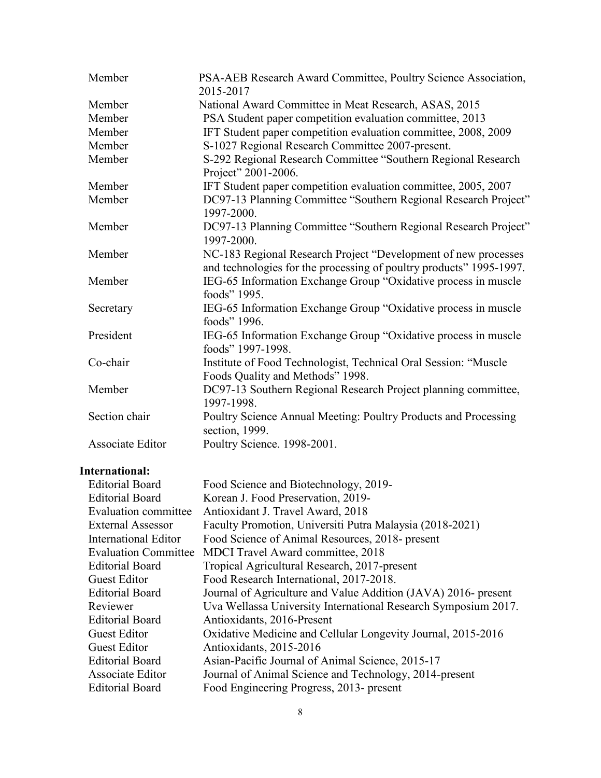| Member           | PSA-AEB Research Award Committee, Poultry Science Association,<br>2015-2017                                                           |
|------------------|---------------------------------------------------------------------------------------------------------------------------------------|
| Member           | National Award Committee in Meat Research, ASAS, 2015                                                                                 |
| Member           | PSA Student paper competition evaluation committee, 2013                                                                              |
| Member           | IFT Student paper competition evaluation committee, 2008, 2009                                                                        |
| Member           | S-1027 Regional Research Committee 2007-present.                                                                                      |
| Member           | S-292 Regional Research Committee "Southern Regional Research<br>Project" 2001-2006.                                                  |
| Member           | IFT Student paper competition evaluation committee, 2005, 2007                                                                        |
| Member           | DC97-13 Planning Committee "Southern Regional Research Project"<br>1997-2000.                                                         |
| Member           | DC97-13 Planning Committee "Southern Regional Research Project"<br>1997-2000.                                                         |
| Member           | NC-183 Regional Research Project "Development of new processes<br>and technologies for the processing of poultry products" 1995-1997. |
| Member           | IEG-65 Information Exchange Group "Oxidative process in muscle<br>foods" 1995.                                                        |
| Secretary        | IEG-65 Information Exchange Group "Oxidative process in muscle<br>foods" 1996.                                                        |
| President        | IEG-65 Information Exchange Group "Oxidative process in muscle<br>foods" 1997-1998.                                                   |
| Co-chair         | Institute of Food Technologist, Technical Oral Session: "Muscle<br>Foods Quality and Methods" 1998.                                   |
| Member           | DC97-13 Southern Regional Research Project planning committee,<br>1997-1998.                                                          |
| Section chair    | Poultry Science Annual Meeting: Poultry Products and Processing<br>section, 1999.                                                     |
| Associate Editor | Poultry Science. 1998-2001.                                                                                                           |

## **International:**

| <b>Editorial Board</b>      | Food Science and Biotechnology, 2019-                          |
|-----------------------------|----------------------------------------------------------------|
| <b>Editorial Board</b>      | Korean J. Food Preservation, 2019-                             |
| Evaluation committee        | Antioxidant J. Travel Award, 2018                              |
| <b>External Assessor</b>    | Faculty Promotion, Universiti Putra Malaysia (2018-2021)       |
| International Editor        | Food Science of Animal Resources, 2018- present                |
| <b>Evaluation Committee</b> | <b>MDCI</b> Travel Award committee, 2018                       |
| <b>Editorial Board</b>      | Tropical Agricultural Research, 2017-present                   |
| <b>Guest Editor</b>         | Food Research International, 2017-2018.                        |
| <b>Editorial Board</b>      | Journal of Agriculture and Value Addition (JAVA) 2016- present |
| Reviewer                    | Uva Wellassa University International Research Symposium 2017. |
| <b>Editorial Board</b>      | Antioxidants, 2016-Present                                     |
| <b>Guest Editor</b>         | Oxidative Medicine and Cellular Longevity Journal, 2015-2016   |
| <b>Guest Editor</b>         | Antioxidants, 2015-2016                                        |
| <b>Editorial Board</b>      | Asian-Pacific Journal of Animal Science, 2015-17               |
| Associate Editor            | Journal of Animal Science and Technology, 2014-present         |
| <b>Editorial Board</b>      | Food Engineering Progress, 2013- present                       |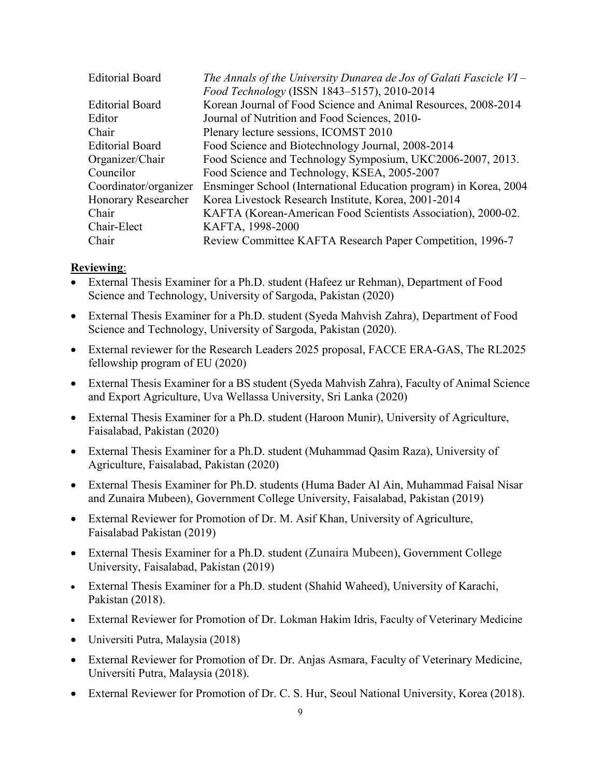| <b>Editorial Board</b> | The Annals of the University Dunarea de Jos of Galati Fascicle $VI -$ |
|------------------------|-----------------------------------------------------------------------|
|                        | Food Technology (ISSN 1843-5157), 2010-2014                           |
| <b>Editorial Board</b> | Korean Journal of Food Science and Animal Resources, 2008-2014        |
| Editor                 | Journal of Nutrition and Food Sciences, 2010-                         |
| Chair                  | Plenary lecture sessions, ICOMST 2010                                 |
| <b>Editorial Board</b> | Food Science and Biotechnology Journal, 2008-2014                     |
| Organizer/Chair        | Food Science and Technology Symposium, UKC2006-2007, 2013.            |
| Councilor              | Food Science and Technology, KSEA, 2005-2007                          |
| Coordinator/organizer  | Ensminger School (International Education program) in Korea, 2004     |
| Honorary Researcher    | Korea Livestock Research Institute, Korea, 2001-2014                  |
| Chair                  | KAFTA (Korean-American Food Scientists Association), 2000-02.         |
| Chair-Elect            | KAFTA, 1998-2000                                                      |
| Chair                  | Review Committee KAFTA Research Paper Competition, 1996-7             |

#### **Reviewing**:

- External Thesis Examiner for a Ph.D. student (Hafeez ur Rehman), Department of Food Science and Technology, University of Sargoda, Pakistan (2020)
- External Thesis Examiner for a Ph.D. student (Syeda Mahvish Zahra), Department of Food Science and Technology, University of Sargoda, Pakistan (2020).
- External reviewer for the Research Leaders 2025 proposal, FACCE ERA-GAS, The RL2025 fellowship program of EU (2020)
- External Thesis Examiner for a BS student (Syeda Mahvish Zahra), Faculty of Animal Science and Export Agriculture, Uva Wellassa University, Sri Lanka (2020)
- External Thesis Examiner for a Ph.D. student (Haroon Munir), University of Agriculture, Faisalabad, Pakistan (2020)
- External Thesis Examiner for a Ph.D. student (Muhammad Qasim Raza), University of Agriculture, Faisalabad, Pakistan (2020)
- External Thesis Examiner for Ph.D. students (Huma Bader Al Ain, Muhammad Faisal Nisar and Zunaira Mubeen), Government College University, Faisalabad, Pakistan (2019)
- External Reviewer for Promotion of Dr. M. Asif Khan, University of Agriculture, Faisalabad Pakistan (2019)
- External Thesis Examiner for a Ph.D. student (Zunaira Mubeen), Government College University, Faisalabad, Pakistan (2019)
- External Thesis Examiner for a Ph.D. student (Shahid Waheed), University of Karachi, Pakistan (2018).
- External Reviewer for Promotion of Dr. Lokman Hakim Idris, Faculty of Veterinary Medicine
- Universiti Putra, Malaysia (2018)
- External Reviewer for Promotion of Dr. Dr. Anjas Asmara, Faculty of Veterinary Medicine, Universiti Putra, Malaysia (2018).
- External Reviewer for Promotion of Dr. C. S. Hur, Seoul National University, Korea (2018).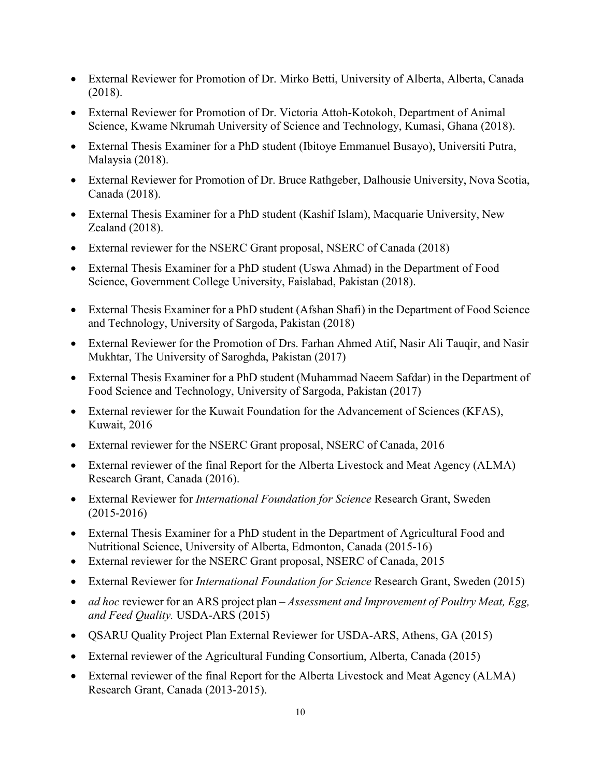- External Reviewer for Promotion of Dr. Mirko Betti, University of Alberta, Alberta, Canada (2018).
- External Reviewer for Promotion of Dr. Victoria Attoh-Kotokoh, Department of Animal Science, Kwame Nkrumah University of Science and Technology, Kumasi, Ghana (2018).
- External Thesis Examiner for a PhD student (Ibitoye Emmanuel Busayo), Universiti Putra, Malaysia (2018).
- External Reviewer for Promotion of Dr. Bruce Rathgeber, Dalhousie University, Nova Scotia, Canada (2018).
- External Thesis Examiner for a PhD student (Kashif Islam), Macquarie University, New Zealand (2018).
- External reviewer for the NSERC Grant proposal, NSERC of Canada (2018)
- External Thesis Examiner for a PhD student (Uswa Ahmad) in the Department of Food Science, Government College University, Faislabad, Pakistan (2018).
- External Thesis Examiner for a PhD student (Afshan Shafi) in the Department of Food Science and Technology, University of Sargoda, Pakistan (2018)
- External Reviewer for the Promotion of Drs. Farhan Ahmed Atif, Nasir Ali Tauqir, and Nasir Mukhtar, The University of Saroghda, Pakistan (2017)
- External Thesis Examiner for a PhD student (Muhammad Naeem Safdar) in the Department of Food Science and Technology, University of Sargoda, Pakistan (2017)
- External reviewer for the Kuwait Foundation for the Advancement of Sciences (KFAS), Kuwait, 2016
- External reviewer for the NSERC Grant proposal, NSERC of Canada, 2016
- External reviewer of the final Report for the Alberta Livestock and Meat Agency (ALMA) Research Grant, Canada (2016).
- External Reviewer for *International Foundation for Science* Research Grant, Sweden (2015-2016)
- External Thesis Examiner for a PhD student in the Department of Agricultural Food and Nutritional Science, University of Alberta, Edmonton, Canada (2015-16)
- External reviewer for the NSERC Grant proposal, NSERC of Canada, 2015
- External Reviewer for *International Foundation for Science* Research Grant, Sweden (2015)
- *ad hoc* reviewer for an ARS project plan *Assessment and Improvement of Poultry Meat, Egg, and Feed Quality.* USDA-ARS (2015)
- **QSARU Quality Project Plan External Reviewer for USDA-ARS, Athens, GA (2015)**
- External reviewer of the Agricultural Funding Consortium, Alberta, Canada (2015)
- External reviewer of the final Report for the Alberta Livestock and Meat Agency (ALMA) Research Grant, Canada (2013-2015).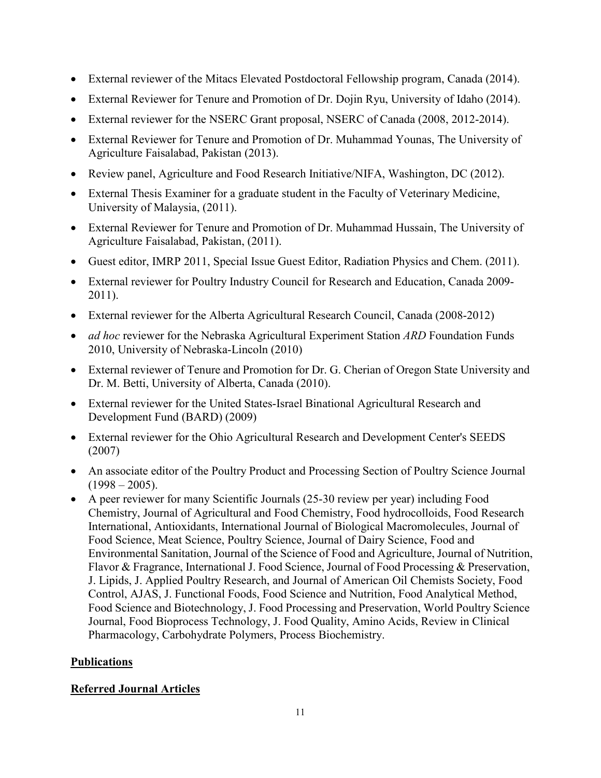- External reviewer of the Mitacs Elevated Postdoctoral Fellowship program, Canada (2014).
- External Reviewer for Tenure and Promotion of Dr. Dojin Ryu, University of Idaho (2014).
- External reviewer for the NSERC Grant proposal, NSERC of Canada (2008, 2012-2014).
- External Reviewer for Tenure and Promotion of Dr. Muhammad Younas, The University of Agriculture Faisalabad, Pakistan (2013).
- Review panel, Agriculture and Food Research Initiative/NIFA, Washington, DC (2012).
- External Thesis Examiner for a graduate student in the Faculty of Veterinary Medicine, University of Malaysia, (2011).
- External Reviewer for Tenure and Promotion of Dr. Muhammad Hussain, The University of Agriculture Faisalabad, Pakistan, (2011).
- Guest editor, IMRP 2011, Special Issue Guest Editor, Radiation Physics and Chem. (2011).
- External reviewer for Poultry Industry Council for Research and Education, Canada 2009- 2011).
- External reviewer for the Alberta Agricultural Research Council, Canada (2008-2012)
- *ad hoc* reviewer for the Nebraska Agricultural Experiment Station *ARD* Foundation Funds 2010, University of Nebraska-Lincoln (2010)
- External reviewer of Tenure and Promotion for Dr. G. Cherian of Oregon State University and Dr. M. Betti, University of Alberta, Canada (2010).
- External reviewer for the United States-Israel Binational Agricultural Research and Development Fund (BARD) (2009)
- External reviewer for the Ohio Agricultural Research and Development Center's SEEDS (2007)
- An associate editor of the Poultry Product and Processing Section of Poultry Science Journal  $(1998 - 2005)$ .
- A peer reviewer for many Scientific Journals (25-30 review per year) including Food Chemistry, Journal of Agricultural and Food Chemistry, Food hydrocolloids, Food Research International, Antioxidants, International Journal of Biological Macromolecules, Journal of Food Science, Meat Science, Poultry Science, Journal of Dairy Science, Food and Environmental Sanitation, Journal of the Science of Food and Agriculture, Journal of Nutrition, Flavor & Fragrance, International J. Food Science, Journal of Food Processing & Preservation, J. Lipids, J. Applied Poultry Research, and Journal of American Oil Chemists Society, Food Control, AJAS, J. Functional Foods, Food Science and Nutrition, Food Analytical Method, Food Science and Biotechnology, J. Food Processing and Preservation, World Poultry Science Journal, Food Bioprocess Technology, J. Food Quality, Amino Acids, Review in Clinical Pharmacology, Carbohydrate Polymers, Process Biochemistry.

# **Publications**

## **Referred Journal Articles**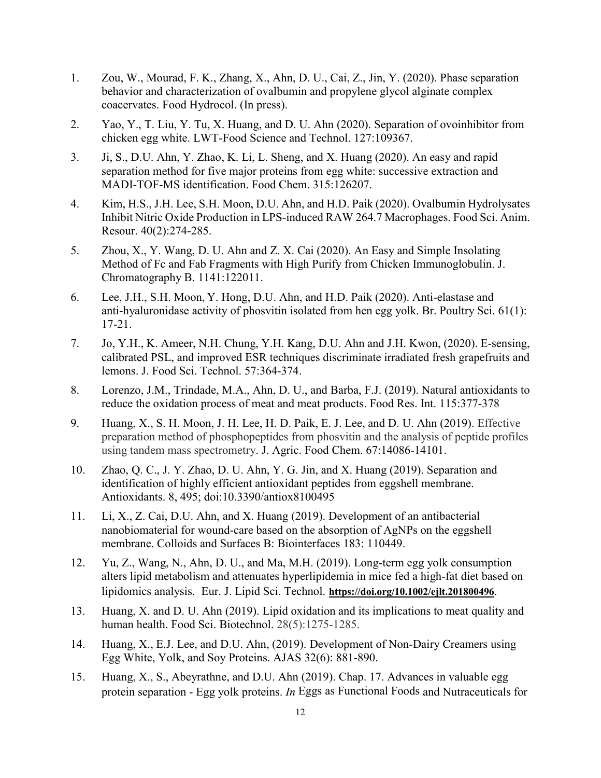- 1. Zou, W., Mourad, F. K., Zhang, X., Ahn, D. U., Cai, Z., Jin, Y. (2020). Phase separation behavior and characterization of ovalbumin and propylene glycol alginate complex coacervates. Food Hydrocol. (In press).
- 2. Yao, Y., T. Liu, Y. Tu, X. Huang, and D. U. Ahn (2020). Separation of ovoinhibitor from chicken egg white. LWT-Food Science and Technol. 127:109367.
- 3. Ji, S., D.U. Ahn, Y. Zhao, K. Li, L. Sheng, and X. Huang (2020). An easy and rapid separation method for five major proteins from egg white: successive extraction and MADI-TOF-MS identification. Food Chem. 315:126207.
- 4. Kim, H.S., J.H. Lee, S.H. Moon, D.U. Ahn, and H.D. Paik (2020). Ovalbumin Hydrolysates Inhibit Nitric Oxide Production in LPS-induced RAW 264.7 Macrophages. Food Sci. Anim. Resour. 40(2):274-285.
- 5. Zhou, X., Y. Wang, D. U. Ahn and Z. X. Cai (2020). An Easy and Simple Insolating Method of Fc and Fab Fragments with High Purify from Chicken Immunoglobulin. J. Chromatography B. 1141:122011.
- 6. Lee, J.H., S.H. Moon, Y. Hong, D.U. Ahn, and H.D. Paik (2020). Anti-elastase and anti-hyaluronidase activity of phosvitin isolated from hen egg yolk. Br. Poultry Sci. 61(1): 17-21.
- 7. Jo, Y.H., K. Ameer, N.H. Chung, Y.H. Kang, D.U. Ahn and J.H. Kwon, (2020). E-sensing, calibrated PSL, and improved ESR techniques discriminate irradiated fresh grapefruits and lemons. J. Food Sci. Technol. 57:364-374.
- 8. Lorenzo, J.M., Trindade, M.A., Ahn, D. U., and Barba, F.J. (2019). Natural antioxidants to reduce the oxidation process of meat and meat products. Food Res. Int. 115:377-378
- 9. Huang, X., S. H. Moon, J. H. Lee, H. D. Paik, E. J. Lee, and D. U. Ahn (2019). Effective preparation method of phosphopeptides from phosvitin and the analysis of peptide profiles using tandem mass spectrometry. J. Agric. Food Chem. 67:14086-14101.
- 10. Zhao, Q. C., J. Y. Zhao, D. U. Ahn, Y. G. Jin, and X. Huang (2019). Separation and identification of highly efficient antioxidant peptides from eggshell membrane. Antioxidants. 8, 495; doi:10.3390/antiox8100495
- 11. Li, X., Z. Cai, D.U. Ahn, and X. Huang (2019). Development of an antibacterial nanobiomaterial for wound-care based on the absorption of AgNPs on the eggshell membrane. Colloids and Surfaces B: Biointerfaces 183: 110449.
- 12. Yu, Z., Wang, N., Ahn, D. U., and Ma, M.H. (2019). Long-term egg yolk consumption alters lipid metabolism and attenuates hyperlipidemia in mice fed a high-fat diet based on lipidomics analysis. Eur. J. Lipid Sci. Technol. **<https://doi.org/10.1002/ejlt.201800496>**.
- 13. Huang, X. and D. U. Ahn (2019). Lipid oxidation and its implications to meat quality and human health. Food Sci. Biotechnol. 28(5):1275-1285.
- 14. Huang, X., E.J. Lee, and D.U. Ahn, (2019). Development of Non-Dairy Creamers using Egg White, Yolk, and Soy Proteins. AJAS 32(6): 881-890.
- 15. Huang, X., S., Abeyrathne, and D.U. Ahn (2019). Chap. 17. Advances in valuable egg protein separation - Egg yolk proteins. *In* Eggs as Functional Foods and Nutraceuticals for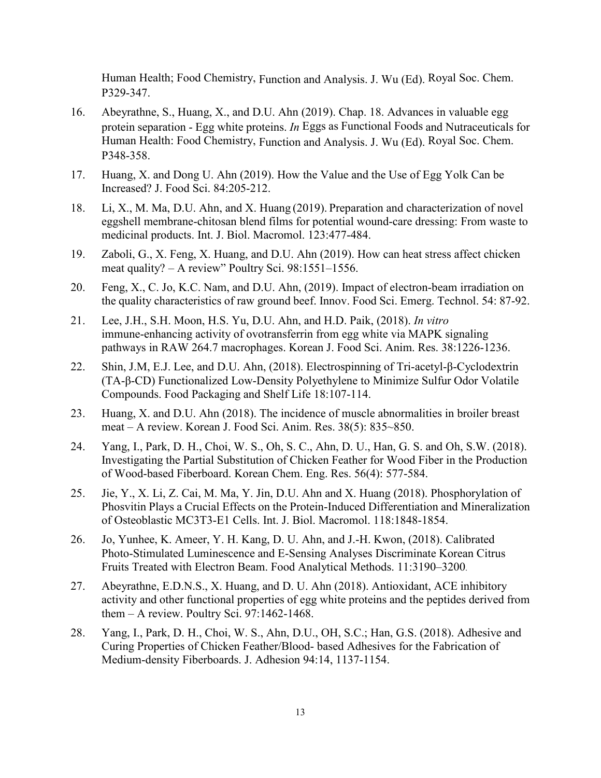Human Health; Food Chemistry, Function and Analysis. J. Wu (Ed). Royal Soc. Chem. P329-347.

- 16. Abeyrathne, S., Huang, X., and D.U. Ahn (2019). Chap. 18. Advances in valuable egg protein separation - Egg white proteins. *In* Eggs as Functional Foods and Nutraceuticals for Human Health: Food Chemistry, Function and Analysis. J. Wu (Ed). Royal Soc. Chem. P348-358.
- 17. Huang, X. and Dong U. Ahn (2019). How the Value and the Use of Egg Yolk Can be Increased? J. Food Sci. 84:205-212.
- 18. Li, X., M. Ma, D.U. Ahn, and X. Huang (2019). Preparation and characterization of novel eggshell membrane-chitosan blend films for potential wound-care dressing: From waste to medicinal products. Int. J. Biol. Macromol. 123:477-484.
- 19. Zaboli, G., X. Feng, X. Huang, and D.U. Ahn (2019). How can heat stress affect chicken meat quality? – A review" Poultry Sci. 98:1551–1556.
- 20. Feng, X., C. Jo, K.C. Nam, and D.U. Ahn, (2019). Impact of electron-beam irradiation on the quality characteristics of raw ground beef. Innov. Food Sci. Emerg. Technol. 54: 87-92.
- 21. Lee, J.H., S.H. Moon, H.S. Yu, D.U. Ahn, and H.D. Paik, (2018). *In vitro* immune-enhancing activity of ovotransferrin from egg white via MAPK signaling pathways in RAW 264.7 macrophages. Korean J. Food Sci. Anim. Res. 38:1226-1236.
- 22. Shin, J.M, E.J. Lee, and D.U. Ahn, (2018). Electrospinning of Tri-acetyl-β-Cyclodextrin (TA-β-CD) Functionalized Low-Density Polyethylene to Minimize Sulfur Odor Volatile Compounds. Food Packaging and Shelf Life 18:107-114.
- 23. Huang, X. and D.U. Ahn (2018). The incidence of muscle abnormalities in broiler breast meat – A review. Korean J. Food Sci. Anim. Res. 38(5): 835~850.
- 24. Yang, I., Park, D. H., Choi, W. S., Oh, S. C., Ahn, D. U., Han, G. S. and Oh, S.W. (2018). Investigating the Partial Substitution of Chicken Feather for Wood Fiber in the Production of Wood-based Fiberboard. Korean Chem. Eng. Res. 56(4): 577-584.
- 25. Jie, Y., X. Li, Z. Cai, M. Ma, Y. Jin, D.U. Ahn and X. Huang (2018). Phosphorylation of Phosvitin Plays a Crucial Effects on the Protein-Induced Differentiation and Mineralization of Osteoblastic MC3T3-E1 Cells. Int. J. Biol. Macromol. 118:1848-1854.
- 26. Jo, Yunhee, K. Ameer, Y. H. Kang, D. U. Ahn, and J.-H. Kwon, (2018). Calibrated Photo-Stimulated Luminescence and E-Sensing Analyses Discriminate Korean Citrus Fruits Treated with Electron Beam. Food Analytical Methods. 11:3190–3200.
- 27. Abeyrathne, E.D.N.S., X. Huang, and D. U. Ahn (2018). Antioxidant, ACE inhibitory activity and other functional properties of egg white proteins and the peptides derived from them  $-$  A review. Poultry Sci. 97:1462-1468.
- 28. Yang, I., Park, D. H., Choi, W. S., Ahn, D.U., OH, S.C.; Han, G.S. (2018). Adhesive and Curing Properties of Chicken Feather/Blood- based Adhesives for the Fabrication of Medium-density Fiberboards. J. Adhesion 94:14, 1137-1154.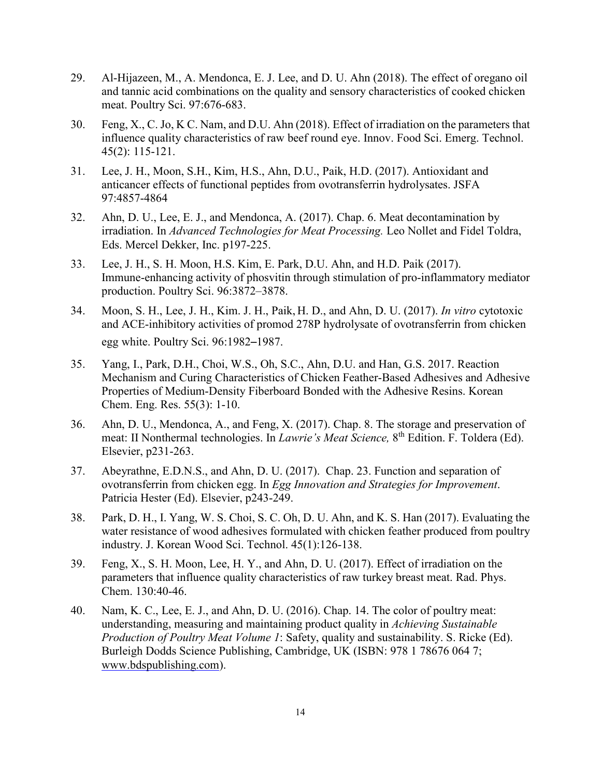- 29. Al-Hijazeen, M., A. Mendonca, E. J. Lee, and D. U. Ahn (2018). The effect of oregano oil and tannic acid combinations on the quality and sensory characteristics of cooked chicken meat. Poultry Sci. 97:676-683.
- 30. Feng, X., C. Jo, K C. Nam, and D.U. Ahn (2018). Effect of irradiation on the parameters that influence quality characteristics of raw beef round eye. Innov. Food Sci. Emerg. Technol. [45\(2\):](https://doi.org/10.1016/j.ifset.2017.09.006) 115-121.
- 31. Lee, J. H., Moon, S.H., Kim, H.S., Ahn, D.U., Paik, H.D. (2017). Antioxidant and anticancer effects of functional peptides from ovotransferrin hydrolysates. JSFA 97:4857-4864
- 32. Ahn, D. U., Lee, E. J., and Mendonca, A. (2017). Chap. 6. Meat decontamination by irradiation. In *Advanced Technologies for Meat Processing.* Leo Nollet and Fidel Toldra, Eds. Mercel Dekker, Inc. p197-225.
- 33. Lee, J. H., S. H. Moon, H.S. Kim, E. Park, D.U. Ahn, and H.D. Paik (2017). Immune-enhancing activity of phosvitin through stimulation of pro-inflammatory mediator production. Poultry Sci. 96:3872–3878.
- 34. Moon, S. H., Lee, J. H., Kim. J. H., Paik, H. D., and Ahn, D. U. (2017). *In vitro* cytotoxic and ACE-inhibitory activities of promod 278P hydrolysate of ovotransferrin from chicken egg white. Poultry Sci. 96:1982–1987.
- 35. Yang, I., Park, D.H., Choi, W.S., Oh, S.C., Ahn, D.U. and Han, G.S. 2017. Reaction Mechanism and Curing Characteristics of Chicken Feather-Based Adhesives and Adhesive Properties of Medium-Density Fiberboard Bonded with the Adhesive Resins. Korean Chem. Eng. Res. 55(3): 1-10.
- 36. Ahn, D. U., Mendonca, A., and Feng, X. (2017). Chap. 8. The storage and preservation of meat: II Nonthermal technologies. In *Lawrie's Meat Science*, 8<sup>th</sup> Edition. F. Toldera (Ed). Elsevier, p231-263.
- 37. Abeyrathne, E.D.N.S., and Ahn, D. U. (2017). Chap. 23. Function and separation of ovotransferrin from chicken egg. In *Egg Innovation and Strategies for Improvement*. Patricia Hester (Ed). Elsevier, p243-249.
- 38. Park, D. H., I. Yang, W. S. Choi, S. C. Oh, D. U. Ahn, and K. S. Han (2017). Evaluating the water resistance of wood adhesives formulated with chicken feather produced from poultry industry. J. Korean Wood Sci. Technol. 45(1):126-138.
- 39. Feng, X., S. H. Moon, Lee, H. Y., and Ahn, D. U. (2017). Effect of irradiation on the parameters that influence quality characteristics of raw turkey breast meat. Rad. Phys. Chem. 130:40-46.
- 40. Nam, K. C., Lee, E. J., and Ahn, D. U. (2016). Chap. 14. The color of poultry meat: understanding, measuring and maintaining product quality in *Achieving Sustainable Production of Poultry Meat Volume 1*: Safety, quality and sustainability. S. Ricke (Ed). Burleigh Dodds Science Publishing, Cambridge, UK (ISBN: 978 1 78676 064 7; [www.bdspublishing.com\)](http://www.bdspublishing.com/).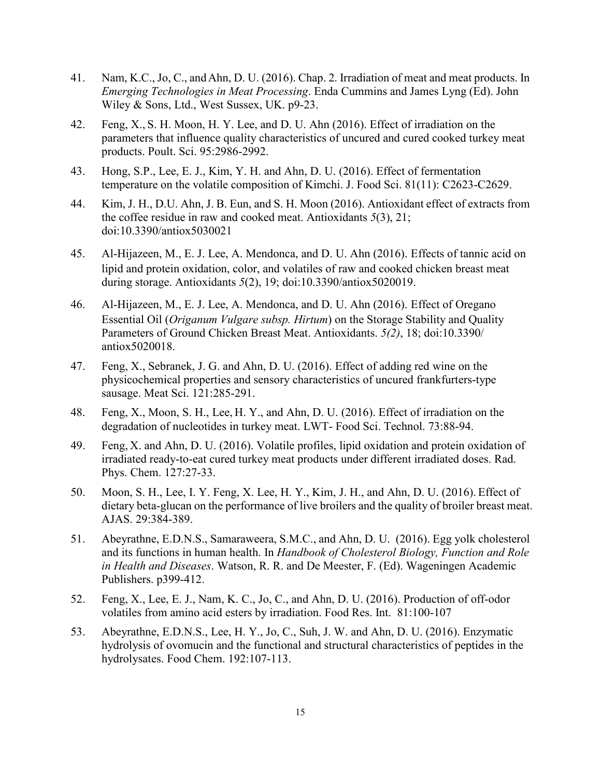- 41. Nam, K.C., Jo, C., andAhn, D. U. (2016). Chap. 2. Irradiation of meat and meat products. In *Emerging Technologies in Meat Processing*. [Enda Cummins](http://www.wiley.com/WileyCDA/Section/id-302475.html?query=Enda+Cummins) and [James Lyng](http://www.wiley.com/WileyCDA/Section/id-302475.html?query=James+Lyng) (Ed). John Wiley & Sons, Ltd., West Sussex, UK. p9-23.
- 42. Feng, X., S. H. Moon, H. Y. Lee, and D. U. Ahn (2016). Effect of irradiation on the parameters that influence quality characteristics of uncured and cured cooked turkey meat products. Poult. Sci. 95:2986-2992.
- 43. Hong, S.P., Lee, E. J., Kim, Y. H. and Ahn, D. U. (2016). Effect of fermentation temperature on the volatile composition of Kimchi. J. Food Sci. 81(11): C2623-C2629.
- 44. Kim, J. H., D.U. Ahn, J. B. Eun, and S. H. Moon (2016). Antioxidant effect of extracts from the coffee residue in raw and cooked meat. Antioxidants *5*(3), 21; doi[:10.3390/antiox5030021](http://dx.doi.org/10.3390/antiox5030021)
- 45. Al-Hijazeen, M., E. J. Lee, A. Mendonca, and D. U. Ahn (2016). Effects of tannic acid on lipid and protein oxidation, color, and volatiles of raw and cooked chicken breast meat during storage. Antioxidants *5*(2), 19; doi[:10.3390/antiox5020019.](http://dx.doi.org/10.3390/antiox5020019)
- 46. Al-Hijazeen, M., E. J. Lee, A. Mendonca, and D. U. Ahn (2016). Effect of Oregano Essential Oil (*Origanum Vulgare subsp. Hirtum*) on the Storage Stability and Quality Parameters of Ground Chicken Breast Meat. Antioxidants. *5(2)*, 18; doi:10.3390/ antiox5020018.
- 47. Feng, X., Sebranek, J. G. and Ahn, D. U. (2016). Effect of adding red wine on the physicochemical properties and sensory characteristics of uncured frankfurters-type sausage. Meat Sci. 121:285-291.
- 48. Feng, X., Moon, S. H., Lee, H. Y., and Ahn, D. U. (2016). Effect of irradiation on the degradation of nucleotides in turkey meat. LWT- Food Sci. Technol. 73:88-94.
- 49. Feng, X. and Ahn, D. U. (2016). Volatile profiles, lipid oxidation and protein oxidation of irradiated ready-to-eat cured turkey meat products under different irradiated doses. Rad. Phys. Chem. 127:27-33.
- 50. Moon, S. H., Lee, I. Y. Feng, X. Lee, H. Y., Kim, J. H., and Ahn, D. U. (2016). Effect of dietary beta-glucan on the performance of live broilers and the quality of broiler breast meat. AJAS. 29:384-389.
- 51. Abeyrathne, E.D.N.S., Samaraweera, S.M.C., and Ahn, D. U. (2016). Egg yolk cholesterol and its functions in human health. In *Handbook of Cholesterol Biology, Function and Role in Health and Diseases*. Watson, R. R. and De Meester, F. (Ed). Wageningen Academic Publishers. p399-412.
- 52. Feng, X., Lee, E. J., Nam, K. C., Jo, C., and Ahn, D. U. (2016). Production of off-odor volatiles from amino acid esters by irradiation. Food Res. Int. 81:100-107
- 53. Abeyrathne, E.D.N.S., Lee, H. Y., Jo, C., Suh, J. W. and Ahn, D. U. (2016). Enzymatic hydrolysis of ovomucin and the functional and structural characteristics of peptides in the hydrolysates. Food Chem. 192:107-113.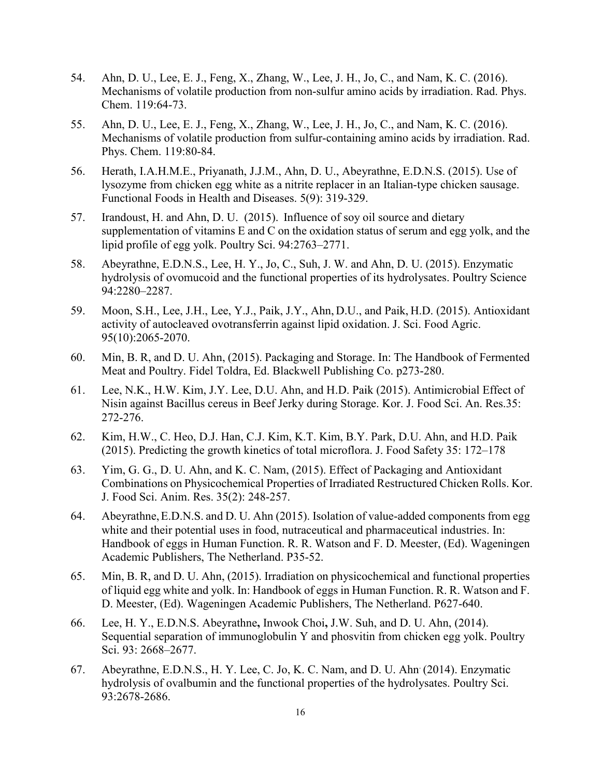- 54. Ahn, D. U., Lee, E. J., Feng, X., Zhang, W., Lee, J. H., Jo, C., and Nam, K. C. (2016). Mechanisms of volatile production from non-sulfur amino acids by irradiation. Rad. Phys. Chem. 119:64-73.
- 55. Ahn, D. U., Lee, E. J., Feng, X., Zhang, W., Lee, J. H., Jo, C., and Nam, K. C. (2016). Mechanisms of volatile production from sulfur-containing amino acids by irradiation. Rad. Phys. Chem. 119:80-84.
- 56. Herath, I.A.H.M.E., Priyanath, J.J.M., Ahn, D. U., Abeyrathne, E.D.N.S. (2015). Use of lysozyme from chicken egg white as a nitrite replacer in an Italian-type chicken sausage. Functional Foods in Health and Diseases. 5(9): 319-329.
- 57. Irandoust, H. and Ahn, D. U. (2015). Influence of soy oil source and dietary supplementation of vitamins E and C on the oxidation status of serum and egg yolk, and the lipid profile of egg yolk. Poultry Sci. 94:2763–2771.
- 58. Abeyrathne, E.D.N.S., Lee, H. Y., Jo, C., Suh, J. W. and Ahn, D. U. (2015). Enzymatic hydrolysis of ovomucoid and the functional properties of its hydrolysates. Poultry Science 94:2280–2287.
- 59. Moon, S.H., Lee, J.H., Lee, Y.J., Paik, J.Y., Ahn, D.U., and Paik, H.D. (2015). Antioxidant activity of autocleaved ovotransferrin against lipid oxidation. J. Sci. Food Agric. 95(10):2065-2070.
- 60. Min, B. R, and D. U. Ahn, (2015). Packaging and Storage. In: The Handbook of Fermented Meat and Poultry. Fidel Toldra, Ed. Blackwell Publishing Co. p273-280.
- 61. Lee, N.K., H.W. Kim, J.Y. Lee, D.U. Ahn, and H.D. Paik (2015). Antimicrobial Effect of Nisin against Bacillus cereus in Beef Jerky during Storage. Kor. J. Food Sci. An. Res.35: 272-276.
- 62. Kim, H.W., C. Heo, D.J. Han, C.J. Kim, K.T. Kim, B.Y. Park, D.U. Ahn, and H.D. Paik (2015). Predicting the growth kinetics of total microflora. J. Food Safety 35: 172–178
- 63. Yim, G. G., D. U. Ahn, and K. C. Nam, (2015). Effect of Packaging and Antioxidant Combinations on Physicochemical Properties of Irradiated Restructured Chicken Rolls. Kor. J. Food Sci. Anim. Res. 35(2): 248-257.
- 64. Abeyrathne,E.D.N.S. and D. U. Ahn (2015). Isolation of value-added components from egg white and their potential uses in food, nutraceutical and pharmaceutical industries. In: Handbook of eggs in Human Function. R. R. Watson and F. D. Meester, (Ed). Wageningen Academic Publishers, The Netherland. P35-52.
- 65. Min, B. R, and D. U. Ahn, (2015). Irradiation on physicochemical and functional properties of liquid egg white and yolk. In: Handbook of eggs in Human Function. R. R. Watson and F. D. Meester, (Ed). Wageningen Academic Publishers, The Netherland. P627-640.
- 66. Lee, H. Y., E.D.N.S. Abeyrathne**,** Inwook Choi**,** J.W. Suh, and D. U. Ahn, (2014). Sequential separation of immunoglobulin Y and phosvitin from chicken egg yolk. Poultry Sci. 93: 2668–2677.
- 67. Abeyrathne, E.D.N.S., H. Y. Lee, C. Jo, K. C. Nam, and D. U. Ahn. (2014). Enzymatic hydrolysis of ovalbumin and the functional properties of the hydrolysates. Poultry Sci. 93:2678-2686.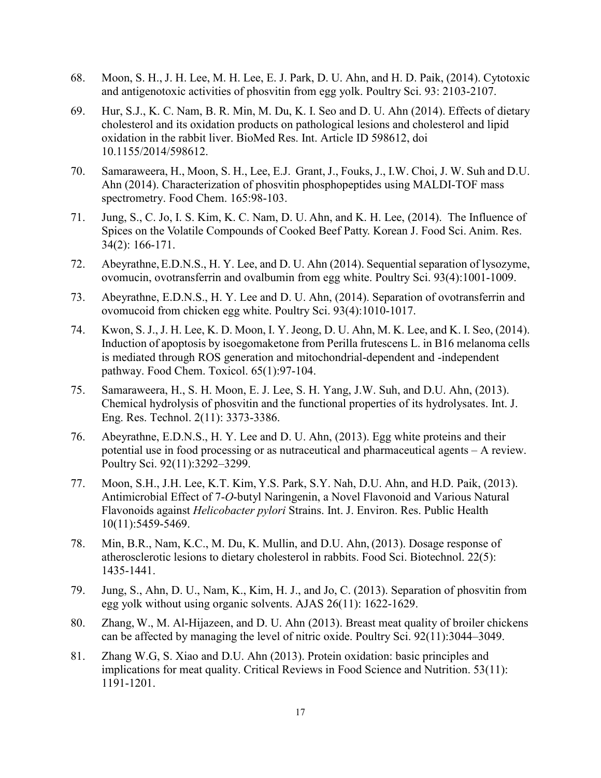- 68. Moon, S. H., J. H. Lee, M. H. Lee, E. J. Park, D. U. Ahn, and H. D. Paik, (2014). Cytotoxic and antigenotoxic activities of phosvitin from egg yolk. Poultry Sci. 93: 2103-2107.
- 69. Hur, S.J., K. C. Nam, B. R. Min, M. Du, K. I. Seo and D. U. Ahn (2014). Effects of dietary cholesterol and its oxidation products on pathological lesions and cholesterol and lipid oxidation in the rabbit liver. BioMed Res. Int. Article ID 598612, doi 10.1155/2014/598612.
- 70. Samaraweera, H., Moon, S. H., Lee, E.J. Grant, J., Fouks, J., I.W. Choi, J. W. Suh and D.U. Ahn (2014). Characterization of phosvitin phosphopeptides using MALDI-TOF mass spectrometry. Food Chem. 165:98-103.
- 71. Jung, S., C. Jo, I. S. Kim, K. C. Nam, D. U. Ahn, and K. H. Lee, (2014). The Influence of Spices on the Volatile Compounds of Cooked Beef Patty. Korean J. Food Sci. Anim. Res. 34(2): 166-171.
- 72. Abeyrathne,E.D.N.S., H. Y. Lee, and D. U. Ahn (2014). Sequential separation of lysozyme, ovomucin, ovotransferrin and ovalbumin from egg white. Poultry Sci. 93(4):1001-1009.
- 73. Abeyrathne, E.D.N.S., H. Y. Lee and D. U. Ahn, (2014). Separation of ovotransferrin and ovomucoid from chicken egg white. Poultry Sci. 93(4):1010-1017.
- 74. Kwon, S. J., J. H. Lee, K. D. Moon, I. Y. Jeong, D. U. Ahn, M. K. Lee, and K. I. Seo, (2014). Induction of apoptosis by isoegomaketone from Perilla frutescens L. in B16 melanoma cells is mediated through ROS generation and mitochondrial-dependent and -independent pathway. Food Chem. Toxicol. 65(1):97-104.
- 75. Samaraweera, H., S. H. Moon, E. J. Lee, S. H. Yang, J.W. Suh, and D.U. Ahn, (2013). Chemical hydrolysis of phosvitin and the functional properties of its hydrolysates. Int. J. Eng. Res. Technol. 2(11): 3373-3386.
- 76. Abeyrathne, E.D.N.S., H. Y. Lee and D. U. Ahn, (2013). Egg white proteins and their potential use in food processing or as nutraceutical and pharmaceutical agents – A review. Poultry Sci. 92(11):3292–3299.
- 77. Moon, S.H., J.H. Lee, K.T. Kim, Y.S. Park, S.Y. Nah, D.U. Ahn, and H.D. Paik, (2013). Antimicrobial Effect of 7-*O*-butyl Naringenin, a Novel Flavonoid and Various Natural Flavonoids against *Helicobacter pylori* Strains. Int. J. Environ. Res. Public Health 10(11):5459-5469.
- 78. Min, B.R., Nam, K.C., M. Du, K. Mullin, and D.U. Ahn, (2013). Dosage response of atherosclerotic lesions to dietary cholesterol in rabbits. Food Sci. Biotechnol. 22(5): 1435-1441.
- 79. Jung, S., Ahn, D. U., Nam, K., Kim, H. J., and Jo, C. (2013). Separation of phosvitin from egg yolk without using organic solvents. AJAS 26(11): 1622-1629.
- 80. Zhang, W., M. Al-Hijazeen, and D. U. Ahn (2013). Breast meat quality of broiler chickens can be affected by managing the level of nitric oxide. Poultry Sci. 92(11):3044–3049.
- 81. Zhang W.G, S. Xiao and D.U. Ahn (2013). Protein oxidation: basic principles and implications for meat quality. Critical Reviews in Food Science and Nutrition. 53(11): 1191-1201.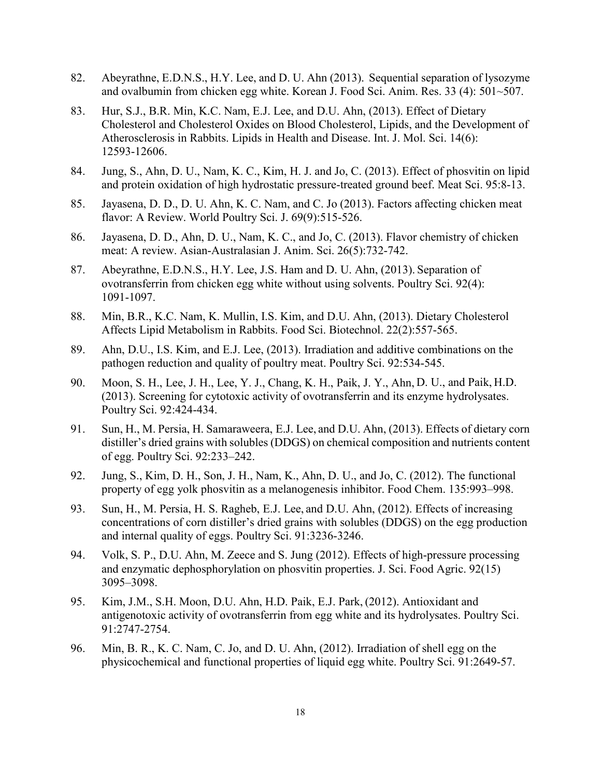- 82. Abeyrathne, E.D.N.S., H.Y. Lee, and D. U. Ahn (2013). Sequential separation of lysozyme and ovalbumin from chicken egg white. Korean J. Food Sci. Anim. Res. 33 (4): 501~507.
- 83. Hur, S.J., B.R. Min, K.C. Nam, E.J. Lee, and D.U. Ahn, (2013). Effect of Dietary Cholesterol and Cholesterol Oxides on Blood Cholesterol, Lipids, and the Development of Atherosclerosis in Rabbits. Lipids in Health and Disease. Int. J. Mol. Sci. 14(6): 12593-12606.
- 84. Jung, S., Ahn, D. U., Nam, K. C., Kim, H. J. and Jo, C. (2013). Effect of phosvitin on lipid and protein oxidation of high hydrostatic pressure-treated ground beef. Meat Sci. 95:8-13.
- 85. Jayasena, D. D., D. U. Ahn, K. C. Nam, and C. Jo (2013). Factors affecting chicken meat flavor: A Review. World Poultry Sci. J. 69(9):515-526.
- 86. Jayasena, D. D., Ahn, D. U., Nam, K. C., and Jo, C. (2013). Flavor chemistry of chicken meat: A review. Asian-Australasian J. Anim. Sci. 26(5):732-742.
- 87. Abeyrathne, E.D.N.S., H.Y. Lee, J.S. Ham and D. U. Ahn, (2013). Separation of ovotransferrin from chicken egg white without using solvents. Poultry Sci. 92(4): 1091-1097.
- 88. Min, B.R., K.C. Nam, K. Mullin, I.S. Kim, and D.U. Ahn, (2013). Dietary Cholesterol Affects Lipid Metabolism in Rabbits. Food Sci. Biotechnol. 22(2):557-565.
- 89. Ahn, D.U., I.S. Kim, and E.J. Lee, (2013). Irradiation and additive combinations on the pathogen reduction and quality of poultry meat. Poultry Sci. 92:534-545.
- 90. Moon, S. H., Lee, J. H., Lee, Y. J., Chang, K. H., Paik, J. Y., Ahn, D. U., and Paik, H.D. (2013). Screening for cytotoxic activity of ovotransferrin and its enzyme hydrolysates. Poultry Sci. 92:424-434.
- 91. Sun, H., M. Persia, H. Samaraweera, E.J. Lee, and D.U. Ahn, (2013). Effects of dietary corn distiller's dried grains with solubles (DDGS) on chemical composition and nutrients content of egg. Poultry Sci. 92:233–242.
- 92. Jung, S., Kim, D. H., Son, J. H., Nam, K., Ahn, D. U., and Jo, C. (2012). The functional property of egg yolk phosvitin as a melanogenesis inhibitor. Food Chem. 135:993–998.
- 93. Sun, H., M. Persia, H. S. Ragheb, E.J. Lee, and D.U. Ahn, (2012). Effects of increasing concentrations of corn distiller's dried grains with solubles (DDGS) on the egg production and internal quality of eggs. Poultry Sci. 91:3236-3246.
- 94. Volk, S. P., D.U. Ahn, M. Zeece and S. Jung (2012). Effects of high-pressure processing and enzymatic dephosphorylation on phosvitin properties. J. Sci. Food Agric. 92(15) 3095–3098.
- 95. Kim, J.M., S.H. Moon, D.U. Ahn, H.D. Paik, E.J. Park, (2012). Antioxidant and antigenotoxic activity of ovotransferrin from egg white and its hydrolysates. Poultry Sci. 91:2747-2754.
- 96. Min, B. R., K. C. Nam, C. Jo, and D. U. Ahn, (2012). Irradiation of shell egg on the physicochemical and functional properties of liquid egg white. Poultry Sci. 91:2649-57.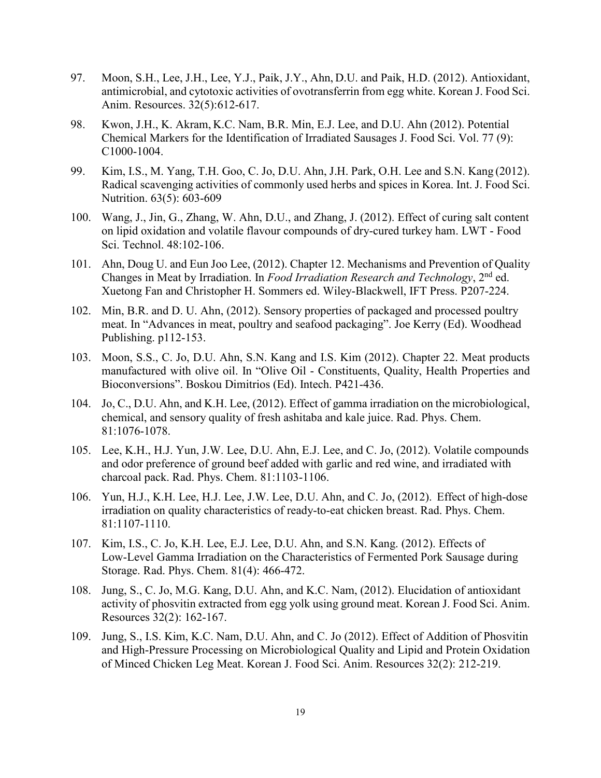- 97. Moon, S.H., Lee, J.H., Lee, Y.J., Paik, J.Y., Ahn, D.U. and Paik, H.D. (2012). Antioxidant, antimicrobial, and cytotoxic activities of ovotransferrin from egg white. Korean J. Food Sci. Anim. Resources. 32(5):612-617.
- 98. Kwon, J.H., K. Akram, K.C. Nam, B.R. Min, E.J. Lee, and D.U. Ahn (2012). Potential Chemical Markers for the Identification of Irradiated Sausages J. Food Sci. Vol. 77 (9): C1000-1004.
- 99. Kim, I.S., M. Yang, T.H. Goo, C. Jo, D.U. Ahn, J.H. Park, O.H. Lee and S.N. Kang (2012). Radical scavenging activities of commonly used herbs and spices in Korea. Int. J. Food Sci. Nutrition. 63(5): 603-609
- 100. Wang, J., Jin, G., Zhang, W. Ahn, D.U., and Zhang, J. (2012). Effect of curing salt content on lipid oxidation and volatile flavour compounds of dry-cured turkey ham. LWT - Food Sci. Technol. 48:102-106.
- 101. Ahn, Doug U. and Eun Joo Lee, (2012). Chapter 12. Mechanisms and Prevention of Quality Changes in Meat by Irradiation. In *Food Irradiation Research and Technology*, 2nd ed. Xuetong Fan and Christopher H. Sommers ed. Wiley-Blackwell, IFT Press. P207-224.
- 102. Min, B.R. and D. U. Ahn, (2012). Sensory properties of packaged and processed poultry meat. In "Advances in meat, poultry and seafood packaging". Joe Kerry (Ed). Woodhead Publishing. p112-153.
- 103. Moon, S.S., C. Jo, D.U. Ahn, S.N. Kang and I.S. Kim (2012). Chapter 22. Meat products manufactured with olive oil. In "Olive Oil - Constituents, Quality, Health Properties and Bioconversions". Boskou Dimitrios (Ed). Intech. P421-436.
- 104. Jo, C., D.U. Ahn, and K.H. Lee, (2012). Effect of gamma irradiation on the microbiological, chemical, and sensory quality of fresh ashitaba and kale juice. Rad. Phys. Chem. 81:1076-1078.
- 105. Lee, K.H., H.J. Yun, J.W. Lee, D.U. Ahn, E.J. Lee, and C. Jo, (2012). Volatile compounds and odor preference of ground beef added with garlic and red wine, and irradiated with charcoal pack. Rad. Phys. Chem. 81:1103-1106.
- 106. Yun, H.J., K.H. Lee, H.J. Lee, J.W. Lee, D.U. Ahn, and C. Jo, (2012). Effect of high-dose irradiation on quality characteristics of ready-to-eat chicken breast. Rad. Phys. Chem. 81:1107-1110.
- 107. Kim, I.S., C. Jo, K.H. Lee, E.J. Lee, D.U. Ahn, and S.N. Kang. (2012). Effects of Low-Level Gamma Irradiation on the Characteristics of Fermented Pork Sausage during Storage. Rad. Phys. Chem. 81(4): 466-472.
- 108. Jung, S., C. Jo, M.G. Kang, D.U. Ahn, and K.C. Nam, (2012). Elucidation of antioxidant activity of phosvitin extracted from egg yolk using ground meat. Korean J. Food Sci. Anim. Resources 32(2): 162-167.
- 109. Jung, S., I.S. Kim, K.C. Nam, D.U. Ahn, and C. Jo (2012). Effect of Addition of Phosvitin and High-Pressure Processing on Microbiological Quality and Lipid and Protein Oxidation of Minced Chicken Leg Meat. Korean J. Food Sci. Anim. Resources 32(2): 212-219.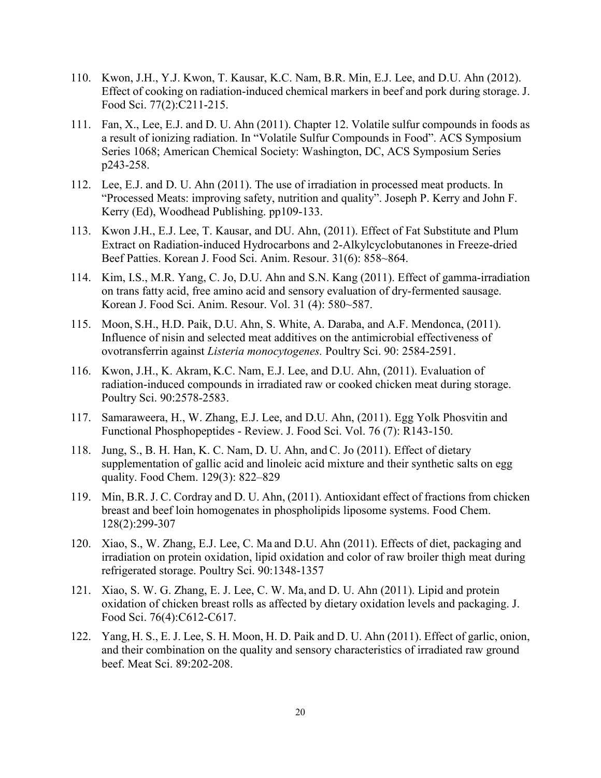- 110. Kwon, J.H., Y.J. Kwon, T. Kausar, K.C. Nam, B.R. Min, E.J. Lee, and D.U. Ahn (2012). Effect of cooking on radiation-induced chemical markers in beef and pork during storage. J. Food Sci. 77(2):C211-215.
- 111. Fan, X., Lee, E.J. and D. U. Ahn (2011). Chapter 12. Volatile sulfur compounds in foods as a result of ionizing radiation. In "Volatile Sulfur Compounds in Food". ACS Symposium Series 1068; American Chemical Society: Washington, DC, ACS Symposium Series p243-258.
- 112. Lee, E.J. and D. U. Ahn (2011). The use of irradiation in processed meat products. In "Processed Meats: improving safety, nutrition and quality". Joseph P. Kerry and John F. Kerry (Ed), Woodhead Publishing. pp109-133.
- 113. Kwon J.H., E.J. Lee, T. Kausar, and DU. Ahn, (2011). Effect of Fat Substitute and Plum Extract on Radiation-induced Hydrocarbons and 2-Alkylcyclobutanones in Freeze-dried Beef Patties. Korean J. Food Sci. Anim. Resour. 31(6): 858~864.
- 114. Kim, I.S., M.R. Yang, C. Jo, D.U. Ahn and S.N. Kang (2011). Effect of gamma-irradiation on trans fatty acid, free amino acid and sensory evaluation of dry-fermented sausage. Korean J. Food Sci. Anim. Resour. Vol. 31 (4): 580~587.
- 115. Moon, S.H., H.D. Paik, D.U. Ahn, S. White, A. Daraba, and A.F. Mendonca, (2011). Influence of nisin and selected meat additives on the antimicrobial effectiveness of ovotransferrin against *Listeria monocytogenes.* Poultry Sci. 90: 2584-2591.
- 116. Kwon, J.H., K. Akram, K.C. Nam, E.J. Lee, and D.U. Ahn, (2011). Evaluation of radiation-induced compounds in irradiated raw or cooked chicken meat during storage. Poultry Sci. 90:2578-2583.
- 117. Samaraweera, H., W. Zhang, E.J. Lee, and D.U. Ahn, (2011). Egg Yolk Phosvitin and Functional Phosphopeptides - Review. J. Food Sci. Vol. 76 (7): R143-150.
- 118. Jung, S., B. H. Han, K. C. Nam, D. U. Ahn, and C. Jo (2011). Effect of dietary supplementation of gallic acid and linoleic acid mixture and their synthetic salts on egg quality. Food Chem. 129(3): 822–829
- 119. Min, B.R. J. C. Cordray and D. U. Ahn, (2011). Antioxidant effect of fractions from chicken breast and beef loin homogenates in phospholipids liposome systems. Food Chem. 128(2):299-307
- 120. Xiao, S., W. Zhang, E.J. Lee, C. Ma and D.U. Ahn (2011). Effects of diet, packaging and irradiation on protein oxidation, lipid oxidation and color of raw broiler thigh meat during refrigerated storage. Poultry Sci. 90:1348-1357
- 121. Xiao, S. W. G. Zhang, E. J. Lee, C. W. Ma, and D. U. Ahn (2011). Lipid and protein oxidation of chicken breast rolls as affected by dietary oxidation levels and packaging. J. Food Sci. 76(4):C612-C617.
- 122. Yang, H. S., E. J. Lee, S. H. Moon, H. D. Paik and D. U. Ahn (2011). Effect of garlic, onion, and their combination on the quality and sensory characteristics of irradiated raw ground beef. Meat Sci. 89:202-208.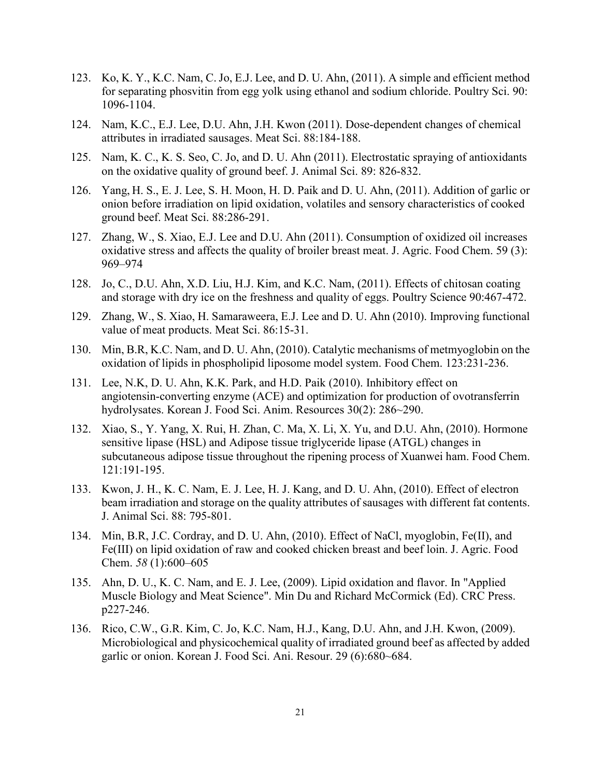- 123. Ko, K. Y., K.C. Nam, C. Jo, E.J. Lee, and D. U. Ahn, (2011). A simple and efficient method for separating phosvitin from egg yolk using ethanol and sodium chloride. Poultry Sci. 90: 1096-1104.
- 124. Nam, K.C., E.J. Lee, D.U. Ahn, J.H. Kwon (2011). Dose-dependent changes of chemical attributes in irradiated sausages. Meat Sci. 88:184-188.
- 125. Nam, K. C., K. S. Seo, C. Jo, and D. U. Ahn (2011). Electrostatic spraying of antioxidants on the oxidative quality of ground beef. J. Animal Sci. 89: 826-832.
- 126. Yang, H. S., E. J. Lee, S. H. Moon, H. D. Paik and D. U. Ahn, (2011). Addition of garlic or onion before irradiation on lipid oxidation, volatiles and sensory characteristics of cooked ground beef. Meat Sci. 88:286-291.
- 127. Zhang, W., S. Xiao, E.J. Lee and D.U. Ahn (2011). Consumption of oxidized oil increases oxidative stress and affects the quality of broiler breast meat. J. Agric. Food Chem. 59 (3): 969–974
- 128. Jo, C., D.U. Ahn, X.D. Liu, H.J. Kim, and K.C. Nam, (2011). Effects of chitosan coating and storage with dry ice on the freshness and quality of eggs. Poultry Science 90:467-472.
- 129. Zhang, W., S. Xiao, H. Samaraweera, E.J. Lee and D. U. Ahn (2010). Improving functional value of meat products. Meat Sci. 86:15-31.
- 130. Min, B.R, K.C. Nam, and D. U. Ahn, (2010). Catalytic mechanisms of metmyoglobin on the oxidation of lipids in phospholipid liposome model system. Food Chem. 123:231-236.
- 131. Lee, N.K, D. U. Ahn, K.K. Park, and H.D. Paik (2010). Inhibitory effect on angiotensin-converting enzyme (ACE) and optimization for production of ovotransferrin hydrolysates. Korean J. Food Sci. Anim. Resources 30(2): 286~290.
- 132. Xiao, S., Y. Yang, X. Rui, H. Zhan, C. Ma, X. Li, X. Yu, and D.U. Ahn, (2010). Hormone sensitive lipase (HSL) and Adipose tissue triglyceride lipase (ATGL) changes in subcutaneous adipose tissue throughout the ripening process of Xuanwei ham. Food Chem. 121:191-195.
- 133. Kwon, J. H., K. C. Nam, E. J. Lee, H. J. Kang, and D. U. Ahn, (2010). Effect of electron beam irradiation and storage on the quality attributes of sausages with different fat contents. J. Animal Sci. 88: 795-801.
- 134. Min, B.R, J.C. Cordray, and D. U. Ahn, (2010). Effect of NaCl, myoglobin, Fe(II), and Fe(III) on lipid oxidation of raw and cooked chicken breast and beef loin. J. Agric. Food Chem. *58* (1):600–605
- 135. Ahn, D. U., K. C. Nam, and E. J. Lee, (2009). Lipid oxidation and flavor. In "Applied Muscle Biology and Meat Science". Min Du and Richard McCormick (Ed). CRC Press. p227-246.
- 136. Rico, C.W., G.R. Kim, C. Jo, K.C. Nam, H.J., Kang, D.U. Ahn, and J.H. Kwon, (2009). Microbiological and physicochemical quality of irradiated ground beef as affected by added garlic or onion. Korean J. Food Sci. Ani. Resour. 29 (6):680~684.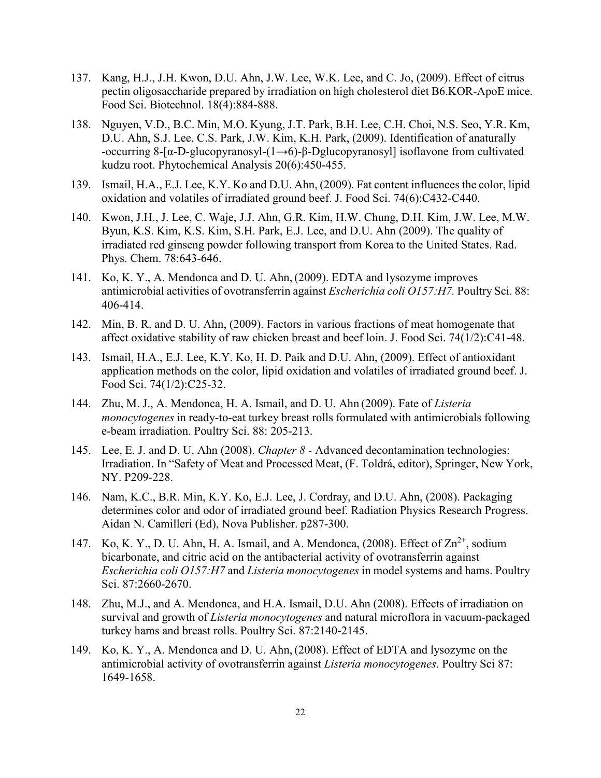- 137. Kang, H.J., J.H. Kwon, D.U. Ahn, J.W. Lee, W.K. Lee, and C. Jo, (2009). Effect of citrus pectin oligosaccharide prepared by irradiation on high cholesterol diet B6.KOR-ApoE mice. Food Sci. Biotechnol. 18(4):884-888.
- 138. Nguyen, V.D., B.C. Min, M.O. Kyung, J.T. Park, B.H. Lee, C.H. Choi, N.S. Seo, Y.R. Km, D.U. Ahn, S.J. Lee, C.S. Park, J.W. Kim, K.H. Park, (2009). Identification of anaturally -occurring 8-[α-D-glucopyranosyl-(1→6)-β-Dglucopyranosyl] isoflavone from cultivated kudzu root. Phytochemical Analysis 20(6):450-455.
- 139. Ismail, H.A., E.J. Lee, K.Y. Ko and D.U. Ahn, (2009). Fat content influences the color, lipid oxidation and volatiles of irradiated ground beef. J. Food Sci. 74(6):C432-C440.
- 140. Kwon, J.H., J. Lee, C. Waje, J.J. Ahn, G.R. Kim, H.W. Chung, D.H. Kim, J.W. Lee, M.W. Byun, K.S. Kim, K.S. Kim, S.H. Park, E.J. Lee, and D.U. Ahn (2009). The quality of irradiated red ginseng powder following transport from Korea to the United States. Rad. Phys. Chem. 78:643-646.
- 141. Ko, K. Y., A. Mendonca and D. U. Ahn, (2009). EDTA and lysozyme improves antimicrobial activities of ovotransferrin against *Escherichia coli O157:H7.* Poultry Sci. 88: 406-414.
- 142. Min, B. R. and D. U. Ahn, (2009). Factors in various fractions of meat homogenate that affect oxidative stability of raw chicken breast and beef loin. J. Food Sci. 74(1/2):C41-48.
- 143. Ismail, H.A., E.J. Lee, K.Y. Ko, H. D. Paik and D.U. Ahn, (2009). Effect of antioxidant application methods on the color, lipid oxidation and volatiles of irradiated ground beef. J. Food Sci. 74(1/2):C25-32.
- 144. Zhu, M. J., A. Mendonca, H. A. Ismail, and D. U. Ahn (2009). Fate of *Listeria monocytogenes* in ready-to-eat turkey breast rolls formulated with antimicrobials following e-beam irradiation. Poultry Sci. 88: 205-213.
- 145. Lee, E. J. and D. U. Ahn (2008). *Chapter 8 -* Advanced decontamination technologies: Irradiation. In "Safety of Meat and Processed Meat, (F. Toldrá, editor), Springer, New York, NY. P209-228.
- 146. Nam, K.C., B.R. Min, K.Y. Ko, E.J. Lee, J. Cordray, and D.U. Ahn, (2008). Packaging determines color and odor of irradiated ground beef. Radiation Physics Research Progress. Aidan N. Camilleri (Ed), Nova Publisher. p287-300.
- 147. Ko, K. Y., D. U. Ahn, H. A. Ismail, and A. Mendonca,  $(2008)$ . Effect of  $\text{Zn}^{2+}$ , sodium bicarbonate, and citric acid on the antibacterial activity of ovotransferrin against *Escherichia coli O157:H7* and *Listeria monocytogenes* in model systems and hams. Poultry Sci. 87:2660-2670.
- 148. Zhu, M.J., and A. Mendonca, and H.A. Ismail, D.U. Ahn (2008). Effects of irradiation on survival and growth of *Listeria monocytogenes* and natural microflora in vacuum-packaged turkey hams and breast rolls. Poultry Sci. 87:2140-2145.
- 149. Ko, K. Y., A. Mendonca and D. U. Ahn, (2008). Effect of EDTA and lysozyme on the antimicrobial activity of ovotransferrin against *Listeria monocytogenes*. Poultry Sci 87: 1649-1658.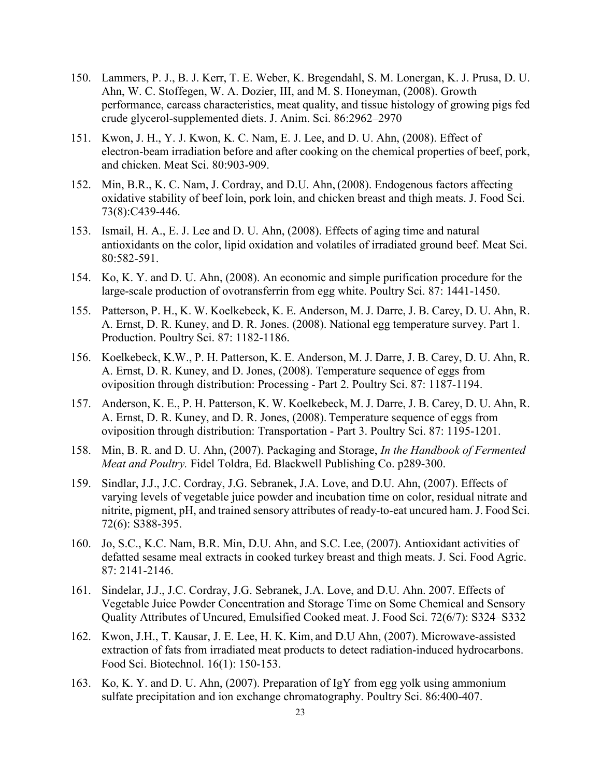- 150. Lammers, P. J., B. J. Kerr, T. E. Weber, K. Bregendahl, S. M. Lonergan, K. J. Prusa, D. U. Ahn, W. C. Stoffegen, W. A. Dozier, III, and M. S. Honeyman, (2008). Growth performance, carcass characteristics, meat quality, and tissue histology of growing pigs fed crude glycerol-supplemented diets. J. Anim. Sci. 86:2962–2970
- 151. Kwon, J. H., Y. J. Kwon, K. C. Nam, E. J. Lee, and D. U. Ahn, (2008). Effect of electron-beam irradiation before and after cooking on the chemical properties of beef, pork, and chicken. Meat Sci. 80:903-909.
- 152. Min, B.R., K. C. Nam, J. Cordray, and D.U. Ahn, (2008). Endogenous factors affecting oxidative stability of beef loin, pork loin, and chicken breast and thigh meats. J. Food Sci. 73(8):C439-446.
- 153. Ismail, H. A., E. J. Lee and D. U. Ahn, (2008). Effects of aging time and natural antioxidants on the color, lipid oxidation and volatiles of irradiated ground beef. Meat Sci. 80:582-591.
- 154. Ko, K. Y. and D. U. Ahn, (2008). An economic and simple purification procedure for the large-scale production of ovotransferrin from egg white. Poultry Sci. 87: 1441-1450.
- 155. Patterson, P. H., K. W. Koelkebeck, K. E. Anderson, M. J. Darre, J. B. Carey, D. U. Ahn, R. A. Ernst, D. R. Kuney, and D. R. Jones. (2008). National egg temperature survey. Part 1. Production. Poultry Sci. 87: 1182-1186.
- 156. Koelkebeck, K.W., P. H. Patterson, K. E. Anderson, M. J. Darre, J. B. Carey, D. U. Ahn, R. A. Ernst, D. R. Kuney, and D. Jones, (2008). Temperature sequence of eggs from oviposition through distribution: Processing - Part 2. Poultry Sci. 87: 1187-1194.
- 157. Anderson, K. E., P. H. Patterson, K. W. Koelkebeck, M. J. Darre, J. B. Carey, D. U. Ahn, R. A. Ernst, D. R. Kuney, and D. R. Jones, (2008). Temperature sequence of eggs from oviposition through distribution: Transportation - Part 3. Poultry Sci. 87: 1195-1201.
- 158. Min, B. R. and D. U. Ahn, (2007). Packaging and Storage, *In the Handbook of Fermented Meat and Poultry.* Fidel Toldra, Ed. Blackwell Publishing Co. p289-300.
- 159. Sindlar, J.J., J.C. Cordray, J.G. Sebranek, J.A. Love, and D.U. Ahn, (2007). Effects of varying levels of vegetable juice powder and incubation time on color, residual nitrate and nitrite, pigment, pH, and trained sensory attributes of ready-to-eat uncured ham. J. Food Sci. 72(6): S388-395.
- 160. Jo, S.C., K.C. Nam, B.R. Min, D.U. Ahn, and S.C. Lee, (2007). Antioxidant activities of defatted sesame meal extracts in cooked turkey breast and thigh meats. J. Sci. Food Agric. 87: 2141-2146.
- 161. [Sindelar,](http://www.blackwell-synergy.com/action/doSearch?action=runSearch&type=advanced&result=true&prevSearch=%2Bauthorsfield%3A(Sindelar%2C+J.J.)) J.J., [J.C. Cordray,](http://www.blackwell-synergy.com/action/doSearch?action=runSearch&type=advanced&result=true&prevSearch=%2Bauthorsfield%3A(Cordray%2C+J.C.)) [J.G. Sebranek,](http://www.blackwell-synergy.com/action/doSearch?action=runSearch&type=advanced&result=true&prevSearch=%2Bauthorsfield%3A(Sebranek%2C+J.G.)) [J.A. Love,](http://www.blackwell-synergy.com/action/doSearch?action=runSearch&type=advanced&result=true&prevSearch=%2Bauthorsfield%3A(Love%2C+J.A.)) and [D.U. Ahn.](http://www.blackwell-synergy.com/action/doSearch?action=runSearch&type=advanced&result=true&prevSearch=%2Bauthorsfield%3A(Ahn%2C+D.U.)) 2007. Effects of Vegetable Juice Powder Concentration and Storage Time on Some Chemical and Sensory Quality Attributes of Uncured, Emulsified Cooked meat. J. Food Sci. 72(6/7): S324–S332
- 162. Kwon, J.H., T. Kausar, J. E. Lee, H. K. Kim, and D.U Ahn, (2007). Microwave-assisted extraction of fats from irradiated meat products to detect radiation-induced hydrocarbons. Food Sci. Biotechnol. 16(1): 150-153.
- 163. Ko, K. Y. and D. U. Ahn, (2007). Preparation of IgY from egg yolk using ammonium sulfate precipitation and ion exchange chromatography. Poultry Sci. 86:400-407.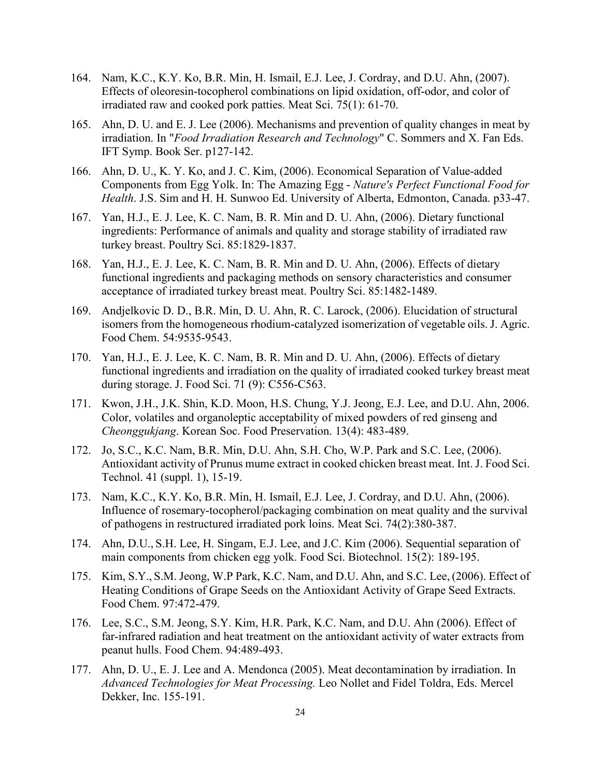- 164. Nam, K.C., K.Y. Ko, B.R. Min, H. Ismail, E.J. Lee, J. Cordray, and D.U. Ahn, (2007). Effects of oleoresin-tocopherol combinations on lipid oxidation, off-odor, and color of irradiated raw and cooked pork patties. Meat Sci. 75(1): 61-70.
- 165. Ahn, D. U. and E. J. Lee (2006). Mechanisms and prevention of quality changes in meat by irradiation. In "*Food Irradiation Research and Technology*" C. Sommers and X. Fan Eds. IFT Symp. Book Ser. p127-142.
- 166. Ahn, D. U., K. Y. Ko, and J. C. Kim, (2006). Economical Separation of Value-added Components from Egg Yolk. In: The Amazing Egg - *Nature's Perfect Functional Food for Health*. J.S. Sim and H. H. Sunwoo Ed. University of Alberta, Edmonton, Canada. p33-47.
- 167. Yan, H.J., E. J. Lee, K. C. Nam, B. R. Min and D. U. Ahn, (2006). Dietary functional ingredients: Performance of animals and quality and storage stability of irradiated raw turkey breast. Poultry Sci. 85:1829-1837.
- 168. Yan, H.J., E. J. Lee, K. C. Nam, B. R. Min and D. U. Ahn, (2006). Effects of dietary functional ingredients and packaging methods on sensory characteristics and consumer acceptance of irradiated turkey breast meat. Poultry Sci. 85:1482-1489.
- 169. Andjelkovic D. D., B.R. Min, D. U. Ahn, R. C. Larock, (2006). Elucidation of structural isomers from the homogeneous rhodium-catalyzed isomerization of vegetable oils. J. Agric. Food Chem. 54:9535-9543.
- 170. Yan, H.J., E. J. Lee, K. C. Nam, B. R. Min and D. U. Ahn, (2006). Effects of dietary functional ingredients and irradiation on the quality of irradiated cooked turkey breast meat during storage. J. Food Sci. 71 (9): C556-C563.
- 171. Kwon, J.H., J.K. Shin, K.D. Moon, H.S. Chung, Y.J. Jeong, E.J. Lee, and D.U. Ahn, 2006. Color, volatiles and organoleptic acceptability of mixed powders of red ginseng and *Cheonggukjang*. Korean Soc. Food Preservation. 13(4): 483-489.
- 172. Jo, S.C., K.C. Nam, B.R. Min, D.U. Ahn, S.H. Cho, W.P. Park and S.C. Lee, (2006). Antioxidant activity of Prunus mume extract in cooked chicken breast meat. Int. J. Food Sci. Technol. 41 (suppl. 1), 15-19.
- 173. Nam, K.C., K.Y. Ko, B.R. Min, H. Ismail, E.J. Lee, J. Cordray, and D.U. Ahn, (2006). Influence of rosemary-tocopherol/packaging combination on meat quality and the survival of pathogens in restructured irradiated pork loins. Meat Sci. 74(2):380-387.
- 174. Ahn, D.U., S.H. Lee, H. Singam, E.J. Lee, and J.C. Kim (2006). Sequential separation of main components from chicken egg yolk. Food Sci. Biotechnol. 15(2): 189-195.
- 175. Kim, S.Y., S.M. Jeong, W.P Park, K.C. Nam, and D.U. Ahn, and S.C. Lee,(2006). Effect of Heating Conditions of Grape Seeds on the Antioxidant Activity of Grape Seed Extracts. Food Chem. 97:472-479.
- 176. Lee, S.C., S.M. Jeong, S.Y. Kim, H.R. Park, K.C. Nam, and D.U. Ahn (2006). Effect of far-infrared radiation and heat treatment on the antioxidant activity of water extracts from peanut hulls. Food Chem. 94:489-493.
- 177. Ahn, D. U., E. J. Lee and A. Mendonca (2005). Meat decontamination by irradiation. In *Advanced Technologies for Meat Processing.* Leo Nollet and Fidel Toldra, Eds. Mercel Dekker, Inc. 155-191.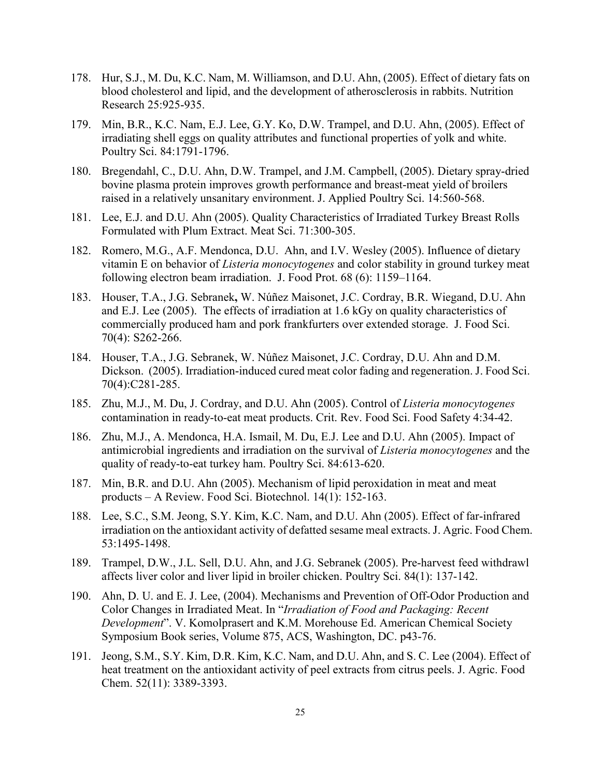- 178. Hur, S.J., M. Du, K.C. Nam, M. Williamson, and D.U. Ahn, (2005). Effect of dietary fats on blood cholesterol and lipid, and the development of atherosclerosis in rabbits. Nutrition Research 25:925-935.
- 179. Min, B.R., K.C. Nam, E.J. Lee, G.Y. Ko, D.W. Trampel, and D.U. Ahn, (2005). Effect of irradiating shell eggs on quality attributes and functional properties of yolk and white. Poultry Sci. 84:1791-1796.
- 180. Bregendahl, C., D.U. Ahn, D.W. Trampel, and J.M. Campbell, (2005). Dietary spray-dried bovine plasma protein improves growth performance and breast-meat yield of broilers raised in a relatively unsanitary environment. J. Applied Poultry Sci. 14:560-568.
- 181. Lee, E.J. and D.U. Ahn (2005). Quality Characteristics of Irradiated Turkey Breast Rolls Formulated with Plum Extract. Meat Sci. 71:300-305.
- 182. Romero, M.G., A.F. Mendonca, D.U. Ahn, and I.V. Wesley (2005). Influence of dietary vitamin E on behavior of *Listeria monocytogenes* and color stability in ground turkey meat following electron beam irradiation. J. Food Prot. 68 (6): 1159–1164.
- 183. Houser, T.A., J.G. Sebranek**,** W. Núñez Maisonet, J.C. Cordray, B.R. Wiegand, D.U. Ahn and E.J. Lee (2005). The effects of irradiation at 1.6 kGy on quality characteristics of commercially produced ham and pork frankfurters over extended storage. J. Food Sci. 70(4): S262-266.
- 184. Houser, T.A., J.G. Sebranek, W. Núñez Maisonet, J.C. Cordray, D.U. Ahn and D.M. Dickson. (2005). Irradiation-induced cured meat color fading and regeneration. J. Food Sci. 70(4):C281-285.
- 185. Zhu, M.J., M. Du, J. Cordray, and D.U. Ahn (2005). Control of *Listeria monocytogenes* contamination in ready-to-eat meat products. Crit. Rev. Food Sci. Food Safety 4:34-42.
- 186. Zhu, M.J., A. Mendonca, H.A. Ismail, M. Du, E.J. Lee and D.U. Ahn (2005). Impact of antimicrobial ingredients and irradiation on the survival of *Listeria monocytogenes* and the quality of ready-to-eat turkey ham. Poultry Sci. 84:613-620.
- 187. Min, B.R. and D.U. Ahn (2005). Mechanism of lipid peroxidation in meat and meat products – A Review. Food Sci. Biotechnol. 14(1): 152-163.
- 188. Lee, S.C., S.M. Jeong, S.Y. Kim, K.C. Nam, and D.U. Ahn (2005). Effect of far-infrared irradiation on the antioxidant activity of defatted sesame meal extracts. J. Agric. Food Chem. 53:1495-1498.
- 189. Trampel, D.W., J.L. Sell, D.U. Ahn, and J.G. Sebranek (2005). Pre-harvest feed withdrawl affects liver color and liver lipid in broiler chicken. Poultry Sci. 84(1): 137-142.
- 190. Ahn, D. U. and E. J. Lee, (2004). Mechanisms and Prevention of Off-Odor Production and Color Changes in Irradiated Meat. In "*Irradiation of Food and Packaging: Recent Development*". V. Komolprasert and K.M. Morehouse Ed. American Chemical Society Symposium Book series, Volume 875, ACS, Washington, DC. p43-76.
- 191. Jeong, S.M., S.Y. Kim, D.R. Kim, K.C. Nam, and D.U. Ahn, and S. C. Lee (2004). Effect of heat treatment on the antioxidant activity of peel extracts from citrus peels. J. Agric. Food Chem. 52(11): 3389-3393.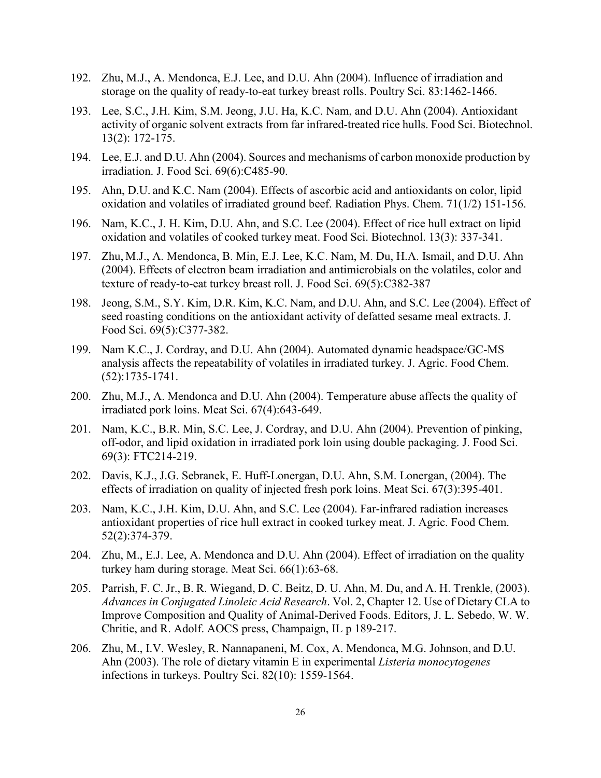- 192. Zhu, M.J., A. Mendonca, E.J. Lee, and D.U. Ahn (2004). Influence of irradiation and storage on the quality of ready-to-eat turkey breast rolls. Poultry Sci. 83:1462-1466.
- 193. Lee, S.C., J.H. Kim, S.M. Jeong, J.U. Ha, K.C. Nam, and D.U. Ahn (2004). Antioxidant activity of organic solvent extracts from far infrared-treated rice hulls. Food Sci. Biotechnol. 13(2): 172-175.
- 194. Lee, E.J. and D.U. Ahn (2004). Sources and mechanisms of carbon monoxide production by irradiation. J. Food Sci. 69(6):C485-90.
- 195. Ahn, D.U. and K.C. Nam (2004). Effects of ascorbic acid and antioxidants on color, lipid oxidation and volatiles of irradiated ground beef. Radiation Phys. Chem. 71(1/2) 151-156.
- 196. Nam, K.C., J. H. Kim, D.U. Ahn, and S.C. Lee (2004). Effect of rice hull extract on lipid oxidation and volatiles of cooked turkey meat. Food Sci. Biotechnol. 13(3): 337-341.
- 197. Zhu, M.J., A. Mendonca, B. Min, E.J. Lee, K.C. Nam, M. Du, H.A. Ismail, and D.U. Ahn (2004). Effects of electron beam irradiation and antimicrobials on the volatiles, color and texture of ready-to-eat turkey breast roll. J. Food Sci. 69(5):C382-387
- 198. Jeong, S.M., S.Y. Kim, D.R. Kim, K.C. Nam, and D.U. Ahn, and S.C. Lee (2004). Effect of seed roasting conditions on the antioxidant activity of defatted sesame meal extracts. J. Food Sci. 69(5):C377-382.
- 199. Nam K.C., J. Cordray, and D.U. Ahn (2004). Automated dynamic headspace/GC-MS analysis affects the repeatability of volatiles in irradiated turkey. J. Agric. Food Chem. (52):1735-1741.
- 200. Zhu, M.J., A. Mendonca and D.U. Ahn (2004). Temperature abuse affects the quality of irradiated pork loins. Meat Sci. 67(4):643-649.
- 201. Nam, K.C., B.R. Min, S.C. Lee, J. Cordray, and D.U. Ahn (2004). Prevention of pinking, off-odor, and lipid oxidation in irradiated pork loin using double packaging. J. Food Sci. 69(3): FTC214-219.
- 202. Davis, K.J., J.G. Sebranek, E. Huff-Lonergan, D.U. Ahn, S.M. Lonergan, (2004). The effects of irradiation on quality of injected fresh pork loins. Meat Sci. 67(3):395-401.
- 203. Nam, K.C., J.H. Kim, D.U. Ahn, and S.C. Lee (2004). Far-infrared radiation increases antioxidant properties of rice hull extract in cooked turkey meat. J. Agric. Food Chem. 52(2):374-379.
- 204. Zhu, M., E.J. Lee, A. Mendonca and D.U. Ahn (2004). Effect of irradiation on the quality turkey ham during storage. Meat Sci. 66(1):63-68.
- 205. Parrish, F. C. Jr., B. R. Wiegand, D. C. Beitz, D. U. Ahn, M. Du, and A. H. Trenkle, (2003). *Advances in Conjugated Linoleic Acid Research*. Vol. 2, Chapter 12. Use of Dietary CLA to Improve Composition and Quality of Animal-Derived Foods. Editors, J. L. Sebedo, W. W. Chritie, and R. Adolf. AOCS press, Champaign, IL p 189-217.
- 206. Zhu, M., I.V. Wesley, R. Nannapaneni, M. Cox, A. Mendonca, M.G. Johnson, and D.U. Ahn (2003). The role of dietary vitamin E in experimental *Listeria monocytogenes* infections in turkeys. Poultry Sci. 82(10): 1559-1564.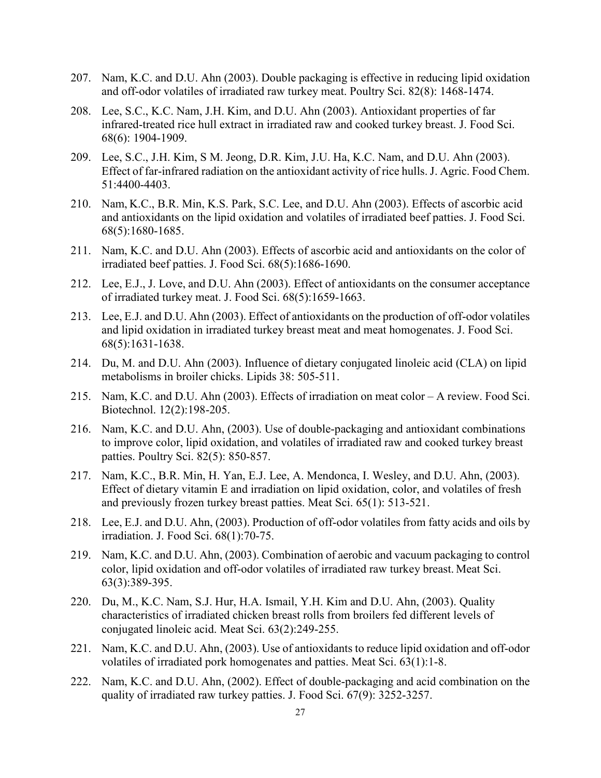- 207. Nam, K.C. and D.U. Ahn (2003). Double packaging is effective in reducing lipid oxidation and off-odor volatiles of irradiated raw turkey meat. Poultry Sci. 82(8): 1468-1474.
- 208. Lee, S.C., K.C. Nam, J.H. Kim, and D.U. Ahn (2003). Antioxidant properties of far infrared-treated rice hull extract in irradiated raw and cooked turkey breast. J. Food Sci. 68(6): 1904-1909.
- 209. Lee, S.C., J.H. Kim, S M. Jeong, D.R. Kim, J.U. Ha, K.C. Nam, and D.U. Ahn (2003). Effect of far-infrared radiation on the antioxidant activity of rice hulls. J. Agric. Food Chem. 51:4400-4403.
- 210. Nam, K.C., B.R. Min, K.S. Park, S.C. Lee, and D.U. Ahn (2003). Effects of ascorbic acid and antioxidants on the lipid oxidation and volatiles of irradiated beef patties. J. Food Sci. 68(5):1680-1685.
- 211. Nam, K.C. and D.U. Ahn (2003). Effects of ascorbic acid and antioxidants on the color of irradiated beef patties. J. Food Sci. 68(5):1686-1690.
- 212. Lee, E.J., J. Love, and D.U. Ahn (2003). Effect of antioxidants on the consumer acceptance of irradiated turkey meat. J. Food Sci. 68(5):1659-1663.
- 213. Lee, E.J. and D.U. Ahn (2003). Effect of antioxidants on the production of off-odor volatiles and lipid oxidation in irradiated turkey breast meat and meat homogenates. J. Food Sci. 68(5):1631-1638.
- 214. Du, M. and D.U. Ahn (2003). Influence of dietary conjugated linoleic acid (CLA) on lipid metabolisms in broiler chicks. Lipids 38: 505-511.
- 215. Nam, K.C. and D.U. Ahn (2003). Effects of irradiation on meat color A review. Food Sci. Biotechnol. 12(2):198-205.
- 216. Nam, K.C. and D.U. Ahn, (2003). Use of double-packaging and antioxidant combinations to improve color, lipid oxidation, and volatiles of irradiated raw and cooked turkey breast patties. Poultry Sci. 82(5): 850-857.
- 217. Nam, K.C., B.R. Min, H. Yan, E.J. Lee, A. Mendonca, I. Wesley, and D.U. Ahn, (2003). Effect of dietary vitamin E and irradiation on lipid oxidation, color, and volatiles of fresh and previously frozen turkey breast patties. Meat Sci. 65(1): 513-521.
- 218. Lee, E.J. and D.U. Ahn, (2003). Production of off-odor volatiles from fatty acids and oils by irradiation. J. Food Sci. 68(1):70-75.
- 219. Nam, K.C. and D.U. Ahn, (2003). Combination of aerobic and vacuum packaging to control color, lipid oxidation and off-odor volatiles of irradiated raw turkey breast. Meat Sci. 63(3):389-395.
- 220. Du, M., K.C. Nam, S.J. Hur, H.A. Ismail, Y.H. Kim and D.U. Ahn, (2003). Quality characteristics of irradiated chicken breast rolls from broilers fed different levels of conjugated linoleic acid. Meat Sci. 63(2):249-255.
- 221. Nam, K.C. and D.U. Ahn, (2003). Use of antioxidants to reduce lipid oxidation and off-odor volatiles of irradiated pork homogenates and patties. Meat Sci. 63(1):1-8.
- 222. Nam, K.C. and D.U. Ahn, (2002). Effect of double-packaging and acid combination on the quality of irradiated raw turkey patties. J. Food Sci. 67(9): 3252-3257.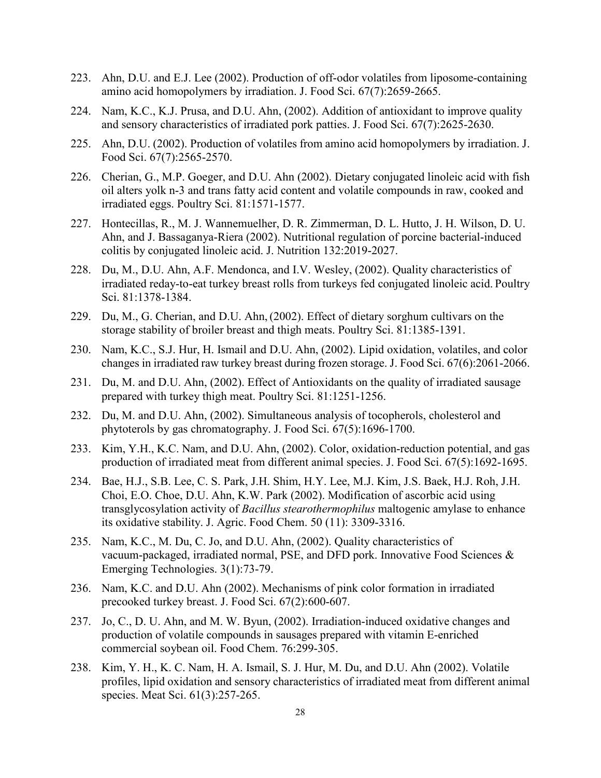- 223. Ahn, D.U. and E.J. Lee (2002). Production of off-odor volatiles from liposome-containing amino acid homopolymers by irradiation. J. Food Sci. 67(7):2659-2665.
- 224. Nam, K.C., K.J. Prusa, and D.U. Ahn, (2002). Addition of antioxidant to improve quality and sensory characteristics of irradiated pork patties. J. Food Sci. 67(7):2625-2630.
- 225. Ahn, D.U. (2002). Production of volatiles from amino acid homopolymers by irradiation. J. Food Sci. 67(7):2565-2570.
- 226. Cherian, G., M.P. Goeger, and D.U. Ahn (2002). Dietary conjugated linoleic acid with fish oil alters yolk n-3 and trans fatty acid content and volatile compounds in raw, cooked and irradiated eggs. Poultry Sci. 81:1571-1577.
- 227. Hontecillas, R., M. J. Wannemuelher, D. R. Zimmerman, D. L. Hutto, J. H. Wilson, D. U. Ahn, and J. Bassaganya-Riera (2002). Nutritional regulation of porcine bacterial-induced colitis by conjugated linoleic acid. J. Nutrition 132:2019-2027.
- 228. Du, M., D.U. Ahn, A.F. Mendonca, and I.V. Wesley, (2002). Quality characteristics of irradiated reday-to-eat turkey breast rolls from turkeys fed conjugated linoleic acid. Poultry Sci. 81:1378-1384.
- 229. Du, M., G. Cherian, and D.U. Ahn, (2002). Effect of dietary sorghum cultivars on the storage stability of broiler breast and thigh meats. Poultry Sci. 81:1385-1391.
- 230. Nam, K.C., S.J. Hur, H. Ismail and D.U. Ahn, (2002). Lipid oxidation, volatiles, and color changes in irradiated raw turkey breast during frozen storage. J. Food Sci. 67(6):2061-2066.
- 231. Du, M. and D.U. Ahn, (2002). Effect of Antioxidants on the quality of irradiated sausage prepared with turkey thigh meat. Poultry Sci. 81:1251-1256.
- 232. Du, M. and D.U. Ahn, (2002). Simultaneous analysis of tocopherols, cholesterol and phytoterols by gas chromatography. J. Food Sci. 67(5):1696-1700.
- 233. Kim, Y.H., K.C. Nam, and D.U. Ahn, (2002). Color, oxidation-reduction potential, and gas production of irradiated meat from different animal species. J. Food Sci. 67(5):1692-1695.
- 234. Bae, H.J., S.B. Lee, C. S. Park, J.H. Shim, H.Y. Lee, M.J. Kim, J.S. Baek, H.J. Roh, J.H. Choi, E.O. Choe, D.U. Ahn, K.W. Park (2002). Modification of ascorbic acid using transglycosylation activity of *Bacillus stearothermophilus* maltogenic amylase to enhance its oxidative stability. J. Agric. Food Chem. 50 (11): 3309-3316.
- 235. Nam, K.C., M. Du, C. Jo, and D.U. Ahn, (2002). Quality characteristics of vacuum-packaged, irradiated normal, PSE, and DFD pork. Innovative Food Sciences & Emerging Technologies. 3(1):73-79.
- 236. Nam, K.C. and D.U. Ahn (2002). Mechanisms of pink color formation in irradiated precooked turkey breast. J. Food Sci. 67(2):600-607.
- 237. Jo, C., D. U. Ahn, and M. W. Byun, (2002). Irradiation-induced oxidative changes and production of volatile compounds in sausages prepared with vitamin E-enriched commercial soybean oil. Food Chem. 76:299-305.
- 238. Kim, Y. H., K. C. Nam, H. A. Ismail, S. J. Hur, M. Du, and D.U. Ahn (2002). Volatile profiles, lipid oxidation and sensory characteristics of irradiated meat from different animal species. Meat Sci. 61(3):257-265.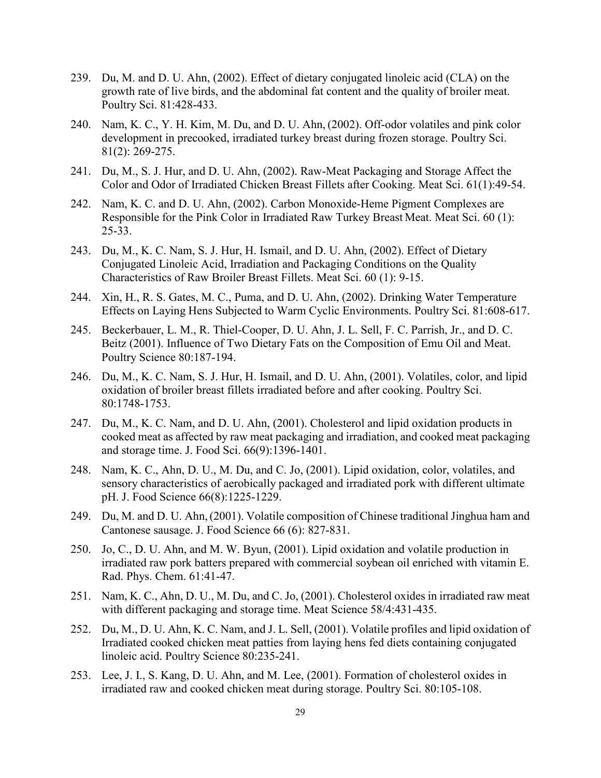- 239. Du, M. and D. U. Ahn, (2002). Effect of dietary conjugated linoleic acid (CLA) on the growth rate of live birds, and the abdominal fat content and the quality of broiler meat. Poultry Sci. 81:428-433.
- 240. Nam, K. C., Y. H. Kim, M. Du, and D. U. Ahn, (2002). Off-odor volatiles and pink color development in precooked, irradiated turkey breast during frozen storage. Poultry Sci. 81(2): 269-275.
- 241. Du, M., S. J. Hur, and D. U. Ahn, (2002). Raw-Meat Packaging and Storage Affect the Color and Odor of Irradiated Chicken Breast Fillets after Cooking. Meat Sci. 61(1):49-54.
- 242. Nam, K. C. and D. U. Ahn, (2002). Carbon Monoxide-Heme Pigment Complexes are Responsible for the Pink Color in Irradiated Raw Turkey Breast Meat. Meat Sci. 60 (1): 25-33.
- 243. Du, M., K. C. Nam, S. J. Hur, H. Ismail, and D. U. Ahn, (2002). Effect of Dietary Conjugated Linoleic Acid, Irradiation and Packaging Conditions on the Quality Characteristics of Raw Broiler Breast Fillets. Meat Sci. 60 (1): 9-15.
- 244. Xin, H., R. S. Gates, M. C., Puma, and D. U. Ahn, (2002). Drinking Water Temperature Effects on Laying Hens Subjected to Warm Cyclic Environments. Poultry Sci. 81:608-617.
- 245. Beckerbauer, L. M., R. Thiel-Cooper, D. U. Ahn, J. L. Sell, F. C. Parrish, Jr., and D. C. Beitz (2001). Influence of Two Dietary Fats on the Composition of Emu Oil and Meat. Poultry Science 80:187-194.
- 246. Du, M., K. C. Nam, S. J. Hur, H. Ismail, and D. U. Ahn, (2001). Volatiles, color, and lipid oxidation of broiler breast fillets irradiated before and after cooking. Poultry Sci. 80:1748-1753.
- 247. Du, M., K. C. Nam, and D. U. Ahn, (2001). Cholesterol and lipid oxidation products in cooked meat as affected by raw meat packaging and irradiation, and cooked meat packaging and storage time. J. Food Sci. 66(9):1396-1401.
- 248. Nam, K. C., Ahn, D. U., M. Du, and C. Jo, (2001). Lipid oxidation, color, volatiles, and sensory characteristics of aerobically packaged and irradiated pork with different ultimate pH. J. Food Science 66(8):1225-1229.
- 249. Du, M. and D. U. Ahn,(2001). Volatile composition of Chinese traditional Jinghua ham and Cantonese sausage. J. Food Science 66 (6): 827-831.
- 250. Jo, C., D. U. Ahn, and M. W. Byun, (2001). Lipid oxidation and volatile production in irradiated raw pork batters prepared with commercial soybean oil enriched with vitamin E. Rad. Phys. Chem. 61:41-47.
- 251. Nam, K. C., Ahn, D. U., M. Du, and C. Jo, (2001). Cholesterol oxides in irradiated raw meat with different packaging and storage time. Meat Science 58/4:431-435.
- 252. Du, M., D. U. Ahn, K. C. Nam, and J. L. Sell, (2001). Volatile profiles and lipid oxidation of Irradiated cooked chicken meat patties from laying hens fed diets containing conjugated linoleic acid. Poultry Science 80:235-241.
- 253. Lee, J. I., S. Kang, D. U. Ahn, and M. Lee, (2001). Formation of cholesterol oxides in irradiated raw and cooked chicken meat during storage. Poultry Sci. 80:105-108.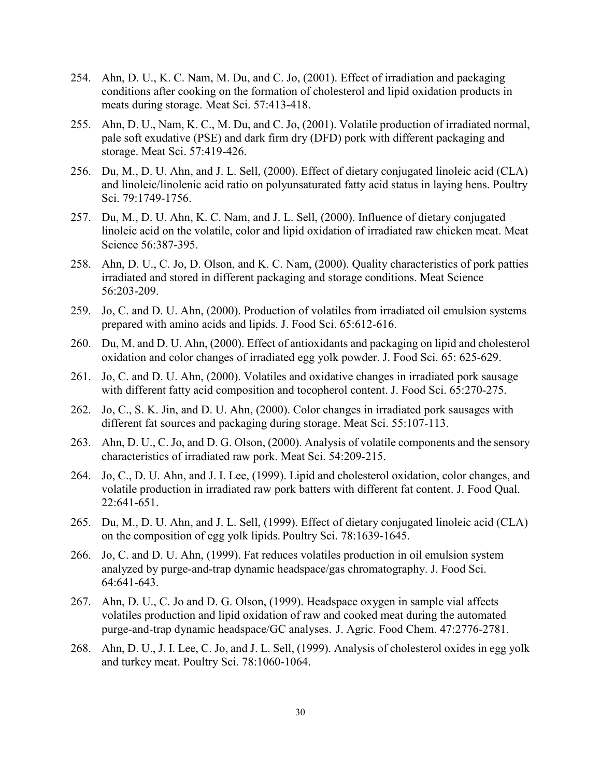- 254. Ahn, D. U., K. C. Nam, M. Du, and C. Jo, (2001). Effect of irradiation and packaging conditions after cooking on the formation of cholesterol and lipid oxidation products in meats during storage. Meat Sci. 57:413-418.
- 255. Ahn, D. U., Nam, K. C., M. Du, and C. Jo, (2001). Volatile production of irradiated normal, pale soft exudative (PSE) and dark firm dry (DFD) pork with different packaging and storage. Meat Sci. 57:419-426.
- 256. Du, M., D. U. Ahn, and J. L. Sell, (2000). Effect of dietary conjugated linoleic acid (CLA) and linoleic/linolenic acid ratio on polyunsaturated fatty acid status in laying hens. Poultry Sci. 79:1749-1756.
- 257. Du, M., D. U. Ahn, K. C. Nam, and J. L. Sell, (2000). Influence of dietary conjugated linoleic acid on the volatile, color and lipid oxidation of irradiated raw chicken meat. Meat Science 56:387-395.
- 258. Ahn, D. U., C. Jo, D. Olson, and K. C. Nam, (2000). Quality characteristics of pork patties irradiated and stored in different packaging and storage conditions. Meat Science 56:203-209.
- 259. Jo, C. and D. U. Ahn, (2000). Production of volatiles from irradiated oil emulsion systems prepared with amino acids and lipids. J. Food Sci. 65:612-616.
- 260. Du, M. and D. U. Ahn, (2000). Effect of antioxidants and packaging on lipid and cholesterol oxidation and color changes of irradiated egg yolk powder. J. Food Sci. 65: 625-629.
- 261. Jo, C. and D. U. Ahn, (2000). Volatiles and oxidative changes in irradiated pork sausage with different fatty acid composition and tocopherol content. J. Food Sci. 65:270-275.
- 262. Jo, C., S. K. Jin, and D. U. Ahn, (2000). Color changes in irradiated pork sausages with different fat sources and packaging during storage. Meat Sci. 55:107-113.
- 263. Ahn, D. U., C. Jo, and D. G. Olson, (2000). Analysis of volatile components and the sensory characteristics of irradiated raw pork. Meat Sci. 54:209-215.
- 264. Jo, C., D. U. Ahn, and J. I. Lee, (1999). Lipid and cholesterol oxidation, color changes, and volatile production in irradiated raw pork batters with different fat content. J. Food Qual. 22:641-651.
- 265. Du, M., D. U. Ahn, and J. L. Sell, (1999). Effect of dietary conjugated linoleic acid (CLA) on the composition of egg yolk lipids. Poultry Sci. 78:1639-1645.
- 266. Jo, C. and D. U. Ahn, (1999). Fat reduces volatiles production in oil emulsion system analyzed by purge-and-trap dynamic headspace/gas chromatography. J. Food Sci. 64:641-643.
- 267. Ahn, D. U., C. Jo and D. G. Olson, (1999). Headspace oxygen in sample vial affects volatiles production and lipid oxidation of raw and cooked meat during the automated purge-and-trap dynamic headspace/GC analyses. J. Agric. Food Chem. 47:2776-2781.
- 268. Ahn, D. U., J. I. Lee, C. Jo, and J. L. Sell, (1999). Analysis of cholesterol oxides in egg yolk and turkey meat. Poultry Sci. 78:1060-1064.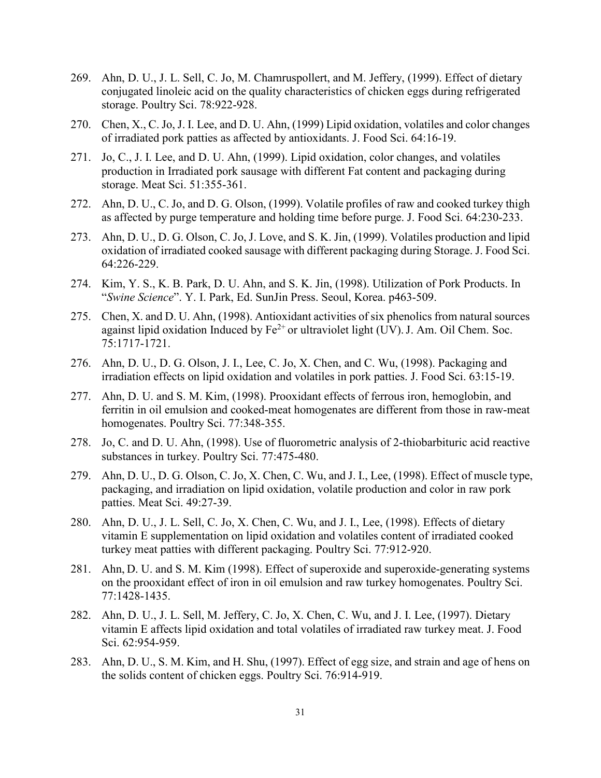- 269. Ahn, D. U., J. L. Sell, C. Jo, M. Chamruspollert, and M. Jeffery, (1999). Effect of dietary conjugated linoleic acid on the quality characteristics of chicken eggs during refrigerated storage. Poultry Sci. 78:922-928.
- 270. Chen, X., C. Jo, J. I. Lee, and D. U. Ahn, (1999) Lipid oxidation, volatiles and color changes of irradiated pork patties as affected by antioxidants. J. Food Sci. 64:16-19.
- 271. Jo, C., J. I. Lee, and D. U. Ahn, (1999). Lipid oxidation, color changes, and volatiles production in Irradiated pork sausage with different Fat content and packaging during storage. Meat Sci. 51:355-361.
- 272. Ahn, D. U., C. Jo, and D. G. Olson, (1999). Volatile profiles of raw and cooked turkey thigh as affected by purge temperature and holding time before purge. J. Food Sci. 64:230-233.
- 273. Ahn, D. U., D. G. Olson, C. Jo, J. Love, and S. K. Jin, (1999). Volatiles production and lipid oxidation of irradiated cooked sausage with different packaging during Storage. J. Food Sci. 64:226-229.
- 274. Kim, Y. S., K. B. Park, D. U. Ahn, and S. K. Jin, (1998). Utilization of Pork Products. In "*Swine Science*". Y. I. Park, Ed. SunJin Press. Seoul, Korea. p463-509.
- 275. Chen, X. and D. U. Ahn, (1998). Antioxidant activities of six phenolics from natural sources against lipid oxidation Induced by  $Fe^{2+}$  or ultraviolet light (UV). J. Am. Oil Chem. Soc. 75:1717-1721.
- 276. Ahn, D. U., D. G. Olson, J. I., Lee, C. Jo, X. Chen, and C. Wu, (1998). Packaging and irradiation effects on lipid oxidation and volatiles in pork patties. J. Food Sci. 63:15-19.
- 277. Ahn, D. U. and S. M. Kim, (1998). Prooxidant effects of ferrous iron, hemoglobin, and ferritin in oil emulsion and cooked-meat homogenates are different from those in raw-meat homogenates. Poultry Sci. 77:348-355.
- 278. Jo, C. and D. U. Ahn, (1998). Use of fluorometric analysis of 2-thiobarbituric acid reactive substances in turkey. Poultry Sci. 77:475-480.
- 279. Ahn, D. U., D. G. Olson, C. Jo, X. Chen, C. Wu, and J. I., Lee, (1998). Effect of muscle type, packaging, and irradiation on lipid oxidation, volatile production and color in raw pork patties. Meat Sci. 49:27-39.
- 280. Ahn, D. U., J. L. Sell, C. Jo, X. Chen, C. Wu, and J. I., Lee, (1998). Effects of dietary vitamin E supplementation on lipid oxidation and volatiles content of irradiated cooked turkey meat patties with different packaging. Poultry Sci. 77:912-920.
- 281. Ahn, D. U. and S. M. Kim (1998). Effect of superoxide and superoxide-generating systems on the prooxidant effect of iron in oil emulsion and raw turkey homogenates. Poultry Sci. 77:1428-1435.
- 282. Ahn, D. U., J. L. Sell, M. Jeffery, C. Jo, X. Chen, C. Wu, and J. I. Lee, (1997). Dietary vitamin E affects lipid oxidation and total volatiles of irradiated raw turkey meat. J. Food Sci. 62:954-959.
- 283. Ahn, D. U., S. M. Kim, and H. Shu, (1997). Effect of egg size, and strain and age of hens on the solids content of chicken eggs. Poultry Sci. 76:914-919.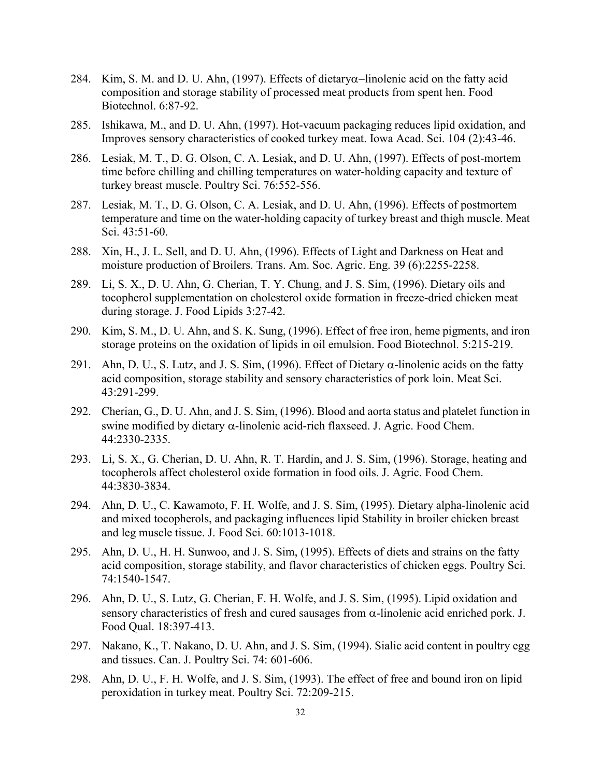- 284. Kim, S. M. and D. U. Ahn, (1997). Effects of dietaryα−linolenic acid on the fatty acid composition and storage stability of processed meat products from spent hen. Food Biotechnol. 6:87-92.
- 285. Ishikawa, M., and D. U. Ahn, (1997). Hot-vacuum packaging reduces lipid oxidation, and Improves sensory characteristics of cooked turkey meat. Iowa Acad. Sci. 104 (2):43-46.
- 286. Lesiak, M. T., D. G. Olson, C. A. Lesiak, and D. U. Ahn, (1997). Effects of post-mortem time before chilling and chilling temperatures on water-holding capacity and texture of turkey breast muscle. Poultry Sci. 76:552-556.
- 287. Lesiak, M. T., D. G. Olson, C. A. Lesiak, and D. U. Ahn, (1996). Effects of postmortem temperature and time on the water-holding capacity of turkey breast and thigh muscle. Meat Sci. 43:51-60.
- 288. Xin, H., J. L. Sell, and D. U. Ahn, (1996). Effects of Light and Darkness on Heat and moisture production of Broilers. Trans. Am. Soc. Agric. Eng. 39 (6):2255-2258.
- 289. Li, S. X., D. U. Ahn, G. Cherian, T. Y. Chung, and J. S. Sim, (1996). Dietary oils and tocopherol supplementation on cholesterol oxide formation in freeze-dried chicken meat during storage. J. Food Lipids 3:27-42.
- 290. Kim, S. M., D. U. Ahn, and S. K. Sung, (1996). Effect of free iron, heme pigments, and iron storage proteins on the oxidation of lipids in oil emulsion. Food Biotechnol. 5:215-219.
- 291. Ahn, D. U., S. Lutz, and J. S. Sim, (1996). Effect of Dietary  $\alpha$ -linolenic acids on the fatty acid composition, storage stability and sensory characteristics of pork loin. Meat Sci. 43:291-299.
- 292. Cherian, G., D. U. Ahn, and J. S. Sim, (1996). Blood and aorta status and platelet function in swine modified by dietary α-linolenic acid-rich flaxseed. J. Agric. Food Chem. 44:2330-2335.
- 293. Li, S. X., G. Cherian, D. U. Ahn, R. T. Hardin, and J. S. Sim, (1996). Storage, heating and tocopherols affect cholesterol oxide formation in food oils. J. Agric. Food Chem. 44:3830-3834.
- 294. Ahn, D. U., C. Kawamoto, F. H. Wolfe, and J. S. Sim, (1995). Dietary alpha-linolenic acid and mixed tocopherols, and packaging influences lipid Stability in broiler chicken breast and leg muscle tissue. J. Food Sci. 60:1013-1018.
- 295. Ahn, D. U., H. H. Sunwoo, and J. S. Sim, (1995). Effects of diets and strains on the fatty acid composition, storage stability, and flavor characteristics of chicken eggs. Poultry Sci. 74:1540-1547.
- 296. Ahn, D. U., S. Lutz, G. Cherian, F. H. Wolfe, and J. S. Sim, (1995). Lipid oxidation and sensory characteristics of fresh and cured sausages from  $\alpha$ -linolenic acid enriched pork. J. Food Qual. 18:397-413.
- 297. Nakano, K., T. Nakano, D. U. Ahn, and J. S. Sim, (1994). Sialic acid content in poultry egg and tissues. Can. J. Poultry Sci. 74: 601-606.
- 298. Ahn, D. U., F. H. Wolfe, and J. S. Sim, (1993). The effect of free and bound iron on lipid peroxidation in turkey meat. Poultry Sci. 72:209-215.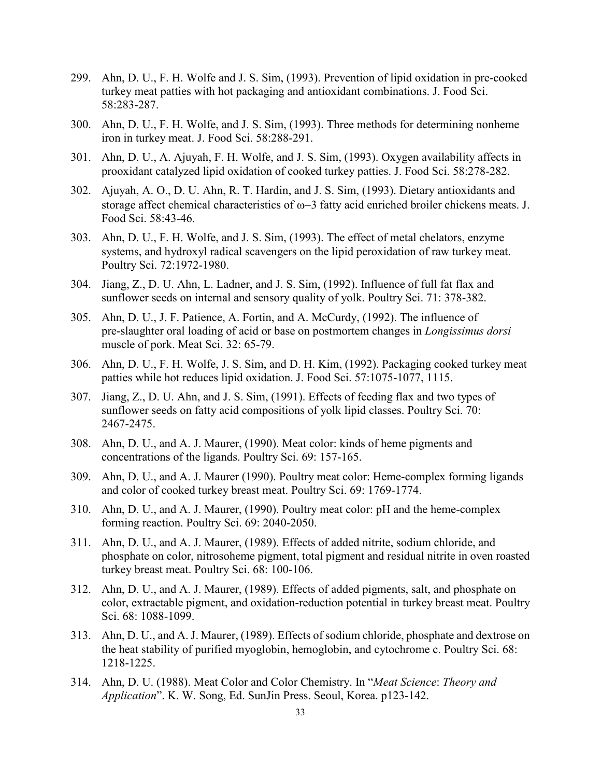- 299. Ahn, D. U., F. H. Wolfe and J. S. Sim, (1993). Prevention of lipid oxidation in pre-cooked turkey meat patties with hot packaging and antioxidant combinations. J. Food Sci. 58:283-287.
- 300. Ahn, D. U., F. H. Wolfe, and J. S. Sim, (1993). Three methods for determining nonheme iron in turkey meat. J. Food Sci. 58:288-291.
- 301. Ahn, D. U., A. Ajuyah, F. H. Wolfe, and J. S. Sim, (1993). Oxygen availability affects in prooxidant catalyzed lipid oxidation of cooked turkey patties. J. Food Sci. 58:278-282.
- 302. Ajuyah, A. O., D. U. Ahn, R. T. Hardin, and J. S. Sim, (1993). Dietary antioxidants and storage affect chemical characteristics of ω−3 fatty acid enriched broiler chickens meats. J. Food Sci. 58:43-46.
- 303. Ahn, D. U., F. H. Wolfe, and J. S. Sim, (1993). The effect of metal chelators, enzyme systems, and hydroxyl radical scavengers on the lipid peroxidation of raw turkey meat. Poultry Sci. 72:1972-1980.
- 304. Jiang, Z., D. U. Ahn, L. Ladner, and J. S. Sim, (1992). Influence of full fat flax and sunflower seeds on internal and sensory quality of yolk. Poultry Sci. 71: 378-382.
- 305. Ahn, D. U., J. F. Patience, A. Fortin, and A. McCurdy, (1992). The influence of pre-slaughter oral loading of acid or base on postmortem changes in *Longissimus dorsi* muscle of pork. Meat Sci. 32: 65-79.
- 306. Ahn, D. U., F. H. Wolfe, J. S. Sim, and D. H. Kim, (1992). Packaging cooked turkey meat patties while hot reduces lipid oxidation. J. Food Sci. 57:1075-1077, 1115.
- 307. Jiang, Z., D. U. Ahn, and J. S. Sim, (1991). Effects of feeding flax and two types of sunflower seeds on fatty acid compositions of yolk lipid classes. Poultry Sci. 70: 2467-2475.
- 308. Ahn, D. U., and A. J. Maurer, (1990). Meat color: kinds of heme pigments and concentrations of the ligands. Poultry Sci. 69: 157-165.
- 309. Ahn, D. U., and A. J. Maurer (1990). Poultry meat color: Heme-complex forming ligands and color of cooked turkey breast meat. Poultry Sci. 69: 1769-1774.
- 310. Ahn, D. U., and A. J. Maurer, (1990). Poultry meat color: pH and the heme-complex forming reaction. Poultry Sci. 69: 2040-2050.
- 311. Ahn, D. U., and A. J. Maurer, (1989). Effects of added nitrite, sodium chloride, and phosphate on color, nitrosoheme pigment, total pigment and residual nitrite in oven roasted turkey breast meat. Poultry Sci. 68: 100-106.
- 312. Ahn, D. U., and A. J. Maurer, (1989). Effects of added pigments, salt, and phosphate on color, extractable pigment, and oxidation-reduction potential in turkey breast meat. Poultry Sci. 68: 1088-1099.
- 313. Ahn, D. U., and A. J. Maurer, (1989). Effects of sodium chloride, phosphate and dextrose on the heat stability of purified myoglobin, hemoglobin, and cytochrome c. Poultry Sci. 68: 1218-1225.
- 314. Ahn, D. U. (1988). Meat Color and Color Chemistry. In "*Meat Science*: *Theory and Application*". K. W. Song, Ed. SunJin Press. Seoul, Korea. p123-142.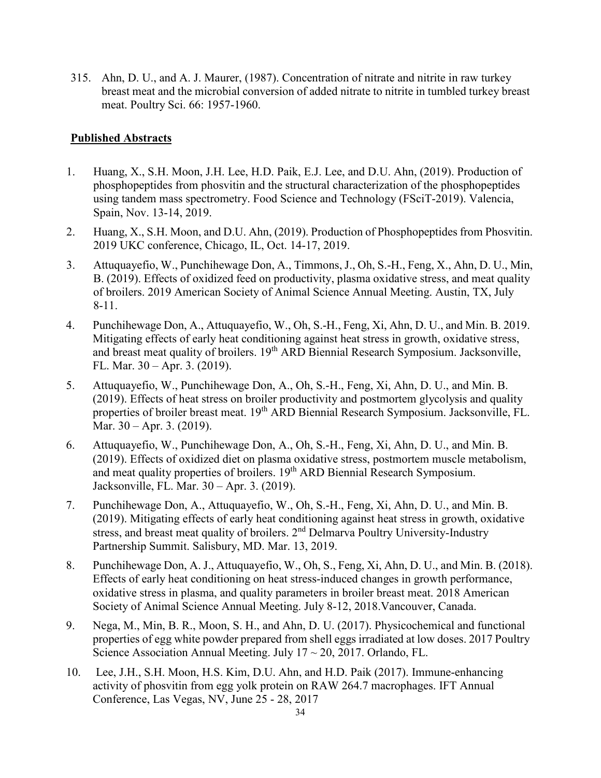315. Ahn, D. U., and A. J. Maurer, (1987). Concentration of nitrate and nitrite in raw turkey breast meat and the microbial conversion of added nitrate to nitrite in tumbled turkey breast meat. Poultry Sci. 66: 1957-1960.

#### **Published Abstracts**

- 1. Huang, X., S.H. Moon, J.H. Lee, H.D. Paik, E.J. Lee, and D.U. Ahn, (2019). Production of phosphopeptides from phosvitin and the structural characterization of the phosphopeptides using tandem mass spectrometry. Food Science and Technology (FSciT-2019). Valencia, Spain, Nov. 13-14, 2019.
- 2. Huang, X., S.H. Moon, and D.U. Ahn, (2019). Production of Phosphopeptides from Phosvitin. 2019 UKC conference, Chicago, IL, Oct. 14-17, 2019.
- 3. Attuquayefio, W., Punchihewage Don, A., Timmons, J., Oh, S.-H., Feng, X., Ahn, D. U., Min, B. (2019). Effects of oxidized feed on productivity, plasma oxidative stress, and meat quality of broilers. 2019 American Society of Animal Science Annual Meeting. Austin, TX, July 8-11.
- 4. Punchihewage Don, A., Attuquayefio, W., Oh, S.-H., Feng, Xi, Ahn, D. U., and Min. B. 2019. Mitigating effects of early heat conditioning against heat stress in growth, oxidative stress, and breast meat quality of broilers. 19<sup>th</sup> ARD Biennial Research Symposium. Jacksonville, FL. Mar. 30 – Apr. 3. (2019).
- 5. Attuquayefio, W., Punchihewage Don, A., Oh, S.-H., Feng, Xi, Ahn, D. U., and Min. B. (2019). Effects of heat stress on broiler productivity and postmortem glycolysis and quality properties of broiler breast meat. 19<sup>th</sup> ARD Biennial Research Symposium. Jacksonville, FL. Mar. 30 – Apr. 3. (2019).
- 6. Attuquayefio, W., Punchihewage Don, A., Oh, S.-H., Feng, Xi, Ahn, D. U., and Min. B. (2019). Effects of oxidized diet on plasma oxidative stress, postmortem muscle metabolism, and meat quality properties of broilers. 19<sup>th</sup> ARD Biennial Research Symposium. Jacksonville, FL. Mar. 30 – Apr. 3. (2019).
- 7. Punchihewage Don, A., Attuquayefio, W., Oh, S.-H., Feng, Xi, Ahn, D. U., and Min. B. (2019). Mitigating effects of early heat conditioning against heat stress in growth, oxidative stress, and breast meat quality of broilers. 2nd Delmarva Poultry University-Industry Partnership Summit. Salisbury, MD. Mar. 13, 2019.
- 8. Punchihewage Don, A. J., Attuquayefio, W., Oh, S., Feng, Xi, Ahn, D. U., and Min. B. (2018). Effects of early heat conditioning on heat stress-induced changes in growth performance, oxidative stress in plasma, and quality parameters in broiler breast meat. 2018 American Society of Animal Science Annual Meeting. July 8-12, 2018.Vancouver, Canada.
- 9. Nega, M., Min, B. R., Moon, S. H., and Ahn, D. U. (2017). Physicochemical and functional properties of egg white powder prepared from shell eggs irradiated at low doses. 2017 Poultry Science Association Annual Meeting. July  $17 \sim 20$ , 2017. Orlando, FL.
- 10. Lee, J.H., S.H. Moon, H.S. Kim, D.U. Ahn, and H.D. Paik (2017). Immune-enhancing activity of phosvitin from egg yolk protein on RAW 264.7 macrophages. IFT Annual Conference, Las Vegas, NV, June 25 - 28, 2017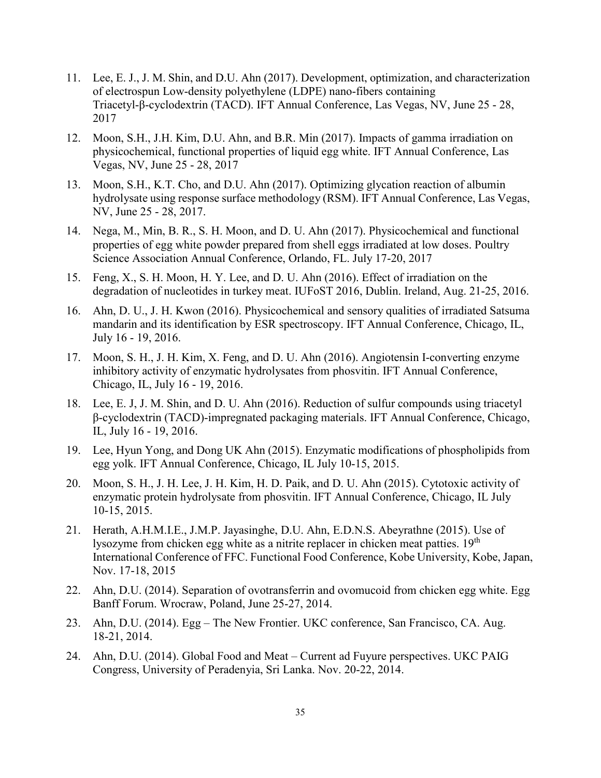- 11. Lee, E. J., J. M. Shin, and D.U. Ahn (2017). Development, optimization, and characterization of electrospun Low-density polyethylene (LDPE) nano-fibers containing Triacetyl-β-cyclodextrin (TACD). IFT Annual Conference, Las Vegas, NV, June 25 - 28, 2017
- 12. Moon, S.H., J.H. Kim, D.U. Ahn, and B.R. Min (2017). Impacts of gamma irradiation on physicochemical, functional properties of liquid egg white. IFT Annual Conference, Las Vegas, NV, June 25 - 28, 2017
- 13. Moon, S.H., K.T. Cho, and D.U. Ahn (2017). Optimizing glycation reaction of albumin hydrolysate using response surface methodology (RSM). IFT Annual Conference, Las Vegas, NV, June 25 - 28, 2017.
- 14. Nega, M., Min, B. R., S. H. Moon, and D. U. Ahn (2017). Physicochemical and functional properties of egg white powder prepared from shell eggs irradiated at low doses. Poultry Science Association Annual Conference, Orlando, FL. July 17-20, 2017
- 15. Feng, X., S. H. Moon, H. Y. Lee, and D. U. Ahn (2016). Effect of irradiation on the degradation of nucleotides in turkey meat. IUFoST 2016, Dublin. Ireland, Aug. 21-25, 2016.
- 16. Ahn, D. U., J. H. Kwon (2016). Physicochemical and sensory qualities of irradiated Satsuma mandarin and its identification by ESR spectroscopy. IFT Annual Conference, Chicago, IL, July 16 - 19, 2016.
- 17. Moon, S. H., J. H. Kim, X. Feng, and D. U. Ahn (2016). Angiotensin I-converting enzyme inhibitory activity of enzymatic hydrolysates from phosvitin. IFT Annual Conference, Chicago, IL, July 16 - 19, 2016.
- 18. Lee, E. J, J. M. Shin, and D. U. Ahn (2016). Reduction of sulfur compounds using triacetyl β-cyclodextrin (TACD)-impregnated packaging materials. IFT Annual Conference, Chicago, IL, July 16 - 19, 2016.
- 19. Lee, Hyun Yong, and Dong UK Ahn (2015). Enzymatic modifications of phospholipids from egg yolk. IFT Annual Conference, Chicago, IL July 10-15, 2015.
- 20. Moon, S. H., J. H. Lee, J. H. Kim, H. D. Paik, and D. U. Ahn (2015). Cytotoxic activity of enzymatic protein hydrolysate from phosvitin. IFT Annual Conference, Chicago, IL July 10-15, 2015.
- 21. Herath, A.H.M.I.E., J.M.P. Jayasinghe, D.U. Ahn, E.D.N.S. Abeyrathne (2015). Use of lysozyme from chicken egg white as a nitrite replacer in chicken meat patties. 19<sup>th</sup> International Conference of FFC. Functional Food Conference, Kobe University, Kobe, Japan, Nov. 17-18, 2015
- 22. Ahn, D.U. (2014). Separation of ovotransferrin and ovomucoid from chicken egg white. Egg Banff Forum. Wrocraw, Poland, June 25-27, 2014.
- 23. Ahn, D.U. (2014). Egg The New Frontier. UKC conference, San Francisco, CA. Aug. 18-21, 2014.
- 24. Ahn, D.U. (2014). Global Food and Meat Current ad Fuyure perspectives. UKC PAIG Congress, University of Peradenyia, Sri Lanka. Nov. 20-22, 2014.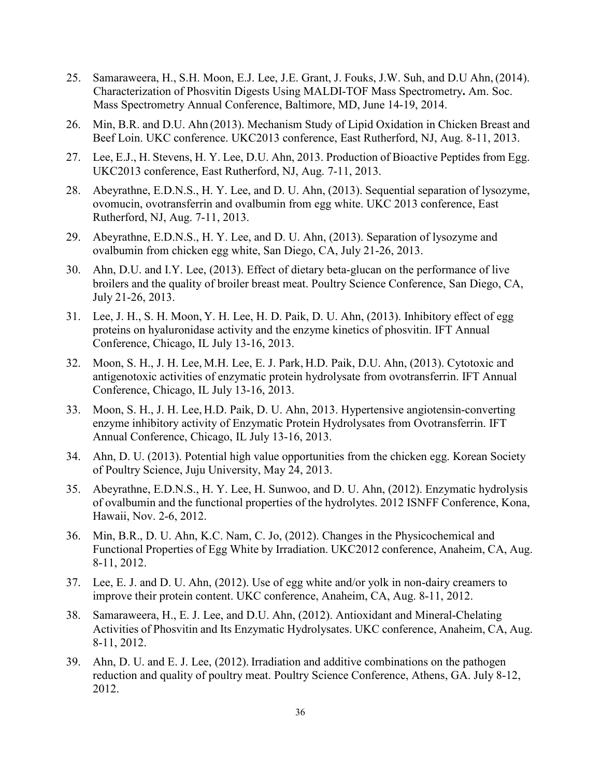- 25. Samaraweera, H., S.H. Moon, E.J. Lee, J.E. Grant, J. Fouks, J.W. Suh, and D.U Ahn, (2014). Characterization of Phosvitin Digests Using MALDI-TOF Mass Spectrometry**.** Am. Soc. Mass Spectrometry Annual Conference, Baltimore, MD, June 14-19, 2014.
- 26. Min, B.R. and D.U. Ahn (2013). Mechanism Study of Lipid Oxidation in Chicken Breast and Beef Loin. UKC conference. UKC2013 conference, East Rutherford, NJ, Aug. 8-11, 2013.
- 27. Lee, E.J., H. Stevens, H. Y. Lee, D.U. Ahn, 2013. Production of Bioactive Peptides from Egg. UKC2013 conference, East Rutherford, NJ, Aug. 7-11, 2013.
- 28. Abeyrathne, E.D.N.S., H. Y. Lee, and D. U. Ahn, (2013). Sequential separation of lysozyme, ovomucin, ovotransferrin and ovalbumin from egg white. UKC 2013 conference, East Rutherford, NJ, Aug. 7-11, 2013.
- 29. Abeyrathne, E.D.N.S., H. Y. Lee, and D. U. Ahn, (2013). Separation of lysozyme and ovalbumin from chicken egg white, San Diego, CA, July 21-26, 2013.
- 30. Ahn, D.U. and I.Y. Lee, (2013). Effect of dietary beta-glucan on the performance of live broilers and the quality of broiler breast meat. Poultry Science Conference, San Diego, CA, July 21-26, 2013.
- 31. Lee, J. H., S. H. Moon, Y. H. Lee, H. D. Paik, D. U. Ahn, (2013). Inhibitory effect of egg proteins on hyaluronidase activity and the enzyme kinetics of phosvitin. IFT Annual Conference, Chicago, IL July 13-16, 2013.
- 32. Moon, S. H., J. H. Lee, M.H. Lee, E. J. Park, H.D. Paik, D.U. Ahn, (2013). Cytotoxic and antigenotoxic activities of enzymatic protein hydrolysate from ovotransferrin. IFT Annual Conference, Chicago, IL July 13-16, 2013.
- 33. Moon, S. H., J. H. Lee, H.D. Paik, D. U. Ahn, 2013. Hypertensive angiotensin-converting enzyme inhibitory activity of Enzymatic Protein Hydrolysates from Ovotransferrin. IFT Annual Conference, Chicago, IL July 13-16, 2013.
- 34. Ahn, D. U. (2013). Potential high value opportunities from the chicken egg. Korean Society of Poultry Science, Juju University, May 24, 2013.
- 35. Abeyrathne, E.D.N.S., H. Y. Lee, H. Sunwoo, and D. U. Ahn, (2012). Enzymatic hydrolysis of ovalbumin and the functional properties of the hydrolytes. 2012 ISNFF Conference, Kona, Hawaii, Nov. 2-6, 2012.
- 36. Min, B.R., D. U. Ahn, K.C. Nam, C. Jo, (2012). Changes in the Physicochemical and Functional Properties of Egg White by Irradiation. UKC2012 conference, Anaheim, CA, Aug. 8-11, 2012.
- 37. Lee, E. J. and D. U. Ahn, (2012). Use of egg white and/or yolk in non-dairy creamers to improve their protein content. UKC conference, Anaheim, CA, Aug. 8-11, 2012.
- 38. Samaraweera, H., E. J. Lee, and D.U. Ahn, (2012). Antioxidant and Mineral-Chelating Activities of Phosvitin and Its Enzymatic Hydrolysates. UKC conference, Anaheim, CA, Aug. 8-11, 2012.
- 39. Ahn, D. U. and E. J. Lee, (2012). Irradiation and additive combinations on the pathogen reduction and quality of poultry meat. Poultry Science Conference, Athens, GA. July 8-12, 2012.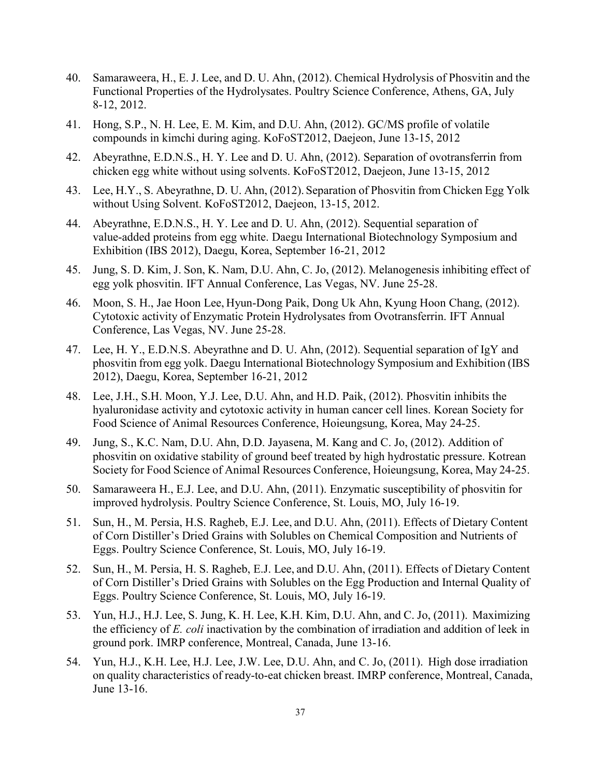- 40. Samaraweera, H., E. J. Lee, and D. U. Ahn, (2012). Chemical Hydrolysis of Phosvitin and the Functional Properties of the Hydrolysates. Poultry Science Conference, Athens, GA, July 8-12, 2012.
- 41. Hong, S.P., N. H. Lee, E. M. Kim, and D.U. Ahn, (2012). GC/MS profile of volatile compounds in kimchi during aging. KoFoST2012, Daejeon, June 13-15, 2012
- 42. Abeyrathne, E.D.N.S., H. Y. Lee and D. U. Ahn, (2012). Separation of ovotransferrin from chicken egg white without using solvents. KoFoST2012, Daejeon, June 13-15, 2012
- 43. Lee, H.Y., S. Abeyrathne, D. U. Ahn, (2012). Separation of Phosvitin from Chicken Egg Yolk without Using Solvent. KoFoST2012, Daejeon, 13-15, 2012.
- 44. Abeyrathne, E.D.N.S., H. Y. Lee and D. U. Ahn, (2012). Sequential separation of value-added proteins from egg white. Daegu International Biotechnology Symposium and Exhibition (IBS 2012), Daegu, Korea, September 16-21, 2012
- 45. Jung, S. D. Kim, J. Son, K. Nam, D.U. Ahn, C. Jo, (2012). Melanogenesis inhibiting effect of egg yolk phosvitin. IFT Annual Conference, Las Vegas, NV. June 25-28.
- 46. Moon, S. H., Jae Hoon Lee, Hyun-Dong Paik, Dong Uk Ahn, Kyung Hoon Chang, (2012). Cytotoxic activity of Enzymatic Protein Hydrolysates from Ovotransferrin. IFT Annual Conference, Las Vegas, NV. June 25-28.
- 47. Lee, H. Y., E.D.N.S. Abeyrathne and D. U. Ahn, (2012). Sequential separation of IgY and phosvitin from egg yolk. Daegu International Biotechnology Symposium and Exhibition (IBS 2012), Daegu, Korea, September 16-21, 2012
- 48. Lee, J.H., S.H. Moon, Y.J. Lee, D.U. Ahn, and H.D. Paik, (2012). Phosvitin inhibits the hyaluronidase activity and cytotoxic activity in human cancer cell lines. Korean Society for Food Science of Animal Resources Conference, Hoieungsung, Korea, May 24-25.
- 49. Jung, S., K.C. Nam, D.U. Ahn, D.D. Jayasena, M. Kang and C. Jo, (2012). Addition of phosvitin on oxidative stability of ground beef treated by high hydrostatic pressure. Kotrean Society for Food Science of Animal Resources Conference, Hoieungsung, Korea, May 24-25.
- 50. Samaraweera H., E.J. Lee, and D.U. Ahn, (2011). Enzymatic susceptibility of phosvitin for improved hydrolysis. Poultry Science Conference, St. Louis, MO, July 16-19.
- 51. Sun, H., M. Persia, H.S. Ragheb, E.J. Lee, and D.U. Ahn, (2011). Effects of Dietary Content of Corn Distiller's Dried Grains with Solubles on Chemical Composition and Nutrients of Eggs. Poultry Science Conference, St. Louis, MO, July 16-19.
- 52. Sun, H., M. Persia, H. S. Ragheb, E.J. Lee, and D.U. Ahn, (2011). Effects of Dietary Content of Corn Distiller's Dried Grains with Solubles on the Egg Production and Internal Quality of Eggs. Poultry Science Conference, St. Louis, MO, July 16-19.
- 53. Yun, H.J., H.J. Lee, S. Jung, K. H. Lee, K.H. Kim, D.U. Ahn, and C. Jo, (2011). Maximizing the efficiency of *E. coli* inactivation by the combination of irradiation and addition of leek in ground pork. IMRP conference, Montreal, Canada, June 13-16.
- 54. Yun, H.J., K.H. Lee, H.J. Lee, J.W. Lee, D.U. Ahn, and C. Jo, (2011). High dose irradiation on quality characteristics of ready-to-eat chicken breast. IMRP conference, Montreal, Canada, June 13-16.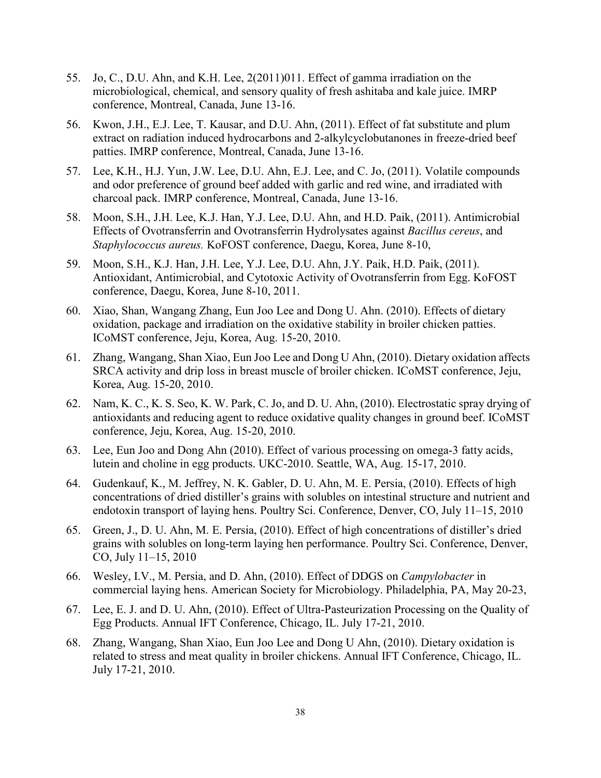- 55. Jo, C., D.U. Ahn, and K.H. Lee, 2(2011)011. Effect of gamma irradiation on the microbiological, chemical, and sensory quality of fresh ashitaba and kale juice. IMRP conference, Montreal, Canada, June 13-16.
- 56. Kwon, J.H., E.J. Lee, T. Kausar, and D.U. Ahn, (2011). Effect of fat substitute and plum extract on radiation induced hydrocarbons and 2-alkylcyclobutanones in freeze-dried beef patties. IMRP conference, Montreal, Canada, June 13-16.
- 57. Lee, K.H., H.J. Yun, J.W. Lee, D.U. Ahn, E.J. Lee, and C. Jo, (2011). Volatile compounds and odor preference of ground beef added with garlic and red wine, and irradiated with charcoal pack. IMRP conference, Montreal, Canada, June 13-16.
- 58. Moon, S.H., J.H. Lee, K.J. Han, Y.J. Lee, D.U. Ahn, and H.D. Paik, (2011). Antimicrobial Effects of Ovotransferrin and Ovotransferrin Hydrolysates against *Bacillus cereus*, and *Staphylococcus aureus.* KoFOST conference, Daegu, Korea, June 8-10,
- 59. Moon, S.H., K.J. Han, J.H. Lee, Y.J. Lee, D.U. Ahn, J.Y. Paik, H.D. Paik, (2011). Antioxidant, Antimicrobial, and Cytotoxic Activity of Ovotransferrin from Egg. KoFOST conference, Daegu, Korea, June 8-10, 2011.
- 60. Xiao, Shan, Wangang Zhang, Eun Joo Lee and Dong U. Ahn. (2010). Effects of dietary oxidation, package and irradiation on the oxidative stability in broiler chicken patties. ICoMST conference, Jeju, Korea, Aug. 15-20, 2010.
- 61. Zhang, Wangang, Shan Xiao, Eun Joo Lee and Dong U Ahn, (2010). Dietary oxidation affects SRCA activity and drip loss in breast muscle of broiler chicken. ICoMST conference, Jeju, Korea, Aug. 15-20, 2010.
- 62. Nam, K. C., K. S. Seo, K. W. Park, C. Jo, and D. U. Ahn, (2010). Electrostatic spray drying of antioxidants and reducing agent to reduce oxidative quality changes in ground beef. ICoMST conference, Jeju, Korea, Aug. 15-20, 2010.
- 63. Lee, Eun Joo and Dong Ahn (2010). Effect of various processing on omega-3 fatty acids, lutein and choline in egg products. UKC-2010. Seattle, WA, Aug. 15-17, 2010.
- 64. Gudenkauf, K., M. Jeffrey, N. K. Gabler, D. U. Ahn, M. E. Persia, (2010). Effects of high concentrations of dried distiller's grains with solubles on intestinal structure and nutrient and endotoxin transport of laying hens. Poultry Sci. Conference, Denver, CO, July 11–15, 2010
- 65. Green, J., D. U. Ahn, M. E. Persia, (2010). Effect of high concentrations of distiller's dried grains with solubles on long-term laying hen performance. Poultry Sci. Conference, Denver, CO, July 11–15, 2010
- 66. Wesley, I.V., M. Persia, and D. Ahn, (2010). Effect of DDGS on *Campylobacter* in commercial laying hens. American Society for Microbiology. Philadelphia, PA, May 20-23,
- 67. Lee, E. J. and D. U. Ahn, (2010). Effect of Ultra-Pasteurization Processing on the Quality of Egg Products. Annual IFT Conference, Chicago, IL. July 17-21, 2010.
- 68. Zhang, Wangang, Shan Xiao, Eun Joo Lee and Dong U Ahn, (2010). Dietary oxidation is related to stress and meat quality in broiler chickens. Annual IFT Conference, Chicago, IL. July 17-21, 2010.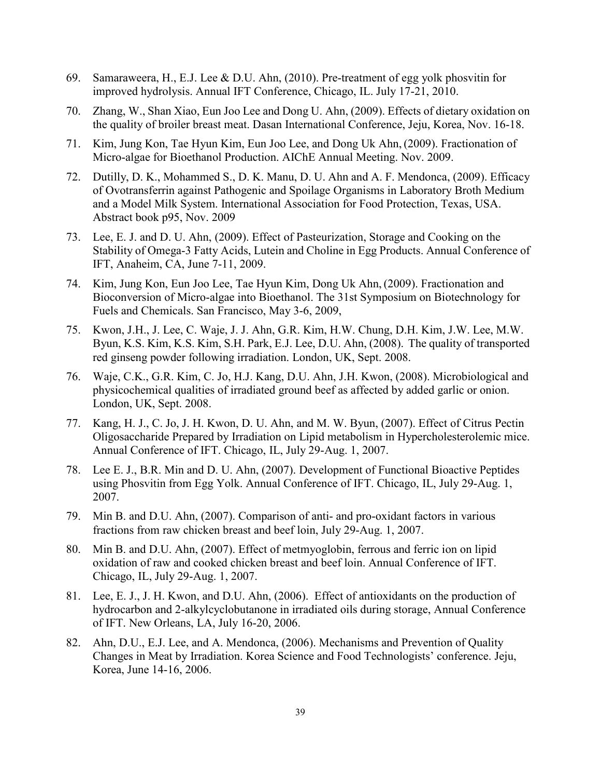- 69. Samaraweera, H., E.J. Lee & D.U. Ahn, (2010). Pre-treatment of egg yolk phosvitin for improved hydrolysis. Annual IFT Conference, Chicago, IL. July 17-21, 2010.
- 70. Zhang, W., Shan Xiao, Eun Joo Lee and Dong U. Ahn, (2009). Effects of dietary oxidation on the quality of broiler breast meat. Dasan International Conference, Jeju, Korea, Nov. 16-18.
- 71. Kim, Jung Kon, Tae Hyun Kim, Eun Joo Lee, and Dong Uk Ahn, (2009). Fractionation of Micro-algae for Bioethanol Production. AIChE Annual Meeting. Nov. 2009.
- 72. Dutilly, D. K., Mohammed S., D. K. Manu, D. U. Ahn and A. F. Mendonca, (2009). Efficacy of Ovotransferrin against Pathogenic and Spoilage Organisms in Laboratory Broth Medium and a Model Milk System. International Association for Food Protection, Texas, USA. Abstract book p95, Nov. 2009
- 73. Lee, E. J. and D. U. Ahn, (2009). Effect of Pasteurization, Storage and Cooking on the Stability of Omega-3 Fatty Acids, Lutein and Choline in Egg Products. Annual Conference of IFT, Anaheim, CA, June 7-11, 2009.
- 74. Kim, Jung Kon, Eun Joo Lee, Tae Hyun Kim, Dong Uk Ahn, (2009). Fractionation and Bioconversion of Micro-algae into Bioethanol. The 31st Symposium on Biotechnology for Fuels and Chemicals. San Francisco, May 3-6, 2009,
- 75. Kwon, J.H., J. Lee, C. Waje, J. J. Ahn, G.R. Kim, H.W. Chung, D.H. Kim, J.W. Lee, M.W. Byun, K.S. Kim, K.S. Kim, S.H. Park, E.J. Lee, D.U. Ahn, (2008). The quality of transported red ginseng powder following irradiation. London, UK, Sept. 2008.
- 76. Waje, C.K., G.R. Kim, C. Jo, H.J. Kang, D.U. Ahn, J.H. Kwon, (2008). Microbiological and physicochemical qualities of irradiated ground beef as affected by added garlic or onion. London, UK, Sept. 2008.
- 77. Kang, H. J., C. Jo, J. H. Kwon, D. U. Ahn, and M. W. Byun, (2007). Effect of Citrus Pectin Oligosaccharide Prepared by Irradiation on Lipid metabolism in Hypercholesterolemic mice. Annual Conference of IFT. Chicago, IL, July 29-Aug. 1, 2007.
- 78. Lee E. J., B.R. Min and D. U. Ahn, (2007). Development of Functional Bioactive Peptides using Phosvitin from Egg Yolk. Annual Conference of IFT. Chicago, IL, July 29-Aug. 1, 2007.
- 79. Min B. and D.U. Ahn, (2007). Comparison of anti- and pro-oxidant factors in various fractions from raw chicken breast and beef loin, July 29-Aug. 1, 2007.
- 80. Min B. and D.U. Ahn, (2007). Effect of metmyoglobin, ferrous and ferric ion on lipid oxidation of raw and cooked chicken breast and beef loin. Annual Conference of IFT. Chicago, IL, July 29-Aug. 1, 2007.
- 81. Lee, E. J., J. H. Kwon, and D.U. Ahn, (2006). Effect of antioxidants on the production of hydrocarbon and 2-alkylcyclobutanone in irradiated oils during storage, Annual Conference of IFT. New Orleans, LA, July 16-20, 2006.
- 82. Ahn, D.U., E.J. Lee, and A. Mendonca, (2006). Mechanisms and Prevention of Quality Changes in Meat by Irradiation. Korea Science and Food Technologists' conference. Jeju, Korea, June 14-16, 2006.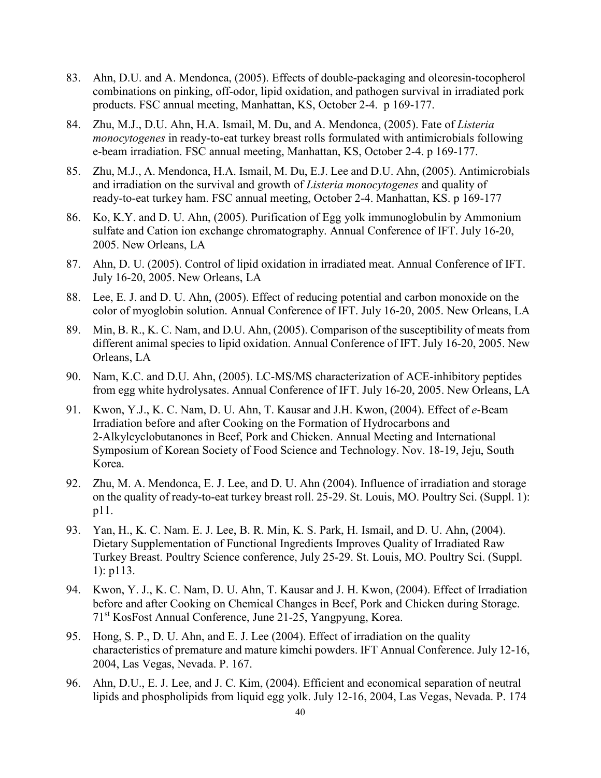- 83. Ahn, D.U. and A. Mendonca, (2005). Effects of double-packaging and oleoresin-tocopherol combinations on pinking, off-odor, lipid oxidation, and pathogen survival in irradiated pork products. FSC annual meeting, Manhattan, KS, October 2-4. p 169-177.
- 84. Zhu, M.J., D.U. Ahn, H.A. Ismail, M. Du, and A. Mendonca, (2005). Fate of *Listeria monocytogenes* in ready-to-eat turkey breast rolls formulated with antimicrobials following e-beam irradiation. FSC annual meeting, Manhattan, KS, October 2-4. p 169-177.
- 85. Zhu, M.J., A. Mendonca, H.A. Ismail, M. Du, E.J. Lee and D.U. Ahn, (2005). Antimicrobials and irradiation on the survival and growth of *Listeria monocytogenes* and quality of ready-to-eat turkey ham. FSC annual meeting, October 2-4. Manhattan, KS. p 169-177
- 86. Ko, K.Y. and D. U. Ahn, (2005). Purification of Egg yolk immunoglobulin by Ammonium sulfate and Cation ion exchange chromatography. Annual Conference of IFT. July 16-20, 2005. New Orleans, LA
- 87. Ahn, D. U. (2005). Control of lipid oxidation in irradiated meat. Annual Conference of IFT. July 16-20, 2005. New Orleans, LA
- 88. Lee, E. J. and D. U. Ahn, (2005). Effect of reducing potential and carbon monoxide on the color of myoglobin solution. Annual Conference of IFT. July 16-20, 2005. New Orleans, LA
- 89. Min, B. R., K. C. Nam, and D.U. Ahn, (2005). Comparison of the susceptibility of meats from different animal species to lipid oxidation. Annual Conference of IFT. July 16-20, 2005. New Orleans, LA
- 90. Nam, K.C. and D.U. Ahn, (2005). LC-MS/MS characterization of ACE-inhibitory peptides from egg white hydrolysates. Annual Conference of IFT. July 16-20, 2005. New Orleans, LA
- 91. Kwon, Y.J., K. C. Nam, D. U. Ahn, T. Kausar and J.H. Kwon, (2004). Effect of *e*-Beam Irradiation before and after Cooking on the Formation of Hydrocarbons and 2-Alkylcyclobutanones in Beef, Pork and Chicken. Annual Meeting and International Symposium of Korean Society of Food Science and Technology. Nov. 18-19, Jeju, South Korea.
- 92. Zhu, M. A. Mendonca, E. J. Lee, and D. U. Ahn (2004). Influence of irradiation and storage on the quality of ready-to-eat turkey breast roll. 25-29. St. Louis, MO. Poultry Sci. (Suppl. 1): p11.
- 93. Yan, H., K. C. Nam. E. J. Lee, B. R. Min, K. S. Park, H. Ismail, and D. U. Ahn, (2004). Dietary Supplementation of Functional Ingredients Improves Quality of Irradiated Raw Turkey Breast. Poultry Science conference, July 25-29. St. Louis, MO. Poultry Sci. (Suppl. 1): p113.
- 94. Kwon, Y. J., K. C. Nam, D. U. Ahn, T. Kausar and J. H. Kwon, (2004). Effect of Irradiation before and after Cooking on Chemical Changes in Beef, Pork and Chicken during Storage. 71st KosFost Annual Conference, June 21-25, Yangpyung, Korea.
- 95. Hong, S. P., D. U. Ahn, and E. J. Lee (2004). Effect of irradiation on the quality characteristics of premature and mature kimchi powders. IFT Annual Conference. July 12-16, 2004, Las Vegas, Nevada. P. 167.
- 96. Ahn, D.U., E. J. Lee, and J. C. Kim, (2004). Efficient and economical separation of neutral lipids and phospholipids from liquid egg yolk. July 12-16, 2004, Las Vegas, Nevada. P. 174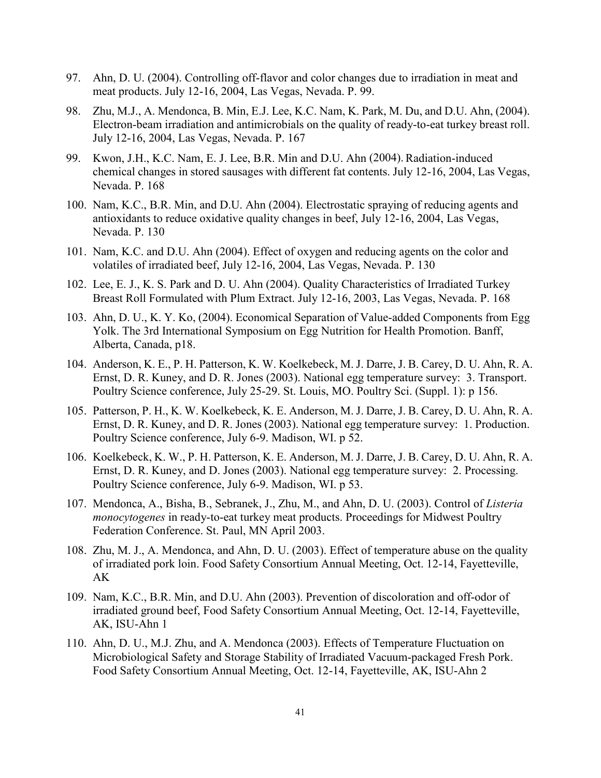- 97. Ahn, D. U. (2004). Controlling off-flavor and color changes due to irradiation in meat and meat products. July 12-16, 2004, Las Vegas, Nevada. P. 99.
- 98. Zhu, M.J., A. Mendonca, B. Min, E.J. Lee, K.C. Nam, K. Park, M. Du, and D.U. Ahn, (2004). Electron-beam irradiation and antimicrobials on the quality of ready-to-eat turkey breast roll. July 12-16, 2004, Las Vegas, Nevada. P. 167
- 99. Kwon, J.H., K.C. Nam, E. J. Lee, B.R. Min and D.U. Ahn (2004). Radiation-induced chemical changes in stored sausages with different fat contents. July 12-16, 2004, Las Vegas, Nevada. P. 168
- 100. Nam, K.C., B.R. Min, and D.U. Ahn (2004). Electrostatic spraying of reducing agents and antioxidants to reduce oxidative quality changes in beef, July 12-16, 2004, Las Vegas, Nevada. P. 130
- 101. Nam, K.C. and D.U. Ahn (2004). Effect of oxygen and reducing agents on the color and volatiles of irradiated beef, July 12-16, 2004, Las Vegas, Nevada. P. 130
- 102. Lee, E. J., K. S. Park and D. U. Ahn (2004). Quality Characteristics of Irradiated Turkey Breast Roll Formulated with Plum Extract. July 12-16, 2003, Las Vegas, Nevada. P. 168
- 103. Ahn, D. U., K. Y. Ko, (2004). Economical Separation of Value-added Components from Egg Yolk. The 3rd International Symposium on Egg Nutrition for Health Promotion. Banff, Alberta, Canada, p18.
- 104. Anderson, K. E., P. H. Patterson, K. W. Koelkebeck, M. J. Darre, J. B. Carey, D. U. Ahn, R. A. Ernst, D. R. Kuney, and D. R. Jones (2003). National egg temperature survey: 3. Transport. Poultry Science conference, July 25-29. St. Louis, MO. Poultry Sci. (Suppl. 1): p 156.
- 105. Patterson, P. H., K. W. Koelkebeck, K. E. Anderson, M. J. Darre, J. B. Carey, D. U. Ahn, R. A. Ernst, D. R. Kuney, and D. R. Jones (2003). National egg temperature survey: 1. Production. Poultry Science conference, July 6-9. Madison, WI. p 52.
- 106. Koelkebeck, K. W., P. H. Patterson, K. E. Anderson, M. J. Darre, J. B. Carey, D. U. Ahn, R. A. Ernst, D. R. Kuney, and D. Jones (2003). National egg temperature survey: 2. Processing. Poultry Science conference, July 6-9. Madison, WI. p 53.
- 107. Mendonca, A., Bisha, B., Sebranek, J., Zhu, M., and Ahn, D. U. (2003). Control of *Listeria monocytogenes* in ready-to-eat turkey meat products. Proceedings for Midwest Poultry Federation Conference. St. Paul, MN April 2003.
- 108. Zhu, M. J., A. Mendonca, and Ahn, D. U. (2003). Effect of temperature abuse on the quality of irradiated pork loin. Food Safety Consortium Annual Meeting, Oct. 12-14, Fayetteville, AK
- 109. Nam, K.C., B.R. Min, and D.U. Ahn (2003). Prevention of discoloration and off-odor of irradiated ground beef, Food Safety Consortium Annual Meeting, Oct. 12-14, Fayetteville, AK, ISU-Ahn 1
- 110. Ahn, D. U., M.J. Zhu, and A. Mendonca (2003). Effects of Temperature Fluctuation on Microbiological Safety and Storage Stability of Irradiated Vacuum-packaged Fresh Pork. Food Safety Consortium Annual Meeting, Oct. 12-14, Fayetteville, AK, ISU-Ahn 2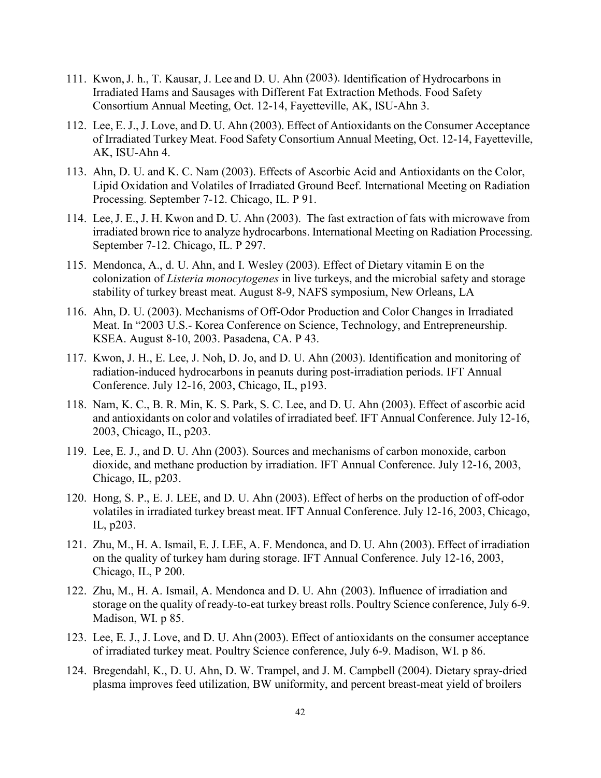- 111. Kwon,J. h., T. Kausar, J. Lee and D. U. Ahn (2003). Identification of Hydrocarbons in Irradiated Hams and Sausages with Different Fat Extraction Methods. Food Safety Consortium Annual Meeting, Oct. 12-14, Fayetteville, AK, ISU-Ahn 3.
- 112. Lee, E. J., J. Love, and D. U. Ahn (2003). Effect of Antioxidants on the Consumer Acceptance of Irradiated Turkey Meat. Food Safety Consortium Annual Meeting, Oct. 12-14, Fayetteville, AK, ISU-Ahn 4.
- 113. Ahn, D. U. and K. C. Nam (2003). Effects of Ascorbic Acid and Antioxidants on the Color, Lipid Oxidation and Volatiles of Irradiated Ground Beef. International Meeting on Radiation Processing. September 7-12. Chicago, IL. P 91.
- 114. Lee,J. E., J. H. Kwon and D. U. Ahn (2003). The fast extraction of fats with microwave from irradiated brown rice to analyze hydrocarbons. International Meeting on Radiation Processing. September 7-12. Chicago, IL. P 297.
- 115. Mendonca, A., d. U. Ahn, and I. Wesley (2003). Effect of Dietary vitamin E on the colonization of *Listeria monocytogenes* in live turkeys, and the microbial safety and storage stability of turkey breast meat. August 8-9, NAFS symposium, New Orleans, LA
- 116. Ahn, D. U. (2003). Mechanisms of Off-Odor Production and Color Changes in Irradiated Meat. In "2003 U.S.- Korea Conference on Science, Technology, and Entrepreneurship. KSEA. August 8-10, 2003. Pasadena, CA. P 43.
- 117. Kwon, J. H., E. Lee, J. Noh, D. Jo, and D. U. Ahn (2003). Identification and monitoring of radiation-induced hydrocarbons in peanuts during post-irradiation periods. IFT Annual Conference. July 12-16, 2003, Chicago, IL, p193.
- 118. Nam, K. C., B. R. Min, K. S. Park, S. C. Lee, and D. U. Ahn (2003). Effect of ascorbic acid and antioxidants on color and volatiles of irradiated beef. IFT Annual Conference. July 12-16, 2003, Chicago, IL, p203.
- 119. Lee, E. J., and D. U. Ahn (2003). Sources and mechanisms of carbon monoxide, carbon dioxide, and methane production by irradiation. IFT Annual Conference. July 12-16, 2003, Chicago, IL, p203.
- 120. Hong, S. P., E. J. LEE, and D. U. Ahn (2003). Effect of herbs on the production of off-odor volatiles in irradiated turkey breast meat. IFT Annual Conference. July 12-16, 2003, Chicago, IL, p203.
- 121. Zhu, M., H. A. Ismail, E. J. LEE, A. F. Mendonca, and D. U. Ahn (2003). Effect of irradiation on the quality of turkey ham during storage. IFT Annual Conference. July 12-16, 2003, Chicago, IL, P 200.
- 122. Zhu, M., H. A. Ismail, A. Mendonca and D. U. Ahn. (2003). Influence of irradiation and storage on the quality of ready-to-eat turkey breast rolls. Poultry Science conference, July 6-9. Madison, WI. p 85.
- 123. Lee, E. J., J. Love, and D. U. Ahn (2003). Effect of antioxidants on the consumer acceptance of irradiated turkey meat. Poultry Science conference, July 6-9. Madison, WI. p 86.
- 124. Bregendahl, K., D. U. Ahn, D. W. Trampel, and J. M. Campbell (2004). Dietary spray-dried plasma improves feed utilization, BW uniformity, and percent breast-meat yield of broilers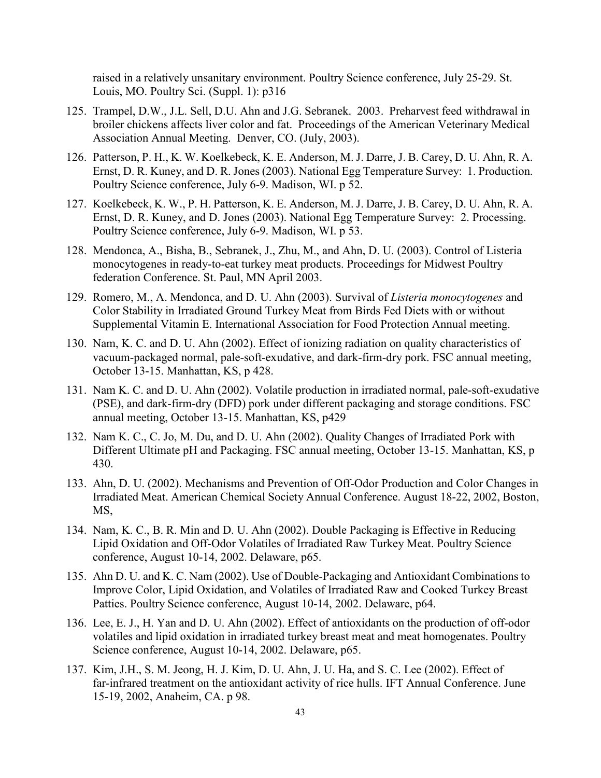raised in a relatively unsanitary environment. Poultry Science conference, July 25-29. St. Louis, MO. Poultry Sci. (Suppl. 1): p316

- 125. Trampel, D.W., J.L. Sell, D.U. Ahn and J.G. Sebranek. 2003. Preharvest feed withdrawal in broiler chickens affects liver color and fat. Proceedings of the American Veterinary Medical Association Annual Meeting. Denver, CO. (July, 2003).
- 126. Patterson, P. H., K. W. Koelkebeck, K. E. Anderson, M. J. Darre, J. B. Carey, D. U. Ahn, R. A. Ernst, D. R. Kuney, and D. R. Jones (2003). National Egg Temperature Survey: 1. Production. Poultry Science conference, July 6-9. Madison, WI. p 52.
- 127. Koelkebeck, K. W., P. H. Patterson, K. E. Anderson, M. J. Darre, J. B. Carey, D. U. Ahn, R. A. Ernst, D. R. Kuney, and D. Jones (2003). National Egg Temperature Survey: 2. Processing. Poultry Science conference, July 6-9. Madison, WI. p 53.
- 128. Mendonca, A., Bisha, B., Sebranek, J., Zhu, M., and Ahn, D. U. (2003). Control of Listeria monocytogenes in ready-to-eat turkey meat products. Proceedings for Midwest Poultry federation Conference. St. Paul, MN April 2003.
- 129. Romero, M., A. Mendonca, and D. U. Ahn (2003). Survival of *Listeria monocytogenes* and Color Stability in Irradiated Ground Turkey Meat from Birds Fed Diets with or without Supplemental Vitamin E. International Association for Food Protection Annual meeting.
- 130. Nam, K. C. and D. U. Ahn (2002). Effect of ionizing radiation on quality characteristics of vacuum-packaged normal, pale-soft-exudative, and dark-firm-dry pork. FSC annual meeting, October 13-15. Manhattan, KS, p 428.
- 131. Nam K. C. and D. U. Ahn (2002). Volatile production in irradiated normal, pale-soft-exudative (PSE), and dark-firm-dry (DFD) pork under different packaging and storage conditions. FSC annual meeting, October 13-15. Manhattan, KS, p429
- 132. Nam K. C., C. Jo, M. Du, and D. U. Ahn (2002). Quality Changes of Irradiated Pork with Different Ultimate pH and Packaging. FSC annual meeting, October 13-15. Manhattan, KS, p 430.
- 133. Ahn, D. U. (2002). Mechanisms and Prevention of Off-Odor Production and Color Changes in Irradiated Meat. American Chemical Society Annual Conference. August 18-22, 2002, Boston, MS,
- 134. Nam, K. C., B. R. Min and D. U. Ahn (2002). Double Packaging is Effective in Reducing Lipid Oxidation and Off-Odor Volatiles of Irradiated Raw Turkey Meat. Poultry Science conference, August 10-14, 2002. Delaware, p65.
- 135. Ahn D. U. and K. C. Nam (2002). Use of Double-Packaging and Antioxidant Combinations to Improve Color, Lipid Oxidation, and Volatiles of Irradiated Raw and Cooked Turkey Breast Patties. Poultry Science conference, August 10-14, 2002. Delaware, p64.
- 136. Lee, E. J., H. Yan and D. U. Ahn (2002). Effect of antioxidants on the production of off-odor volatiles and lipid oxidation in irradiated turkey breast meat and meat homogenates. Poultry Science conference, August 10-14, 2002. Delaware, p65.
- 137. Kim, J.H., S. M. Jeong, H. J. Kim, D. U. Ahn, J. U. Ha, and S. C. Lee (2002). Effect of far-infrared treatment on the antioxidant activity of rice hulls. IFT Annual Conference. June 15-19, 2002, Anaheim, CA. p 98.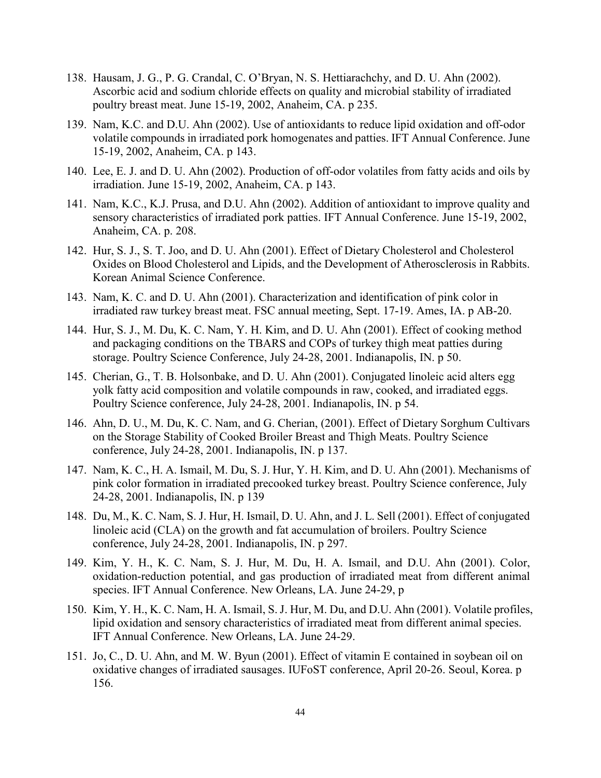- 138. Hausam, J. G., P. G. Crandal, C. O'Bryan, N. S. Hettiarachchy, and D. U. Ahn (2002). Ascorbic acid and sodium chloride effects on quality and microbial stability of irradiated poultry breast meat. June 15-19, 2002, Anaheim, CA. p 235.
- 139. Nam, K.C. and D.U. Ahn (2002). Use of antioxidants to reduce lipid oxidation and off-odor volatile compounds in irradiated pork homogenates and patties. IFT Annual Conference. June 15-19, 2002, Anaheim, CA. p 143.
- 140. Lee, E. J. and D. U. Ahn (2002). Production of off-odor volatiles from fatty acids and oils by irradiation. June 15-19, 2002, Anaheim, CA. p 143.
- 141. Nam, K.C., K.J. Prusa, and D.U. Ahn (2002). Addition of antioxidant to improve quality and sensory characteristics of irradiated pork patties. IFT Annual Conference. June 15-19, 2002, Anaheim, CA. p. 208.
- 142. Hur, S. J., S. T. Joo, and D. U. Ahn (2001). Effect of Dietary Cholesterol and Cholesterol Oxides on Blood Cholesterol and Lipids, and the Development of Atherosclerosis in Rabbits. Korean Animal Science Conference.
- 143. Nam, K. C. and D. U. Ahn (2001). Characterization and identification of pink color in irradiated raw turkey breast meat. FSC annual meeting, Sept. 17-19. Ames, IA. p AB-20.
- 144. Hur, S. J., M. Du, K. C. Nam, Y. H. Kim, and D. U. Ahn (2001). Effect of cooking method and packaging conditions on the TBARS and COPs of turkey thigh meat patties during storage. Poultry Science Conference, July 24-28, 2001. Indianapolis, IN. p 50.
- 145. Cherian, G., T. B. Holsonbake, and D. U. Ahn (2001). Conjugated linoleic acid alters egg yolk fatty acid composition and volatile compounds in raw, cooked, and irradiated eggs. Poultry Science conference, July 24-28, 2001. Indianapolis, IN. p 54.
- 146. Ahn, D. U., M. Du, K. C. Nam, and G. Cherian, (2001). Effect of Dietary Sorghum Cultivars on the Storage Stability of Cooked Broiler Breast and Thigh Meats. Poultry Science conference, July 24-28, 2001. Indianapolis, IN. p 137.
- 147. Nam, K. C., H. A. Ismail, M. Du, S. J. Hur, Y. H. Kim, and D. U. Ahn (2001). Mechanisms of pink color formation in irradiated precooked turkey breast. Poultry Science conference, July 24-28, 2001. Indianapolis, IN. p 139
- 148. Du, M., K. C. Nam, S. J. Hur, H. Ismail, D. U. Ahn, and J. L. Sell (2001). Effect of conjugated linoleic acid (CLA) on the growth and fat accumulation of broilers. Poultry Science conference, July 24-28, 2001. Indianapolis, IN. p 297.
- 149. Kim, Y. H., K. C. Nam, S. J. Hur, M. Du, H. A. Ismail, and D.U. Ahn (2001). Color, oxidation-reduction potential, and gas production of irradiated meat from different animal species. IFT Annual Conference. New Orleans, LA. June 24-29, p
- 150. Kim, Y. H., K. C. Nam, H. A. Ismail, S. J. Hur, M. Du, and D.U. Ahn (2001). Volatile profiles, lipid oxidation and sensory characteristics of irradiated meat from different animal species. IFT Annual Conference. New Orleans, LA. June 24-29.
- 151. Jo, C., D. U. Ahn, and M. W. Byun (2001). Effect of vitamin E contained in soybean oil on oxidative changes of irradiated sausages. IUFoST conference, April 20-26. Seoul, Korea. p 156.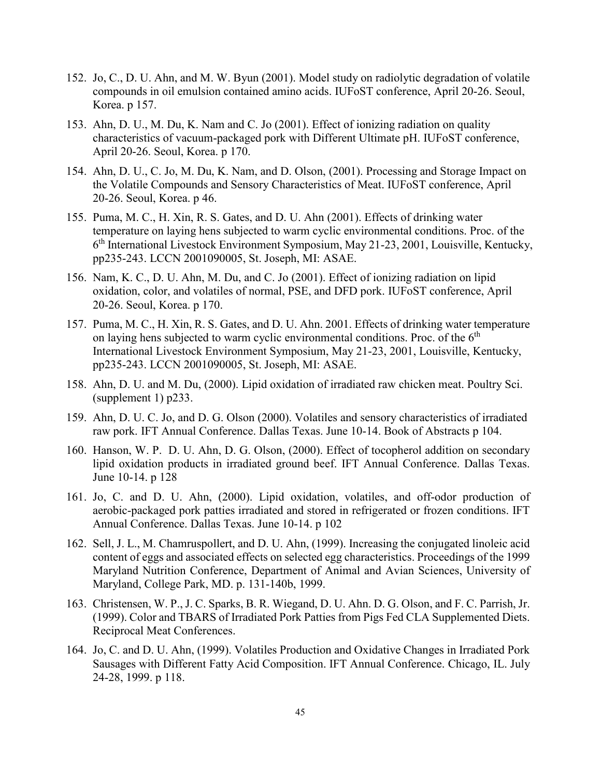- 152. Jo, C., D. U. Ahn, and M. W. Byun (2001). Model study on radiolytic degradation of volatile compounds in oil emulsion contained amino acids. IUFoST conference, April 20-26. Seoul, Korea. p 157.
- 153. Ahn, D. U., M. Du, K. Nam and C. Jo (2001). Effect of ionizing radiation on quality characteristics of vacuum-packaged pork with Different Ultimate pH. IUFoST conference, April 20-26. Seoul, Korea. p 170.
- 154. Ahn, D. U., C. Jo, M. Du, K. Nam, and D. Olson, (2001). Processing and Storage Impact on the Volatile Compounds and Sensory Characteristics of Meat. IUFoST conference, April 20-26. Seoul, Korea. p 46.
- 155. Puma, M. C., H. Xin, R. S. Gates, and D. U. Ahn (2001). Effects of drinking water temperature on laying hens subjected to warm cyclic environmental conditions. Proc. of the 6th International Livestock Environment Symposium, May 21-23, 2001, Louisville, Kentucky, pp235-243. LCCN 2001090005, St. Joseph, MI: ASAE.
- 156. Nam, K. C., D. U. Ahn, M. Du, and C. Jo (2001). Effect of ionizing radiation on lipid oxidation, color, and volatiles of normal, PSE, and DFD pork. IUFoST conference, April 20-26. Seoul, Korea. p 170.
- 157. Puma, M. C., H. Xin, R. S. Gates, and D. U. Ahn. 2001. Effects of drinking water temperature on laying hens subjected to warm cyclic environmental conditions. Proc. of the  $6<sup>th</sup>$ International Livestock Environment Symposium, May 21-23, 2001, Louisville, Kentucky, pp235-243. LCCN 2001090005, St. Joseph, MI: ASAE.
- 158. Ahn, D. U. and M. Du, (2000). Lipid oxidation of irradiated raw chicken meat. Poultry Sci. (supplement 1) p233.
- 159. Ahn, D. U. C. Jo, and D. G. Olson (2000). Volatiles and sensory characteristics of irradiated raw pork. IFT Annual Conference. Dallas Texas. June 10-14. Book of Abstracts p 104.
- 160. Hanson, W. P. D. U. Ahn, D. G. Olson, (2000). Effect of tocopherol addition on secondary lipid oxidation products in irradiated ground beef. IFT Annual Conference. Dallas Texas. June 10-14. p 128
- 161. Jo, C. and D. U. Ahn, (2000). Lipid oxidation, volatiles, and off-odor production of aerobic-packaged pork patties irradiated and stored in refrigerated or frozen conditions. IFT Annual Conference. Dallas Texas. June 10-14. p 102
- 162. Sell, J. L., M. Chamruspollert, and D. U. Ahn, (1999). Increasing the conjugated linoleic acid content of eggs and associated effects on selected egg characteristics. Proceedings of the 1999 Maryland Nutrition Conference, Department of Animal and Avian Sciences, University of Maryland, College Park, MD. p. 131-140b, 1999.
- 163. Christensen, W. P., J. C. Sparks, B. R. Wiegand, D. U. Ahn. D. G. Olson, and F. C. Parrish, Jr. (1999). Color and TBARS of Irradiated Pork Patties from Pigs Fed CLA Supplemented Diets. Reciprocal Meat Conferences.
- 164. Jo, C. and D. U. Ahn, (1999). Volatiles Production and Oxidative Changes in Irradiated Pork Sausages with Different Fatty Acid Composition. IFT Annual Conference. Chicago, IL. July 24-28, 1999. p 118.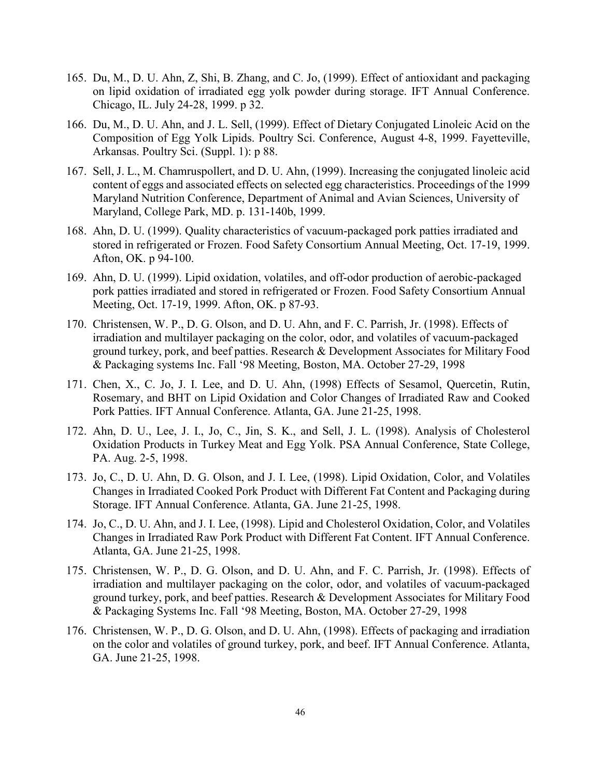- 165. Du, M., D. U. Ahn, Z, Shi, B. Zhang, and C. Jo, (1999). Effect of antioxidant and packaging on lipid oxidation of irradiated egg yolk powder during storage. IFT Annual Conference. Chicago, IL. July 24-28, 1999. p 32.
- 166. Du, M., D. U. Ahn, and J. L. Sell, (1999). Effect of Dietary Conjugated Linoleic Acid on the Composition of Egg Yolk Lipids. Poultry Sci. Conference, August 4-8, 1999. Fayetteville, Arkansas. Poultry Sci. (Suppl. 1): p 88.
- 167. Sell, J. L., M. Chamruspollert, and D. U. Ahn, (1999). Increasing the conjugated linoleic acid content of eggs and associated effects on selected egg characteristics. Proceedings of the 1999 Maryland Nutrition Conference, Department of Animal and Avian Sciences, University of Maryland, College Park, MD. p. 131-140b, 1999.
- 168. Ahn, D. U. (1999). Quality characteristics of vacuum-packaged pork patties irradiated and stored in refrigerated or Frozen. Food Safety Consortium Annual Meeting, Oct. 17-19, 1999. Afton, OK. p 94-100.
- 169. Ahn, D. U. (1999). Lipid oxidation, volatiles, and off-odor production of aerobic-packaged pork patties irradiated and stored in refrigerated or Frozen. Food Safety Consortium Annual Meeting, Oct. 17-19, 1999. Afton, OK. p 87-93.
- 170. Christensen, W. P., D. G. Olson, and D. U. Ahn, and F. C. Parrish, Jr. (1998). Effects of irradiation and multilayer packaging on the color, odor, and volatiles of vacuum-packaged ground turkey, pork, and beef patties. Research & Development Associates for Military Food & Packaging systems Inc. Fall '98 Meeting, Boston, MA. October 27-29, 1998
- 171. Chen, X., C. Jo, J. I. Lee, and D. U. Ahn, (1998) Effects of Sesamol, Quercetin, Rutin, Rosemary, and BHT on Lipid Oxidation and Color Changes of Irradiated Raw and Cooked Pork Patties. IFT Annual Conference. Atlanta, GA. June 21-25, 1998.
- 172. Ahn, D. U., Lee, J. I., Jo, C., Jin, S. K., and Sell, J. L. (1998). Analysis of Cholesterol Oxidation Products in Turkey Meat and Egg Yolk. PSA Annual Conference, State College, PA. Aug. 2-5, 1998.
- 173. Jo, C., D. U. Ahn, D. G. Olson, and J. I. Lee, (1998). Lipid Oxidation, Color, and Volatiles Changes in Irradiated Cooked Pork Product with Different Fat Content and Packaging during Storage. IFT Annual Conference. Atlanta, GA. June 21-25, 1998.
- 174. Jo, C., D. U. Ahn, and J. I. Lee, (1998). Lipid and Cholesterol Oxidation, Color, and Volatiles Changes in Irradiated Raw Pork Product with Different Fat Content. IFT Annual Conference. Atlanta, GA. June 21-25, 1998.
- 175. Christensen, W. P., D. G. Olson, and D. U. Ahn, and F. C. Parrish, Jr. (1998). Effects of irradiation and multilayer packaging on the color, odor, and volatiles of vacuum-packaged ground turkey, pork, and beef patties. Research & Development Associates for Military Food & Packaging Systems Inc. Fall '98 Meeting, Boston, MA. October 27-29, 1998
- 176. Christensen, W. P., D. G. Olson, and D. U. Ahn, (1998). Effects of packaging and irradiation on the color and volatiles of ground turkey, pork, and beef. IFT Annual Conference. Atlanta, GA. June 21-25, 1998.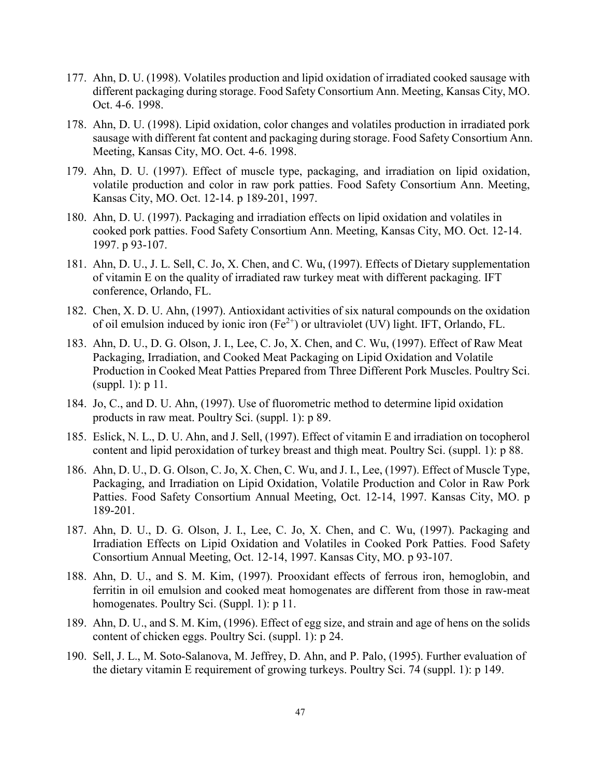- 177. Ahn, D. U. (1998). Volatiles production and lipid oxidation of irradiated cooked sausage with different packaging during storage. Food Safety Consortium Ann. Meeting, Kansas City, MO. Oct. 4-6. 1998.
- 178. Ahn, D. U. (1998). Lipid oxidation, color changes and volatiles production in irradiated pork sausage with different fat content and packaging during storage. Food Safety Consortium Ann. Meeting, Kansas City, MO. Oct. 4-6. 1998.
- 179. Ahn, D. U. (1997). Effect of muscle type, packaging, and irradiation on lipid oxidation, volatile production and color in raw pork patties. Food Safety Consortium Ann. Meeting, Kansas City, MO. Oct. 12-14. p 189-201, 1997.
- 180. Ahn, D. U. (1997). Packaging and irradiation effects on lipid oxidation and volatiles in cooked pork patties. Food Safety Consortium Ann. Meeting, Kansas City, MO. Oct. 12-14. 1997. p 93-107.
- 181. Ahn, D. U., J. L. Sell, C. Jo, X. Chen, and C. Wu, (1997). Effects of Dietary supplementation of vitamin E on the quality of irradiated raw turkey meat with different packaging. IFT conference, Orlando, FL.
- 182. Chen, X. D. U. Ahn, (1997). Antioxidant activities of six natural compounds on the oxidation of oil emulsion induced by ionic iron  $(Fe^{2+})$  or ultraviolet (UV) light. IFT, Orlando, FL.
- 183. Ahn, D. U., D. G. Olson, J. I., Lee, C. Jo, X. Chen, and C. Wu, (1997). Effect of Raw Meat Packaging, Irradiation, and Cooked Meat Packaging on Lipid Oxidation and Volatile Production in Cooked Meat Patties Prepared from Three Different Pork Muscles. Poultry Sci. (suppl. 1): p 11.
- 184. Jo, C., and D. U. Ahn, (1997). Use of fluorometric method to determine lipid oxidation products in raw meat. Poultry Sci. (suppl. 1): p 89.
- 185. Eslick, N. L., D. U. Ahn, and J. Sell, (1997). Effect of vitamin E and irradiation on tocopherol content and lipid peroxidation of turkey breast and thigh meat. Poultry Sci. (suppl. 1): p 88.
- 186. Ahn, D. U., D. G. Olson, C. Jo, X. Chen, C. Wu, and J. I., Lee, (1997). Effect of Muscle Type, Packaging, and Irradiation on Lipid Oxidation, Volatile Production and Color in Raw Pork Patties. Food Safety Consortium Annual Meeting, Oct. 12-14, 1997. Kansas City, MO. p 189-201.
- 187. Ahn, D. U., D. G. Olson, J. I., Lee, C. Jo, X. Chen, and C. Wu, (1997). Packaging and Irradiation Effects on Lipid Oxidation and Volatiles in Cooked Pork Patties. Food Safety Consortium Annual Meeting, Oct. 12-14, 1997. Kansas City, MO. p 93-107.
- 188. Ahn, D. U., and S. M. Kim, (1997). Prooxidant effects of ferrous iron, hemoglobin, and ferritin in oil emulsion and cooked meat homogenates are different from those in raw-meat homogenates. Poultry Sci. (Suppl. 1): p 11.
- 189. Ahn, D. U., and S. M. Kim, (1996). Effect of egg size, and strain and age of hens on the solids content of chicken eggs. Poultry Sci. (suppl. 1): p 24.
- 190. Sell, J. L., M. Soto-Salanova, M. Jeffrey, D. Ahn, and P. Palo, (1995). Further evaluation of the dietary vitamin E requirement of growing turkeys. Poultry Sci. 74 (suppl. 1): p 149.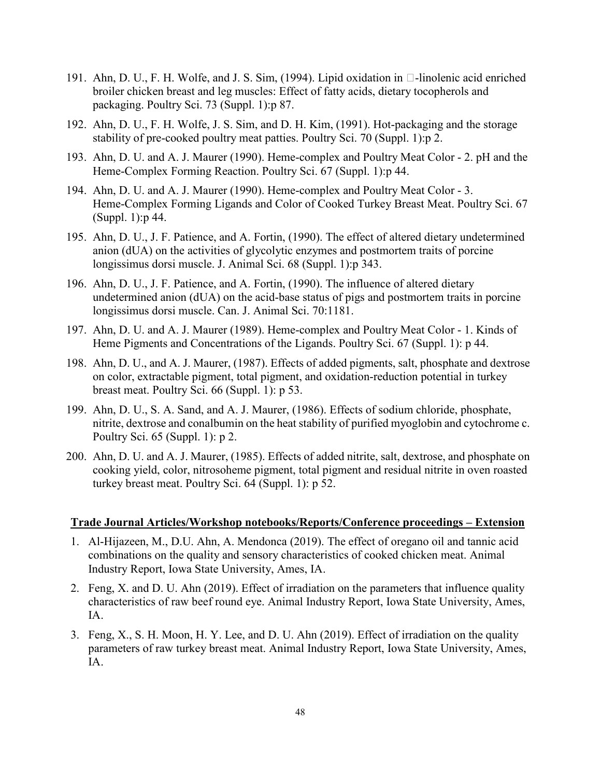- 191. Ahn, D. U., F. H. Wolfe, and J. S. Sim, (1994). Lipid oxidation in  $\Box$ -linolenic acid enriched broiler chicken breast and leg muscles: Effect of fatty acids, dietary tocopherols and packaging. Poultry Sci. 73 (Suppl. 1):p 87.
- 192. Ahn, D. U., F. H. Wolfe, J. S. Sim, and D. H. Kim, (1991). Hot-packaging and the storage stability of pre-cooked poultry meat patties. Poultry Sci. 70 (Suppl. 1):p 2.
- 193. Ahn, D. U. and A. J. Maurer (1990). Heme-complex and Poultry Meat Color 2. pH and the Heme-Complex Forming Reaction. Poultry Sci. 67 (Suppl. 1):p 44.
- 194. Ahn, D. U. and A. J. Maurer (1990). Heme-complex and Poultry Meat Color 3. Heme-Complex Forming Ligands and Color of Cooked Turkey Breast Meat. Poultry Sci. 67 (Suppl. 1):p 44.
- 195. Ahn, D. U., J. F. Patience, and A. Fortin, (1990). The effect of altered dietary undetermined anion (dUA) on the activities of glycolytic enzymes and postmortem traits of porcine longissimus dorsi muscle. J. Animal Sci. 68 (Suppl. 1):p 343.
- 196. Ahn, D. U., J. F. Patience, and A. Fortin, (1990). The influence of altered dietary undetermined anion (dUA) on the acid-base status of pigs and postmortem traits in porcine longissimus dorsi muscle. Can. J. Animal Sci. 70:1181.
- 197. Ahn, D. U. and A. J. Maurer (1989). Heme-complex and Poultry Meat Color 1. Kinds of Heme Pigments and Concentrations of the Ligands. Poultry Sci. 67 (Suppl. 1): p 44.
- 198. Ahn, D. U., and A. J. Maurer, (1987). Effects of added pigments, salt, phosphate and dextrose on color, extractable pigment, total pigment, and oxidation-reduction potential in turkey breast meat. Poultry Sci. 66 (Suppl. 1): p 53.
- 199. Ahn, D. U., S. A. Sand, and A. J. Maurer, (1986). Effects of sodium chloride, phosphate, nitrite, dextrose and conalbumin on the heat stability of purified myoglobin and cytochrome c. Poultry Sci. 65 (Suppl. 1): p 2.
- 200. Ahn, D. U. and A. J. Maurer, (1985). Effects of added nitrite, salt, dextrose, and phosphate on cooking yield, color, nitrosoheme pigment, total pigment and residual nitrite in oven roasted turkey breast meat. Poultry Sci. 64 (Suppl. 1): p 52.

#### **Trade Journal Articles/Workshop notebooks/Reports/Conference proceedings – Extension**

- 1. Al-Hijazeen, M., D.U. Ahn, A. Mendonca (2019). The effect of oregano oil and tannic acid combinations on the quality and sensory characteristics of cooked chicken meat. Animal Industry Report, Iowa State University, Ames, IA.
- 2. Feng, X. and D. U. Ahn (2019). Effect of irradiation on the parameters that influence quality characteristics of raw beef round eye. Animal Industry Report, Iowa State University, Ames, IA.
- 3. Feng, X., S. H. Moon, H. Y. Lee, and D. U. Ahn (2019). Effect of irradiation on the quality parameters of raw turkey breast meat. Animal Industry Report, Iowa State University, Ames, IA.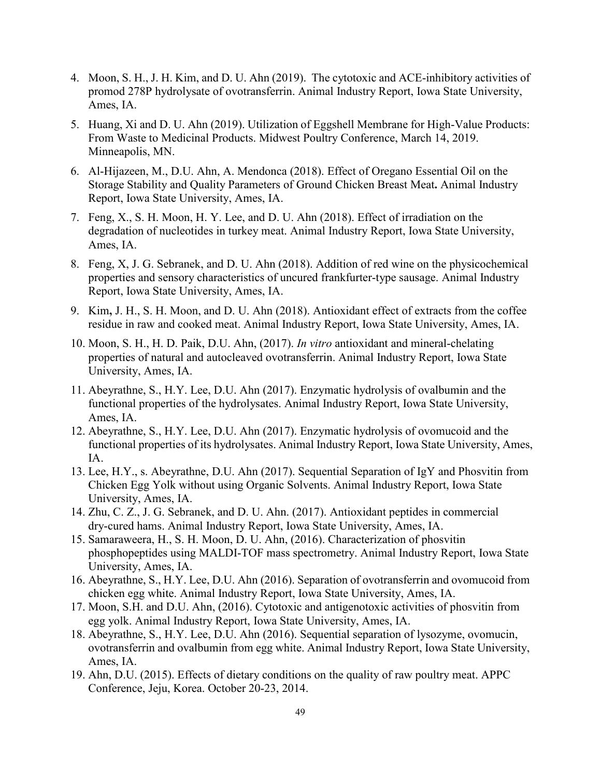- 4. Moon, S. H., J. H. Kim, and D. U. Ahn (2019). The cytotoxic and ACE-inhibitory activities of promod 278P hydrolysate of ovotransferrin. Animal Industry Report, Iowa State University, Ames, IA.
- 5. Huang, Xi and D. U. Ahn (2019). Utilization of Eggshell Membrane for High-Value Products: From Waste to Medicinal Products. Midwest Poultry Conference, March 14, 2019. Minneapolis, MN.
- 6. Al-Hijazeen, M., D.U. Ahn, A. Mendonca (2018). Effect of Oregano Essential Oil on the Storage Stability and Quality Parameters of Ground Chicken Breast Meat**.** Animal Industry Report, Iowa State University, Ames, IA.
- 7. Feng, X., S. H. Moon, H. Y. Lee, and D. U. Ahn (2018). Effect of irradiation on the degradation of nucleotides in turkey meat. Animal Industry Report, Iowa State University, Ames, IA.
- 8. Feng, X, J. G. Sebranek, and D. U. Ahn (2018). Addition of red wine on the physicochemical properties and sensory characteristics of uncured frankfurter-type sausage. Animal Industry Report, Iowa State University, Ames, IA.
- 9. Kim**,** J. H., S. H. Moon, and D. U. Ahn (2018). Antioxidant effect of extracts from the coffee residue in raw and cooked meat. Animal Industry Report, Iowa State University, Ames, IA.
- 10. Moon, S. H., H. D. Paik, D.U. Ahn, (2017). *In vitro* antioxidant and mineral-chelating properties of natural and autocleaved ovotransferrin. Animal Industry Report, Iowa State University, Ames, IA.
- 11. Abeyrathne, S., H.Y. Lee, D.U. Ahn (2017). Enzymatic hydrolysis of ovalbumin and the functional properties of the hydrolysates. Animal Industry Report, Iowa State University, Ames, IA.
- 12. Abeyrathne, S., H.Y. Lee, D.U. Ahn (2017). Enzymatic hydrolysis of ovomucoid and the functional properties of its hydrolysates. Animal Industry Report, Iowa State University, Ames, IA.
- 13. Lee, H.Y., s. Abeyrathne, D.U. Ahn (2017). Sequential Separation of IgY and Phosvitin from Chicken Egg Yolk without using Organic Solvents. Animal Industry Report, Iowa State University, Ames, IA.
- 14. Zhu, C. Z., J. G. Sebranek, and D. U. Ahn. (2017). Antioxidant peptides in commercial dry-cured hams. Animal Industry Report, Iowa State University, Ames, IA.
- 15. Samaraweera, H., S. H. Moon, D. U. Ahn, (2016). Characterization of phosvitin phosphopeptides using MALDI-TOF mass spectrometry. Animal Industry Report, Iowa State University, Ames, IA.
- 16. Abeyrathne, S., H.Y. Lee, D.U. Ahn (2016). Separation of ovotransferrin and ovomucoid from chicken egg white. Animal Industry Report, Iowa State University, Ames, IA.
- 17. Moon, S.H. and D.U. Ahn, (2016). Cytotoxic and antigenotoxic activities of phosvitin from egg yolk. Animal Industry Report, Iowa State University, Ames, IA.
- 18. Abeyrathne, S., H.Y. Lee, D.U. Ahn (2016). Sequential separation of lysozyme, ovomucin, ovotransferrin and ovalbumin from egg white. Animal Industry Report, Iowa State University, Ames, IA.
- 19. Ahn, D.U. (2015). Effects of dietary conditions on the quality of raw poultry meat. APPC Conference, Jeju, Korea. October 20-23, 2014.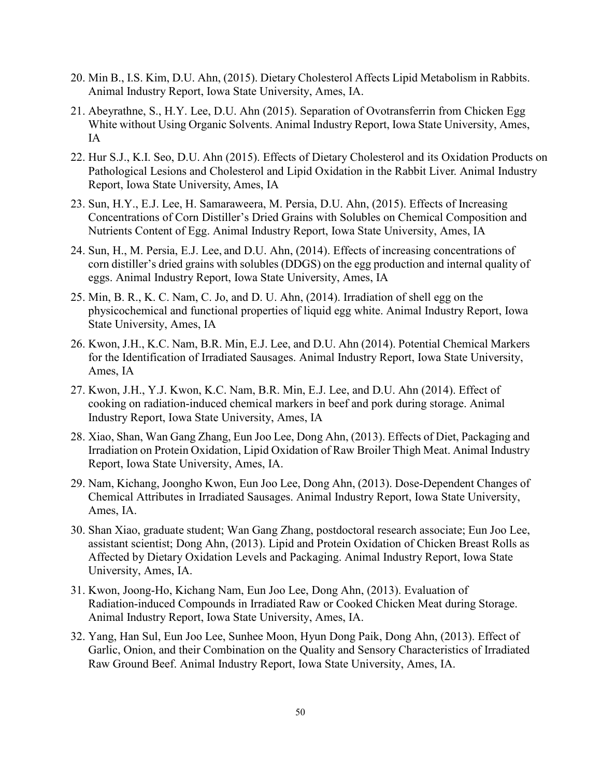- 20. Min B., I.S. Kim, D.U. Ahn, (2015). Dietary Cholesterol Affects Lipid Metabolism in Rabbits. Animal Industry Report, Iowa State University, Ames, IA.
- 21. Abeyrathne, S., H.Y. Lee, D.U. Ahn (2015). Separation of Ovotransferrin from Chicken Egg White without Using Organic Solvents. Animal Industry Report, Iowa State University, Ames, IA
- 22. Hur S.J., K.I. Seo, D.U. Ahn (2015). Effects of Dietary Cholesterol and its Oxidation Products on Pathological Lesions and Cholesterol and Lipid Oxidation in the Rabbit Liver. Animal Industry Report, Iowa State University, Ames, IA
- 23. Sun, H.Y., E.J. Lee, H. Samaraweera, M. Persia, D.U. Ahn, (2015). Effects of Increasing Concentrations of Corn Distiller's Dried Grains with Solubles on Chemical Composition and Nutrients Content of Egg. Animal Industry Report, Iowa State University, Ames, IA
- 24. Sun, H., M. Persia, E.J. Lee, and D.U. Ahn, (2014). Effects of increasing concentrations of corn distiller's dried grains with solubles (DDGS) on the egg production and internal quality of eggs. Animal Industry Report, Iowa State University, Ames, IA
- 25. Min, B. R., K. C. Nam, C. Jo, and D. U. Ahn, (2014). Irradiation of shell egg on the physicochemical and functional properties of liquid egg white. Animal Industry Report, Iowa State University, Ames, IA
- 26. Kwon, J.H., K.C. Nam, B.R. Min, E.J. Lee, and D.U. Ahn (2014). Potential Chemical Markers for the Identification of Irradiated Sausages. Animal Industry Report, Iowa State University, Ames, IA
- 27. Kwon, J.H., Y.J. Kwon, K.C. Nam, B.R. Min, E.J. Lee, and D.U. Ahn (2014). Effect of cooking on radiation-induced chemical markers in beef and pork during storage. Animal Industry Report, Iowa State University, Ames, IA
- 28. Xiao, Shan, Wan Gang Zhang, Eun Joo Lee, Dong Ahn, (2013). Effects of Diet, Packaging and Irradiation on Protein Oxidation, Lipid Oxidation of Raw Broiler Thigh Meat. Animal Industry Report, Iowa State University, Ames, IA.
- 29. Nam, Kichang, Joongho Kwon, Eun Joo Lee, Dong Ahn, (2013). Dose-Dependent Changes of Chemical Attributes in Irradiated Sausages. Animal Industry Report, Iowa State University, Ames, IA.
- 30. Shan Xiao, graduate student; Wan Gang Zhang, postdoctoral research associate; Eun Joo Lee, assistant scientist; Dong Ahn, (2013). Lipid and Protein Oxidation of Chicken Breast Rolls as Affected by Dietary Oxidation Levels and Packaging. Animal Industry Report, Iowa State University, Ames, IA.
- 31. Kwon, Joong-Ho, Kichang Nam, Eun Joo Lee, Dong Ahn, (2013). Evaluation of Radiation-induced Compounds in Irradiated Raw or Cooked Chicken Meat during Storage. Animal Industry Report, Iowa State University, Ames, IA.
- 32. Yang, Han Sul, Eun Joo Lee, Sunhee Moon, Hyun Dong Paik, Dong Ahn, (2013). Effect of Garlic, Onion, and their Combination on the Quality and Sensory Characteristics of Irradiated Raw Ground Beef. Animal Industry Report, Iowa State University, Ames, IA.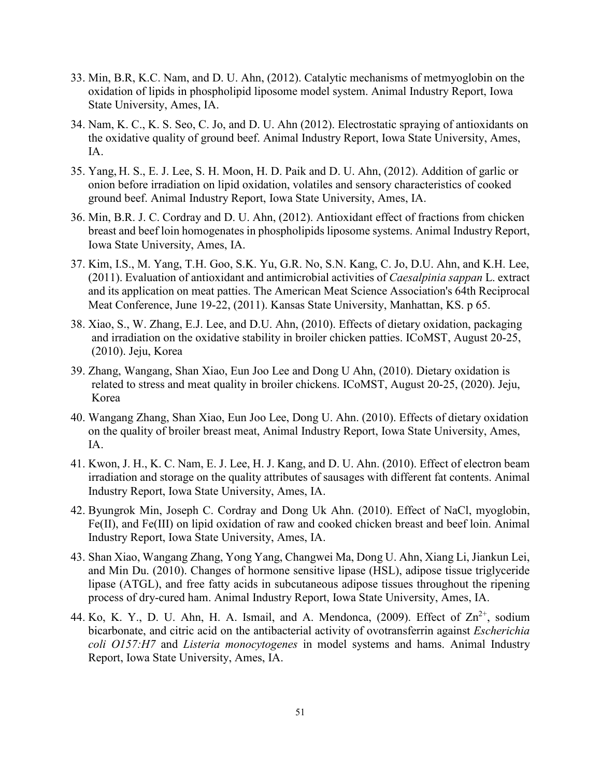- 33. Min, B.R, K.C. Nam, and D. U. Ahn, (2012). Catalytic mechanisms of metmyoglobin on the oxidation of lipids in phospholipid liposome model system. Animal Industry Report, Iowa State University, Ames, IA.
- 34. Nam, K. C., K. S. Seo, C. Jo, and D. U. Ahn (2012). Electrostatic spraying of antioxidants on the oxidative quality of ground beef. Animal Industry Report, Iowa State University, Ames, IA.
- 35. Yang, H. S., E. J. Lee, S. H. Moon, H. D. Paik and D. U. Ahn, (2012). Addition of garlic or onion before irradiation on lipid oxidation, volatiles and sensory characteristics of cooked ground beef. Animal Industry Report, Iowa State University, Ames, IA.
- 36. Min, B.R. J. C. Cordray and D. U. Ahn, (2012). Antioxidant effect of fractions from chicken breast and beef loin homogenates in phospholipids liposome systems. Animal Industry Report, Iowa State University, Ames, IA.
- 37. Kim, I.S., M. Yang, T.H. Goo, S.K. Yu, G.R. No, S.N. Kang, C. Jo, D.U. Ahn, and K.H. Lee, (2011). Evaluation of antioxidant and antimicrobial activities of *Caesalpinia sappan* L. extract and its application on meat patties. The American Meat Science Association's 64th Reciprocal Meat Conference, June 19-22, (2011). Kansas State University, Manhattan, KS. p 65.
- 38. Xiao, S., W. Zhang, E.J. Lee, and D.U. Ahn, (2010). Effects of dietary oxidation, packaging and irradiation on the oxidative stability in broiler chicken patties. ICoMST, August 20-25, (2010). Jeju, Korea
- 39. Zhang, Wangang, Shan Xiao, Eun Joo Lee and Dong U Ahn, (2010). Dietary oxidation is related to stress and meat quality in broiler chickens. ICoMST, August 20-25, (2020). Jeju, Korea
- 40. Wangang Zhang, Shan Xiao, Eun Joo Lee, Dong U. Ahn. (2010). Effects of dietary oxidation on the quality of broiler breast meat, Animal Industry Report, Iowa State University, Ames, IA.
- 41. Kwon, J. H., K. C. Nam, E. J. Lee, H. J. Kang, and D. U. Ahn. (2010). Effect of electron beam irradiation and storage on the quality attributes of sausages with different fat contents. Animal Industry Report, Iowa State University, Ames, IA.
- 42. Byungrok Min, Joseph C. Cordray and Dong Uk Ahn. (2010). Effect of NaCl, myoglobin, Fe(II), and Fe(III) on lipid oxidation of raw and cooked chicken breast and beef loin. Animal Industry Report, Iowa State University, Ames, IA.
- 43. Shan Xiao, Wangang Zhang, Yong Yang, Changwei Ma, Dong U. Ahn, Xiang Li, Jiankun Lei, and Min Du. (2010). Changes of hormone sensitive lipase (HSL), adipose tissue triglyceride lipase (ATGL), and free fatty acids in subcutaneous adipose tissues throughout the ripening process of dry-cured ham. Animal Industry Report, Iowa State University, Ames, IA.
- 44. Ko, K. Y., D. U. Ahn, H. A. Ismail, and A. Mendonca,  $(2009)$ . Effect of  $Zn^{2+}$ , sodium bicarbonate, and citric acid on the antibacterial activity of ovotransferrin against *Escherichia coli O157:H7* and *Listeria monocytogenes* in model systems and hams. Animal Industry Report, Iowa State University, Ames, IA.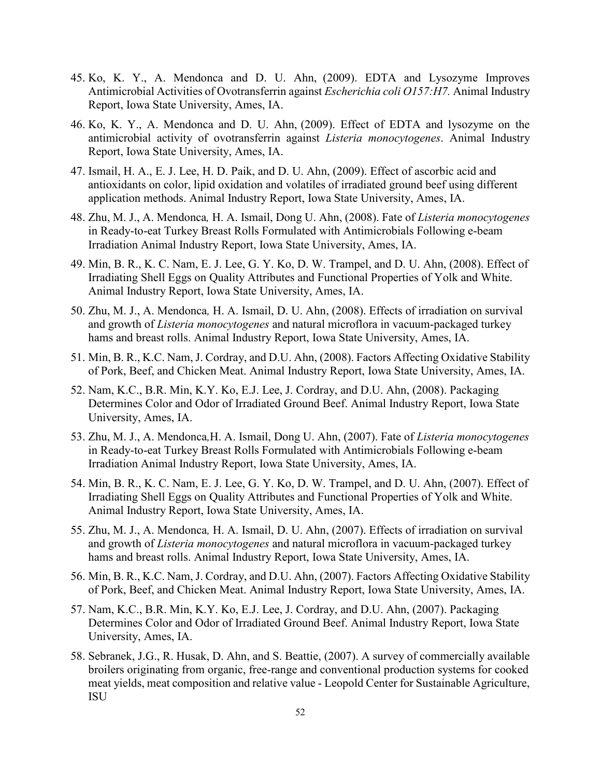- 45. Ko, K. Y., A. Mendonca and D. U. Ahn, (2009). EDTA and Lysozyme Improves Antimicrobial Activities of Ovotransferrin against *Escherichia coli O157:H7.* Animal Industry Report, Iowa State University, Ames, IA.
- 46. Ko, K. Y., A. Mendonca and D. U. Ahn, (2009). Effect of EDTA and lysozyme on the antimicrobial activity of ovotransferrin against *Listeria monocytogenes*. Animal Industry Report, Iowa State University, Ames, IA.
- 47. Ismail, H. A., E. J. Lee, H. D. Paik, and D. U. Ahn, (2009). Effect of ascorbic acid and antioxidants on color, lipid oxidation and volatiles of irradiated ground beef using different application methods. Animal Industry Report, Iowa State University, Ames, IA.
- 48. Zhu, M. J., A. Mendonca*,* H. A. Ismail, Dong U. Ahn, (2008). Fate of *Listeria monocytogenes* in Ready-to-eat Turkey Breast Rolls Formulated with Antimicrobials Following e-beam Irradiation Animal Industry Report, Iowa State University, Ames, IA.
- 49. Min, B. R., K. C. Nam, E. J. Lee, G. Y. Ko, D. W. Trampel, and D. U. Ahn, (2008). Effect of Irradiating Shell Eggs on Quality Attributes and Functional Properties of Yolk and White. Animal Industry Report, Iowa State University, Ames, IA.
- 50. Zhu, M. J., A. Mendonca*,* H. A. Ismail, D. U. Ahn, (2008). Effects of irradiation on survival and growth of *Listeria monocytogenes* and natural microflora in vacuum-packaged turkey hams and breast rolls. Animal Industry Report, Iowa State University, Ames, IA.
- 51. Min, B. R., K.C. Nam, J. Cordray, and D.U. Ahn, (2008). Factors Affecting Oxidative Stability of Pork, Beef, and Chicken Meat. Animal Industry Report, Iowa State University, Ames, IA.
- 52. Nam, K.C., B.R. Min, K.Y. Ko, E.J. Lee, J. Cordray, and D.U. Ahn, (2008). Packaging Determines Color and Odor of Irradiated Ground Beef. Animal Industry Report, Iowa State University, Ames, IA.
- 53. Zhu, M. J., A. Mendonca*,*H. A. Ismail, Dong U. Ahn, (2007). Fate of *Listeria monocytogenes* in Ready-to-eat Turkey Breast Rolls Formulated with Antimicrobials Following e-beam Irradiation Animal Industry Report, Iowa State University, Ames, IA.
- 54. Min, B. R., K. C. Nam, E. J. Lee, G. Y. Ko, D. W. Trampel, and D. U. Ahn, (2007). Effect of Irradiating Shell Eggs on Quality Attributes and Functional Properties of Yolk and White. Animal Industry Report, Iowa State University, Ames, IA.
- 55. Zhu, M. J., A. Mendonca*,* H. A. Ismail, D. U. Ahn, (2007). Effects of irradiation on survival and growth of *Listeria monocytogenes* and natural microflora in vacuum-packaged turkey hams and breast rolls. Animal Industry Report, Iowa State University, Ames, IA.
- 56. Min, B. R., K.C. Nam, J. Cordray, and D.U. Ahn, (2007). Factors Affecting Oxidative Stability of Pork, Beef, and Chicken Meat. Animal Industry Report, Iowa State University, Ames, IA.
- 57. Nam, K.C., B.R. Min, K.Y. Ko, E.J. Lee, J. Cordray, and D.U. Ahn, (2007). Packaging Determines Color and Odor of Irradiated Ground Beef. Animal Industry Report, Iowa State University, Ames, IA.
- 58. Sebranek, J.G., R. Husak, D. Ahn, and S. Beattie, (2007). A survey of commercially available broilers originating from organic, free-range and conventional production systems for cooked meat yields, meat composition and relative value - Leopold Center for Sustainable Agriculture, ISU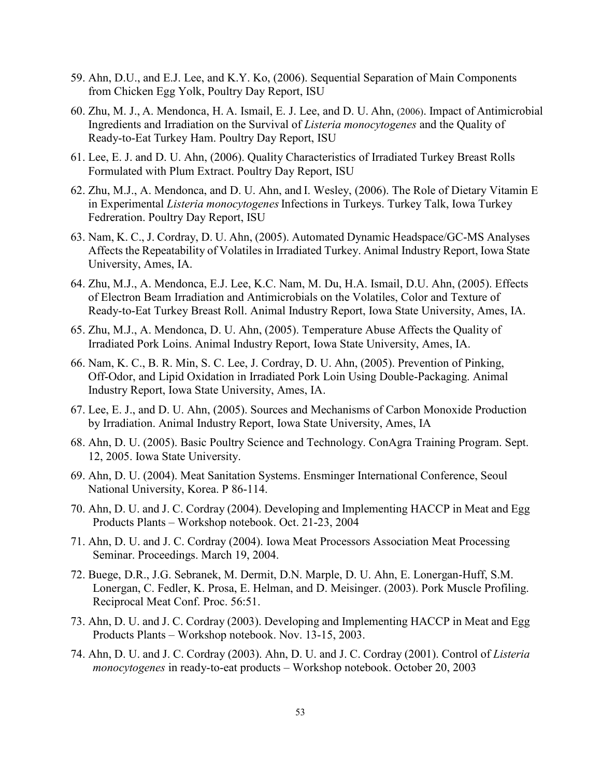- 59. Ahn, D.U., and E.J. Lee, and K.Y. Ko, (2006). Sequential Separation of Main Components from Chicken Egg Yolk, Poultry Day Report, ISU
- 60. Zhu, M. J., A. Mendonca, H. A. Ismail, E. J. Lee, and D. U. Ahn, (2006). Impact of Antimicrobial Ingredients and Irradiation on the Survival of *Listeria monocytogenes* and the Quality of Ready-to-Eat Turkey Ham. Poultry Day Report, ISU
- 61. Lee, E. J. and D. U. Ahn, (2006). Quality Characteristics of Irradiated Turkey Breast Rolls Formulated with Plum Extract. Poultry Day Report, ISU
- 62. Zhu, M.J., A. Mendonca, and D. U. Ahn, and I. Wesley, (2006). The Role of Dietary Vitamin E in Experimental *Listeria monocytogenes*Infections in Turkeys. Turkey Talk, Iowa Turkey Fedreration. Poultry Day Report, ISU
- 63. Nam, K. C., J. Cordray, D. U. Ahn, (2005). Automated Dynamic Headspace/GC-MS Analyses Affects the Repeatability of Volatiles in Irradiated Turkey. Animal Industry Report, Iowa State University, Ames, IA.
- 64. Zhu, M.J., A. Mendonca, E.J. Lee, K.C. Nam, M. Du, H.A. Ismail, D.U. Ahn, (2005). Effects of Electron Beam Irradiation and Antimicrobials on the Volatiles, Color and Texture of Ready-to-Eat Turkey Breast Roll. Animal Industry Report, Iowa State University, Ames, IA.
- 65. Zhu, M.J., A. Mendonca, D. U. Ahn, (2005). Temperature Abuse Affects the Quality of Irradiated Pork Loins. Animal Industry Report, Iowa State University, Ames, IA.
- 66. Nam, K. C., B. R. Min, S. C. Lee, J. Cordray, D. U. Ahn, (2005). Prevention of Pinking, Off-Odor, and Lipid Oxidation in Irradiated Pork Loin Using Double-Packaging. Animal Industry Report, Iowa State University, Ames, IA.
- 67. Lee, E. J., and D. U. Ahn, (2005). Sources and Mechanisms of Carbon Monoxide Production by Irradiation. Animal Industry Report, Iowa State University, Ames, IA
- 68. Ahn, D. U. (2005). Basic Poultry Science and Technology. ConAgra Training Program. Sept. 12, 2005. Iowa State University.
- 69. Ahn, D. U. (2004). Meat Sanitation Systems. Ensminger International Conference, Seoul National University, Korea. P 86-114.
- 70. Ahn, D. U. and J. C. Cordray (2004). Developing and Implementing HACCP in Meat and Egg Products Plants – Workshop notebook. Oct. 21-23, 2004
- 71. Ahn, D. U. and J. C. Cordray (2004). Iowa Meat Processors Association Meat Processing Seminar. Proceedings. March 19, 2004.
- 72. Buege, D.R., J.G. Sebranek, M. Dermit, D.N. Marple, D. U. Ahn, E. Lonergan-Huff, S.M. Lonergan, C. Fedler, K. Prosa, E. Helman, and D. Meisinger. (2003). Pork Muscle Profiling. Reciprocal Meat Conf. Proc. 56:51.
- 73. Ahn, D. U. and J. C. Cordray (2003). Developing and Implementing HACCP in Meat and Egg Products Plants – Workshop notebook. Nov. 13-15, 2003.
- 74. Ahn, D. U. and J. C. Cordray (2003). Ahn, D. U. and J. C. Cordray (2001). Control of *Listeria monocytogenes* in ready-to-eat products – Workshop notebook. October 20, 2003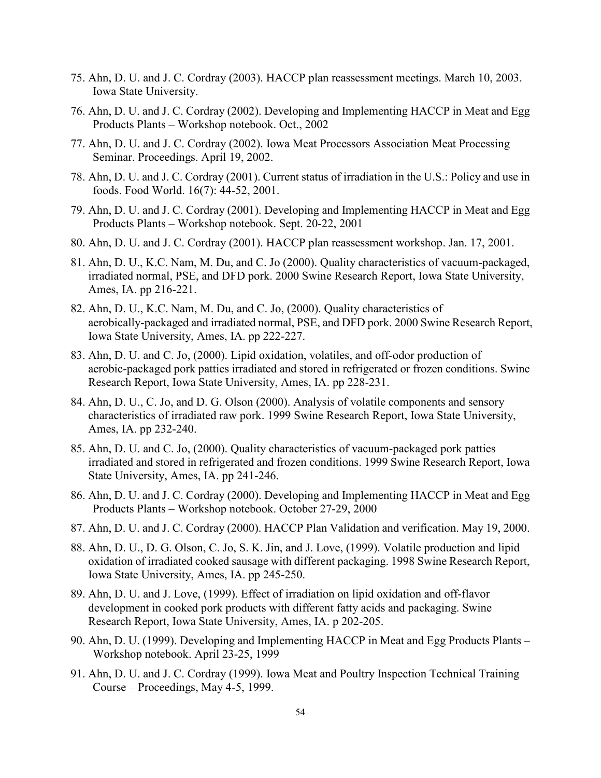- 75. Ahn, D. U. and J. C. Cordray (2003). HACCP plan reassessment meetings. March 10, 2003. Iowa State University.
- 76. Ahn, D. U. and J. C. Cordray (2002). Developing and Implementing HACCP in Meat and Egg Products Plants – Workshop notebook. Oct., 2002
- 77. Ahn, D. U. and J. C. Cordray (2002). Iowa Meat Processors Association Meat Processing Seminar. Proceedings. April 19, 2002.
- 78. Ahn, D. U. and J. C. Cordray (2001). Current status of irradiation in the U.S.: Policy and use in foods. Food World. 16(7): 44-52, 2001.
- 79. Ahn, D. U. and J. C. Cordray (2001). Developing and Implementing HACCP in Meat and Egg Products Plants – Workshop notebook. Sept. 20-22, 2001
- 80. Ahn, D. U. and J. C. Cordray (2001). HACCP plan reassessment workshop. Jan. 17, 2001.
- 81. Ahn, D. U., K.C. Nam, M. Du, and C. Jo (2000). Quality characteristics of vacuum-packaged, irradiated normal, PSE, and DFD pork. 2000 Swine Research Report, Iowa State University, Ames, IA. pp 216-221.
- 82. Ahn, D. U., K.C. Nam, M. Du, and C. Jo, (2000). Quality characteristics of aerobically-packaged and irradiated normal, PSE, and DFD pork. 2000 Swine Research Report, Iowa State University, Ames, IA. pp 222-227.
- 83. Ahn, D. U. and C. Jo, (2000). Lipid oxidation, volatiles, and off-odor production of aerobic-packaged pork patties irradiated and stored in refrigerated or frozen conditions. Swine Research Report, Iowa State University, Ames, IA. pp 228-231.
- 84. Ahn, D. U., C. Jo, and D. G. Olson (2000). Analysis of volatile components and sensory characteristics of irradiated raw pork. 1999 Swine Research Report, Iowa State University, Ames, IA. pp 232-240.
- 85. Ahn, D. U. and C. Jo, (2000). Quality characteristics of vacuum-packaged pork patties irradiated and stored in refrigerated and frozen conditions. 1999 Swine Research Report, Iowa State University, Ames, IA. pp 241-246.
- 86. Ahn, D. U. and J. C. Cordray (2000). Developing and Implementing HACCP in Meat and Egg Products Plants – Workshop notebook. October 27-29, 2000
- 87. Ahn, D. U. and J. C. Cordray (2000). HACCP Plan Validation and verification. May 19, 2000.
- 88. Ahn, D. U., D. G. Olson, C. Jo, S. K. Jin, and J. Love, (1999). Volatile production and lipid oxidation of irradiated cooked sausage with different packaging. 1998 Swine Research Report, Iowa State University, Ames, IA. pp 245-250.
- 89. Ahn, D. U. and J. Love, (1999). Effect of irradiation on lipid oxidation and off-flavor development in cooked pork products with different fatty acids and packaging. Swine Research Report, Iowa State University, Ames, IA. p 202-205.
- 90. Ahn, D. U. (1999). Developing and Implementing HACCP in Meat and Egg Products Plants Workshop notebook. April 23-25, 1999
- 91. Ahn, D. U. and J. C. Cordray (1999). Iowa Meat and Poultry Inspection Technical Training Course – Proceedings, May 4-5, 1999.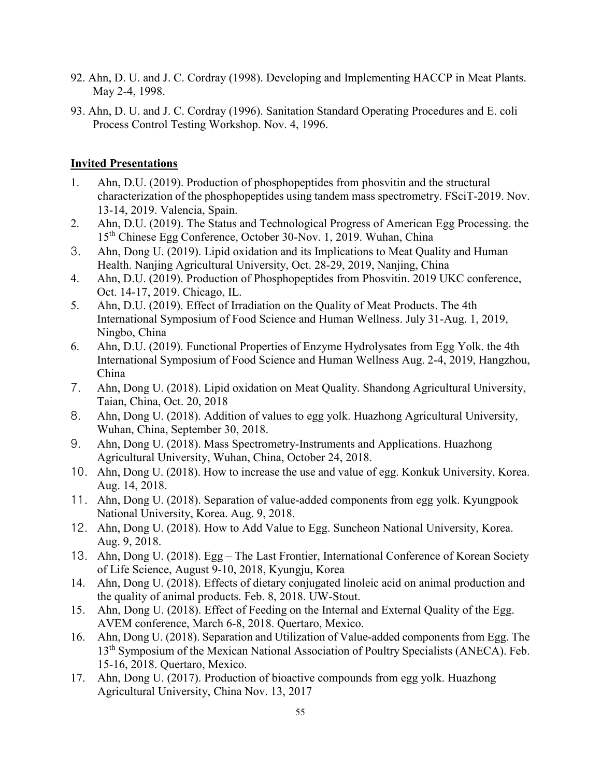- 92. Ahn, D. U. and J. C. Cordray (1998). Developing and Implementing HACCP in Meat Plants. May 2-4, 1998.
- 93. Ahn, D. U. and J. C. Cordray (1996). Sanitation Standard Operating Procedures and E. coli Process Control Testing Workshop. Nov. 4, 1996.

## **Invited Presentations**

- 1. Ahn, D.U. (2019). Production of phosphopeptides from phosvitin and the structural characterization of the phosphopeptides using tandem mass spectrometry. FSciT-2019. Nov. 13-14, 2019. Valencia, Spain.
- 2. Ahn, D.U. (2019). The Status and Technological Progress of American Egg Processing. the 15th Chinese Egg Conference, October 30-Nov. 1, 2019. Wuhan, China
- 3. Ahn, Dong U. (2019). Lipid oxidation and its Implications to Meat Quality and Human Health. Nanjing Agricultural University, Oct. 28-29, 2019, Nanjing, China
- 4. Ahn, D.U. (2019). Production of Phosphopeptides from Phosvitin. 2019 UKC conference, Oct. 14-17, 2019. Chicago, IL.
- 5. Ahn, D.U. (2019). Effect of Irradiation on the Quality of Meat Products. The 4th International Symposium of Food Science and Human Wellness. July 31-Aug. 1, 2019, Ningbo, China
- 6. Ahn, D.U. (2019). Functional Properties of Enzyme Hydrolysates from Egg Yolk. the 4th International Symposium of Food Science and Human Wellness Aug. 2-4, 2019, Hangzhou, China
- 7. Ahn, Dong U. (2018). Lipid oxidation on Meat Quality. Shandong Agricultural University, Taian, China, Oct. 20, 2018
- 8. Ahn, Dong U. (2018). Addition of values to egg yolk. Huazhong Agricultural University, Wuhan, China, September 30, 2018.
- 9. Ahn, Dong U. (2018). Mass Spectrometry-Instruments and Applications. Huazhong Agricultural University, Wuhan, China, October 24, 2018.
- 10. Ahn, Dong U. (2018). How to increase the use and value of egg. Konkuk University, Korea. Aug. 14, 2018.
- 11. Ahn, Dong U. (2018). Separation of value-added components from egg yolk. Kyungpook National University, Korea. Aug. 9, 2018.
- 12. Ahn, Dong U. (2018). How to Add Value to Egg. Suncheon National University, Korea. Aug. 9, 2018.
- 13. Ahn, Dong U. (2018). Egg The Last Frontier, International Conference of Korean Society of Life Science, August 9-10, 2018, Kyungju, Korea
- 14. Ahn, Dong U. (2018). Effects of dietary conjugated linoleic acid on animal production and the quality of animal products. Feb. 8, 2018. UW-Stout.
- 15. Ahn, Dong U. (2018). Effect of Feeding on the Internal and External Quality of the Egg. AVEM conference, March 6-8, 2018. Quertaro, Mexico.
- 16. Ahn, Dong U. (2018). Separation and Utilization of Value-added components from Egg. The 13<sup>th</sup> Symposium of the Mexican National Association of Poultry Specialists (ANECA). Feb. 15-16, 2018. Quertaro, Mexico.
- 17. Ahn, Dong U. (2017). Production of bioactive compounds from egg yolk. Huazhong Agricultural University, China Nov. 13, 2017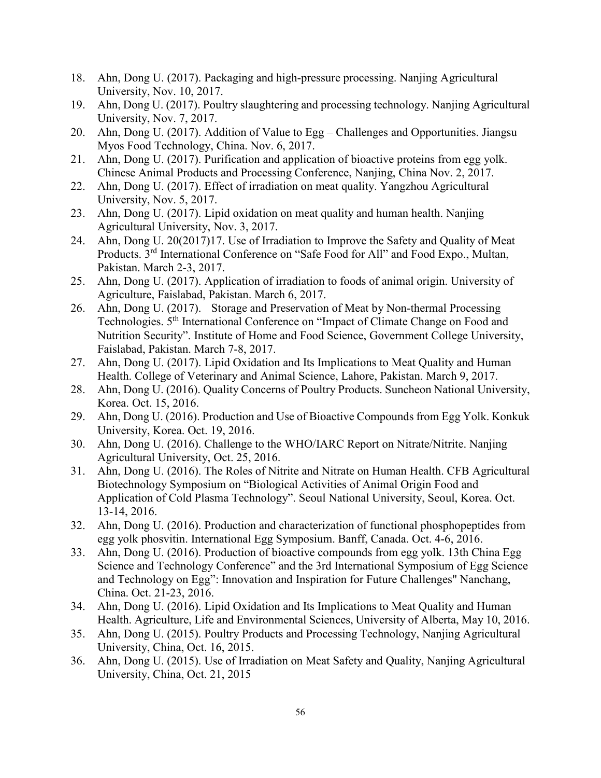- 18. Ahn, Dong U. (2017). Packaging and high-pressure processing. Nanjing Agricultural University, Nov. 10, 2017.
- 19. Ahn, Dong U. (2017). Poultry slaughtering and processing technology. Nanjing Agricultural University, Nov. 7, 2017.
- 20. Ahn, Dong U. (2017). Addition of Value to Egg Challenges and Opportunities. Jiangsu Myos Food Technology, China. Nov. 6, 2017.
- 21. Ahn, Dong U. (2017). Purification and application of bioactive proteins from egg yolk. Chinese Animal Products and Processing Conference, Nanjing, China Nov. 2, 2017.
- 22. Ahn, Dong U. (2017). Effect of irradiation on meat quality. Yangzhou Agricultural University, Nov. 5, 2017.
- 23. Ahn, Dong U. (2017). Lipid oxidation on meat quality and human health. Nanjing Agricultural University, Nov. 3, 2017.
- 24. Ahn, Dong U. 20(2017)17. Use of Irradiation to Improve the Safety and Quality of Meat Products. 3rd International Conference on "Safe Food for All" and Food Expo., Multan, Pakistan. March 2-3, 2017.
- 25. Ahn, Dong U. (2017). Application of irradiation to foods of animal origin. University of Agriculture, Faislabad, Pakistan. March 6, 2017.
- 26. Ahn, Dong U. (2017). Storage and Preservation of Meat by Non-thermal Processing Technologies. 5th International Conference on "Impact of Climate Change on Food and Nutrition Security". Institute of Home and Food Science, Government College University, Faislabad, Pakistan. March 7-8, 2017.
- 27. Ahn, Dong U. (2017). Lipid Oxidation and Its Implications to Meat Quality and Human Health. College of Veterinary and Animal Science, Lahore, Pakistan. March 9, 2017.
- 28. Ahn, Dong U. (2016). Quality Concerns of Poultry Products. Suncheon National University, Korea. Oct. 15, 2016.
- 29. Ahn, Dong U. (2016). Production and Use of Bioactive Compounds from Egg Yolk. Konkuk University, Korea. Oct. 19, 2016.
- 30. Ahn, Dong U. (2016). Challenge to the WHO/IARC Report on Nitrate/Nitrite. Nanjing Agricultural University, Oct. 25, 2016.
- 31. Ahn, Dong U. (2016). The Roles of Nitrite and Nitrate on Human Health. CFB Agricultural Biotechnology Symposium on "Biological Activities of Animal Origin Food and Application of Cold Plasma Technology". Seoul National University, Seoul, Korea. Oct. 13-14, 2016.
- 32. Ahn, Dong U. (2016). Production and characterization of functional phosphopeptides from egg yolk phosvitin. International Egg Symposium. Banff, Canada. Oct. 4-6, 2016.
- 33. Ahn, Dong U. (2016). Production of bioactive compounds from egg yolk. 13th China Egg Science and Technology Conference" and the 3rd International Symposium of Egg Science and Technology on Egg": Innovation and Inspiration for Future Challenges" Nanchang, China. Oct. 21-23, 2016.
- 34. Ahn, Dong U. (2016). Lipid Oxidation and Its Implications to Meat Quality and Human Health. Agriculture, Life and Environmental Sciences, University of Alberta, May 10, 2016.
- 35. Ahn, Dong U. (2015). Poultry Products and Processing Technology, Nanjing Agricultural University, China, Oct. 16, 2015.
- 36. Ahn, Dong U. (2015). Use of Irradiation on Meat Safety and Quality, Nanjing Agricultural University, China, Oct. 21, 2015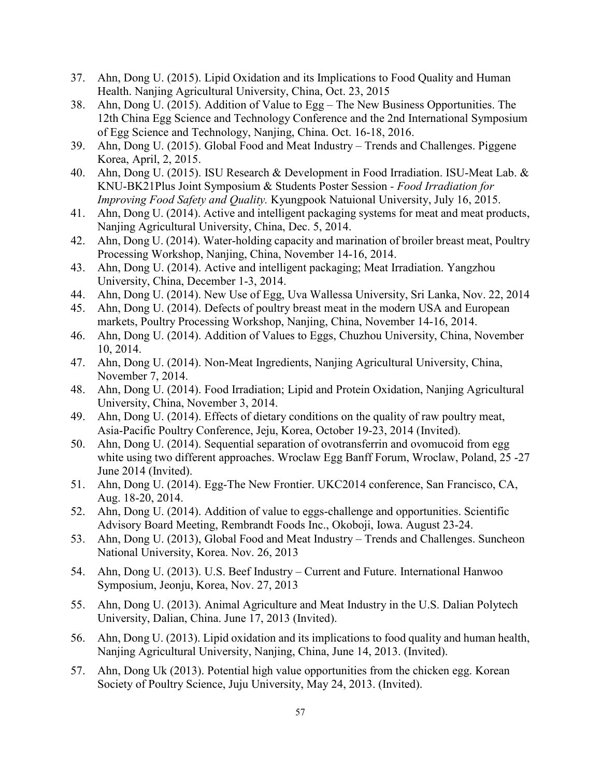- 37. Ahn, Dong U. (2015). Lipid Oxidation and its Implications to Food Quality and Human Health. Nanjing Agricultural University, China, Oct. 23, 2015
- 38. Ahn, Dong U. (2015). Addition of Value to Egg The New Business Opportunities. The 12th China Egg Science and Technology Conference and the 2nd International Symposium of Egg Science and Technology, Nanjing, China. Oct. 16-18, 2016.
- 39. Ahn, Dong U. (2015). Global Food and Meat Industry Trends and Challenges. Piggene Korea, April, 2, 2015.
- 40. Ahn, Dong U. (2015). ISU Research & Development in Food Irradiation. ISU-Meat Lab. & KNU-BK21Plus Joint Symposium & Students Poster Session *- Food Irradiation for Improving Food Safety and Quality.* Kyungpook Natuional University, July 16, 2015.
- 41. Ahn, Dong U. (2014). Active and intelligent packaging systems for meat and meat products, Nanjing Agricultural University, China, Dec. 5, 2014.
- 42. Ahn, Dong U. (2014). Water-holding capacity and marination of broiler breast meat, Poultry Processing Workshop, Nanjing, China, November 14-16, 2014.
- 43. Ahn, Dong U. (2014). Active and intelligent packaging; Meat Irradiation. Yangzhou University, China, December 1-3, 2014.
- 44. Ahn, Dong U. (2014). New Use of Egg, Uva Wallessa University, Sri Lanka, Nov. 22, 2014
- 45. Ahn, Dong U. (2014). Defects of poultry breast meat in the modern USA and European markets, Poultry Processing Workshop, Nanjing, China, November 14-16, 2014.
- 46. Ahn, Dong U. (2014). Addition of Values to Eggs, Chuzhou University, China, November 10, 2014.
- 47. Ahn, Dong U. (2014). Non-Meat Ingredients, Nanjing Agricultural University, China, November 7, 2014.
- 48. Ahn, Dong U. (2014). Food Irradiation; Lipid and Protein Oxidation, Nanjing Agricultural University, China, November 3, 2014.
- 49. Ahn, Dong U. (2014). Effects of dietary conditions on the quality of raw poultry meat, Asia-Pacific Poultry Conference, Jeju, Korea, October 19-23, 2014 (Invited).
- 50. Ahn, Dong U. (2014). Sequential separation of ovotransferrin and ovomucoid from egg white using two different approaches. Wroclaw Egg Banff Forum, Wroclaw, Poland, 25 -27 June 2014 (Invited).
- 51. Ahn, Dong U. (2014). Egg-The New Frontier. UKC2014 conference, San Francisco, CA, Aug. 18-20, 2014.
- 52. Ahn, Dong U. (2014). Addition of value to eggs-challenge and opportunities. Scientific Advisory Board Meeting, Rembrandt Foods Inc., Okoboji, Iowa. August 23-24.
- 53. Ahn, Dong U. (2013), Global Food and Meat Industry Trends and Challenges. Suncheon National University, Korea. Nov. 26, 2013
- 54. Ahn, Dong U. (2013). U.S. Beef Industry Current and Future. International Hanwoo Symposium, Jeonju, Korea, Nov. 27, 2013
- 55. Ahn, Dong U. (2013). Animal Agriculture and Meat Industry in the U.S. Dalian Polytech University, Dalian, China. June 17, 2013 (Invited).
- 56. Ahn, Dong U. (2013). Lipid oxidation and its implications to food quality and human health, Nanjing Agricultural University, Nanjing, China, June 14, 2013. (Invited).
- 57. Ahn, Dong Uk (2013). Potential high value opportunities from the chicken egg. Korean Society of Poultry Science, Juju University, May 24, 2013. (Invited).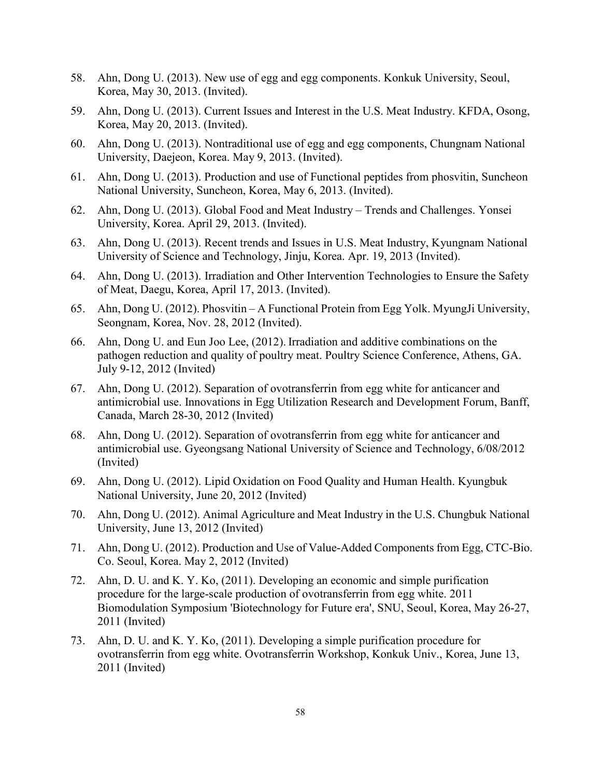- 58. Ahn, Dong U. (2013). New use of egg and egg components. Konkuk University, Seoul, Korea, May 30, 2013. (Invited).
- 59. Ahn, Dong U. (2013). Current Issues and Interest in the U.S. Meat Industry. KFDA, Osong, Korea, May 20, 2013. (Invited).
- 60. Ahn, Dong U. (2013). Nontraditional use of egg and egg components, Chungnam National University, Daejeon, Korea. May 9, 2013. (Invited).
- 61. Ahn, Dong U. (2013). Production and use of Functional peptides from phosvitin, Suncheon National University, Suncheon, Korea, May 6, 2013. (Invited).
- 62. Ahn, Dong U. (2013). Global Food and Meat Industry Trends and Challenges. Yonsei University, Korea. April 29, 2013. (Invited).
- 63. Ahn, Dong U. (2013). Recent trends and Issues in U.S. Meat Industry, Kyungnam National University of Science and Technology, Jinju, Korea. Apr. 19, 2013 (Invited).
- 64. Ahn, Dong U. (2013). Irradiation and Other Intervention Technologies to Ensure the Safety of Meat, Daegu, Korea, April 17, 2013. (Invited).
- 65. Ahn, Dong U. (2012). Phosvitin A Functional Protein from Egg Yolk. MyungJi University, Seongnam, Korea, Nov. 28, 2012 (Invited).
- 66. Ahn, Dong U. and Eun Joo Lee, (2012). Irradiation and additive combinations on the pathogen reduction and quality of poultry meat. Poultry Science Conference, Athens, GA. July 9-12, 2012 (Invited)
- 67. Ahn, Dong U. (2012). Separation of ovotransferrin from egg white for anticancer and antimicrobial use. Innovations in Egg Utilization Research and Development Forum, Banff, Canada, March 28-30, 2012 (Invited)
- 68. Ahn, Dong U. (2012). Separation of ovotransferrin from egg white for anticancer and antimicrobial use. Gyeongsang National University of Science and Technology, 6/08/2012 (Invited)
- 69. Ahn, Dong U. (2012). Lipid Oxidation on Food Quality and Human Health. Kyungbuk National University, June 20, 2012 (Invited)
- 70. Ahn, Dong U. (2012). Animal Agriculture and Meat Industry in the U.S. Chungbuk National University, June 13, 2012 (Invited)
- 71. Ahn, Dong U. (2012). Production and Use of Value-Added Components from Egg, CTC-Bio. Co. Seoul, Korea. May 2, 2012 (Invited)
- 72. Ahn, D. U. and K. Y. Ko, (2011). Developing an economic and simple purification procedure for the large-scale production of ovotransferrin from egg white. 2011 Biomodulation Symposium 'Biotechnology for Future era', SNU, Seoul, Korea, May 26-27, 2011 (Invited)
- 73. Ahn, D. U. and K. Y. Ko, (2011). Developing a simple purification procedure for ovotransferrin from egg white. Ovotransferrin Workshop, Konkuk Univ., Korea, June 13, 2011 (Invited)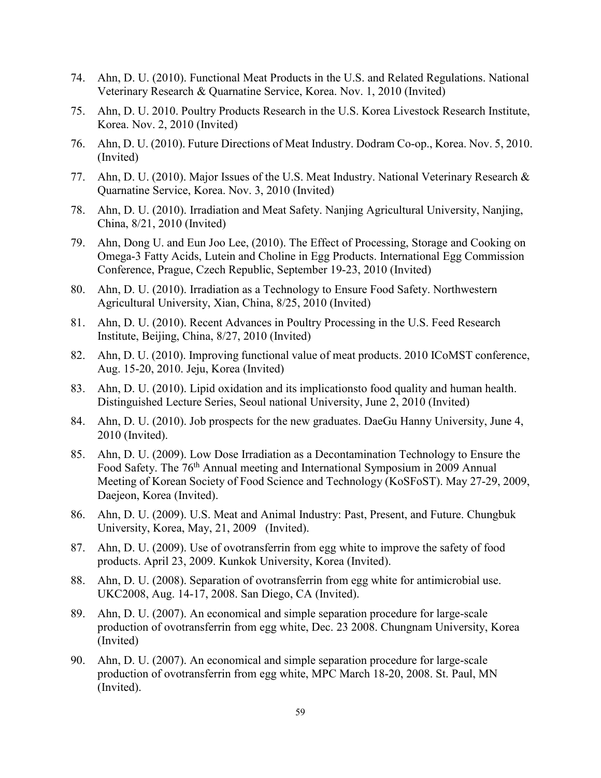- 74. Ahn, D. U. (2010). Functional Meat Products in the U.S. and Related Regulations. National Veterinary Research & Quarnatine Service, Korea. Nov. 1, 2010 (Invited)
- 75. Ahn, D. U. 2010. Poultry Products Research in the U.S. Korea Livestock Research Institute, Korea. Nov. 2, 2010 (Invited)
- 76. Ahn, D. U. (2010). Future Directions of Meat Industry. Dodram Co-op., Korea. Nov. 5, 2010. (Invited)
- 77. Ahn, D. U. (2010). Major Issues of the U.S. Meat Industry. National Veterinary Research & Quarnatine Service, Korea. Nov. 3, 2010 (Invited)
- 78. Ahn, D. U. (2010). Irradiation and Meat Safety. Nanjing Agricultural University, Nanjing, China, 8/21, 2010 (Invited)
- 79. Ahn, Dong U. and Eun Joo Lee, (2010). The Effect of Processing, Storage and Cooking on Omega-3 Fatty Acids, Lutein and Choline in Egg Products. International Egg Commission Conference, Prague, Czech Republic, September 19-23, 2010 (Invited)
- 80. Ahn, D. U. (2010). Irradiation as a Technology to Ensure Food Safety. Northwestern Agricultural University, Xian, China, 8/25, 2010 (Invited)
- 81. Ahn, D. U. (2010). Recent Advances in Poultry Processing in the U.S. Feed Research Institute, Beijing, China, 8/27, 2010 (Invited)
- 82. Ahn, D. U. (2010). Improving functional value of meat products. 2010 ICoMST conference, Aug. 15-20, 2010. Jeju, Korea (Invited)
- 83. Ahn, D. U. (2010). Lipid oxidation and its implicationsto food quality and human health. Distinguished Lecture Series, Seoul national University, June 2, 2010 (Invited)
- 84. Ahn, D. U. (2010). Job prospects for the new graduates. DaeGu Hanny University, June 4, 2010 (Invited).
- 85. Ahn, D. U. (2009). Low Dose Irradiation as a Decontamination Technology to Ensure the Food Safety. The 76<sup>th</sup> Annual meeting and International Symposium in 2009 Annual Meeting of Korean Society of Food Science and Technology (KoSFoST). May 27-29, 2009, Daejeon, Korea (Invited).
- 86. Ahn, D. U. (2009). U.S. Meat and Animal Industry: Past, Present, and Future. Chungbuk University, Korea, May, 21, 2009 (Invited).
- 87. Ahn, D. U. (2009). Use of ovotransferrin from egg white to improve the safety of food products. April 23, 2009. Kunkok University, Korea (Invited).
- 88. Ahn, D. U. (2008). Separation of ovotransferrin from egg white for antimicrobial use. UKC2008, Aug. 14-17, 2008. San Diego, CA (Invited).
- 89. Ahn, D. U. (2007). An economical and simple separation procedure for large-scale production of ovotransferrin from egg white, Dec. 23 2008. Chungnam University, Korea (Invited)
- 90. Ahn, D. U. (2007). An economical and simple separation procedure for large-scale production of ovotransferrin from egg white, MPC March 18-20, 2008. St. Paul, MN (Invited).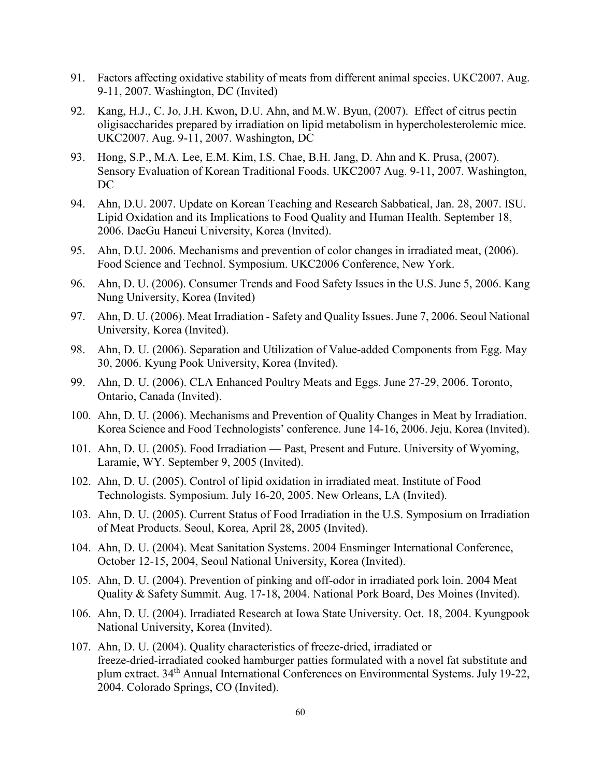- 91. [Factors affecting oxidative stability of meats from different animal species.](javascript:openwin(615)) UKC2007. Aug. 9-11, 2007. Washington, DC (Invited)
- 92. Kang, H.J., C. Jo, J.H. Kwon, D.U. Ahn, and M.W. Byun, (2007). [Effect of citrus pectin](javascript:openwin(737))  [oligisaccharides prepared by irradiation on lipid metabolism in hypercholesterolemic mice.](javascript:openwin(737))  UKC2007. Aug. 9-11, 2007. Washington, DC
- 93. Hong, S.P., M.A. Lee, E.M. Kim, I.S. Chae, B.H. Jang, D. Ahn and K. Prusa, (2007). Sensory Evaluation of Korean Traditional Foods. UKC2007 Aug. 9-11, 2007. Washington, DC
- 94. Ahn, D.U. 2007. Update on Korean Teaching and Research Sabbatical, Jan. 28, 2007. ISU. Lipid Oxidation and its Implications to Food Quality and Human Health. September 18, 2006. DaeGu Haneui University, Korea (Invited).
- 95. Ahn, D.U. 2006. Mechanisms and prevention of color changes in irradiated meat, (2006). Food Science and Technol. Symposium. UKC2006 Conference, New York.
- 96. Ahn, D. U. (2006). Consumer Trends and Food Safety Issues in the U.S. June 5, 2006. Kang Nung University, Korea (Invited)
- 97. Ahn, D. U. (2006). Meat Irradiation Safety and Quality Issues. June 7, 2006. Seoul National University, Korea (Invited).
- 98. Ahn, D. U. (2006). Separation and Utilization of Value-added Components from Egg. May 30, 2006. Kyung Pook University, Korea (Invited).
- 99. Ahn, D. U. (2006). CLA Enhanced Poultry Meats and Eggs. June 27-29, 2006. Toronto, Ontario, Canada (Invited).
- 100. Ahn, D. U. (2006). Mechanisms and Prevention of Quality Changes in Meat by Irradiation. Korea Science and Food Technologists' conference. June 14-16, 2006. Jeju, Korea (Invited).
- 101. Ahn, D. U. (2005). Food Irradiation Past, Present and Future. University of Wyoming, Laramie, WY. September 9, 2005 (Invited).
- 102. Ahn, D. U. (2005). Control of lipid oxidation in irradiated meat. Institute of Food Technologists. Symposium. July 16-20, 2005. New Orleans, LA (Invited).
- 103. Ahn, D. U. (2005). Current Status of Food Irradiation in the U.S. Symposium on Irradiation of Meat Products. Seoul, Korea, April 28, 2005 (Invited).
- 104. Ahn, D. U. (2004). Meat Sanitation Systems. 2004 Ensminger International Conference, October 12-15, 2004, Seoul National University, Korea (Invited).
- 105. Ahn, D. U. (2004). Prevention of pinking and off-odor in irradiated pork loin. 2004 Meat Quality & Safety Summit. Aug. 17-18, 2004. National Pork Board, Des Moines (Invited).
- 106. Ahn, D. U. (2004). Irradiated Research at Iowa State University. Oct. 18, 2004. Kyungpook National University, Korea (Invited).
- 107. Ahn, D. U. (2004). Quality characteristics of freeze-dried, irradiated or freeze-dried-irradiated cooked hamburger patties formulated with a novel fat substitute and plum extract. 34th Annual International Conferences on Environmental Systems. July 19-22, 2004. Colorado Springs, CO (Invited).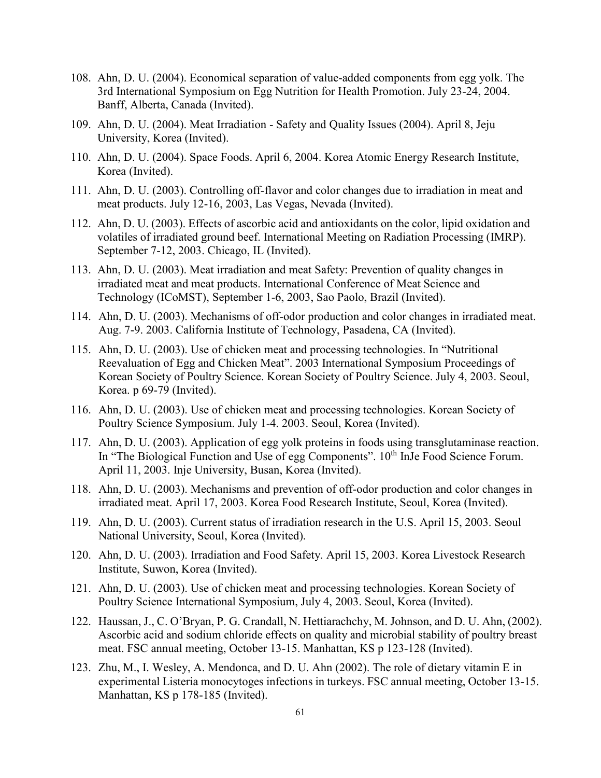- 108. Ahn, D. U. (2004). Economical separation of value-added components from egg yolk. The 3rd International Symposium on Egg Nutrition for Health Promotion. July 23-24, 2004. Banff, Alberta, Canada (Invited).
- 109. Ahn, D. U. (2004). Meat Irradiation Safety and Quality Issues (2004). April 8, Jeju University, Korea (Invited).
- 110. Ahn, D. U. (2004). Space Foods. April 6, 2004. Korea Atomic Energy Research Institute, Korea (Invited).
- 111. Ahn, D. U. (2003). Controlling off-flavor and color changes due to irradiation in meat and meat products. July 12-16, 2003, Las Vegas, Nevada (Invited).
- 112. Ahn, D. U. (2003). Effects of ascorbic acid and antioxidants on the color, lipid oxidation and volatiles of irradiated ground beef. International Meeting on Radiation Processing (IMRP). September 7-12, 2003. Chicago, IL (Invited).
- 113. Ahn, D. U. (2003). Meat irradiation and meat Safety: Prevention of quality changes in irradiated meat and meat products. International Conference of Meat Science and Technology (ICoMST), September 1-6, 2003, Sao Paolo, Brazil (Invited).
- 114. Ahn, D. U. (2003). Mechanisms of off-odor production and color changes in irradiated meat. Aug. 7-9. 2003. California Institute of Technology, Pasadena, CA (Invited).
- 115. Ahn, D. U. (2003). Use of chicken meat and processing technologies. In "Nutritional Reevaluation of Egg and Chicken Meat". 2003 International Symposium Proceedings of Korean Society of Poultry Science. Korean Society of Poultry Science. July 4, 2003. Seoul, Korea. p 69-79 (Invited).
- 116. Ahn, D. U. (2003). Use of chicken meat and processing technologies. Korean Society of Poultry Science Symposium. July 1-4. 2003. Seoul, Korea (Invited).
- 117. Ahn, D. U. (2003). Application of egg yolk proteins in foods using transglutaminase reaction. In "The Biological Function and Use of egg Components". 10<sup>th</sup> InJe Food Science Forum. April 11, 2003. Inje University, Busan, Korea (Invited).
- 118. Ahn, D. U. (2003). Mechanisms and prevention of off-odor production and color changes in irradiated meat. April 17, 2003. Korea Food Research Institute, Seoul, Korea (Invited).
- 119. Ahn, D. U. (2003). Current status of irradiation research in the U.S. April 15, 2003. Seoul National University, Seoul, Korea (Invited).
- 120. Ahn, D. U. (2003). Irradiation and Food Safety. April 15, 2003. Korea Livestock Research Institute, Suwon, Korea (Invited).
- 121. Ahn, D. U. (2003). Use of chicken meat and processing technologies. Korean Society of Poultry Science International Symposium, July 4, 2003. Seoul, Korea (Invited).
- 122. Haussan, J., C. O'Bryan, P. G. Crandall, N. Hettiarachchy, M. Johnson, and D. U. Ahn, (2002). Ascorbic acid and sodium chloride effects on quality and microbial stability of poultry breast meat. FSC annual meeting, October 13-15. Manhattan, KS p 123-128 (Invited).
- 123. Zhu, M., I. Wesley, A. Mendonca, and D. U. Ahn (2002). The role of dietary vitamin E in experimental Listeria monocytoges infections in turkeys. FSC annual meeting, October 13-15. Manhattan, KS p 178-185 (Invited).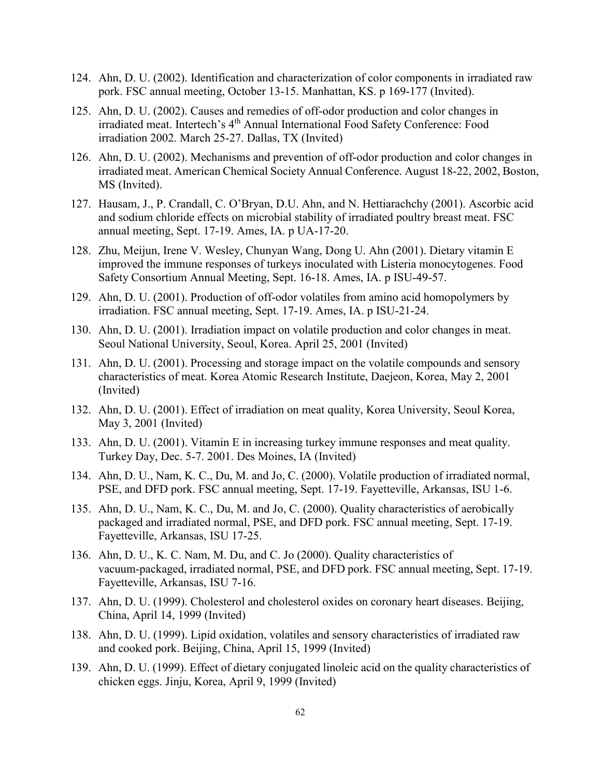- 124. Ahn, D. U. (2002). Identification and characterization of color components in irradiated raw pork. FSC annual meeting, October 13-15. Manhattan, KS. p 169-177 (Invited).
- 125. Ahn, D. U. (2002). Causes and remedies of off-odor production and color changes in irradiated meat. Intertech's 4<sup>th</sup> Annual International Food Safety Conference: Food irradiation 2002. March 25-27. Dallas, TX (Invited)
- 126. Ahn, D. U. (2002). Mechanisms and prevention of off-odor production and color changes in irradiated meat. American Chemical Society Annual Conference. August 18-22, 2002, Boston, MS (Invited).
- 127. Hausam, J., P. Crandall, C. O'Bryan, D.U. Ahn, and N. Hettiarachchy (2001). Ascorbic acid and sodium chloride effects on microbial stability of irradiated poultry breast meat. FSC annual meeting, Sept. 17-19. Ames, IA. p UA-17-20.
- 128. Zhu, Meijun, Irene V. Wesley, Chunyan Wang, Dong U. Ahn (2001). Dietary vitamin E improved the immune responses of turkeys inoculated with Listeria monocytogenes. Food Safety Consortium Annual Meeting, Sept. 16-18. Ames, IA. p ISU-49-57.
- 129. Ahn, D. U. (2001). Production of off-odor volatiles from amino acid homopolymers by irradiation. FSC annual meeting, Sept. 17-19. Ames, IA. p ISU-21-24.
- 130. Ahn, D. U. (2001). Irradiation impact on volatile production and color changes in meat. Seoul National University, Seoul, Korea. April 25, 2001 (Invited)
- 131. Ahn, D. U. (2001). Processing and storage impact on the volatile compounds and sensory characteristics of meat. Korea Atomic Research Institute, Daejeon, Korea, May 2, 2001 (Invited)
- 132. Ahn, D. U. (2001). Effect of irradiation on meat quality, Korea University, Seoul Korea, May 3, 2001 (Invited)
- 133. Ahn, D. U. (2001). Vitamin E in increasing turkey immune responses and meat quality. Turkey Day, Dec. 5-7. 2001. Des Moines, IA (Invited)
- 134. Ahn, D. U., Nam, K. C., Du, M. and Jo, C. (2000). Volatile production of irradiated normal, PSE, and DFD pork. FSC annual meeting, Sept. 17-19. Fayetteville, Arkansas, ISU 1-6.
- 135. Ahn, D. U., Nam, K. C., Du, M. and Jo, C. (2000). Quality characteristics of aerobically packaged and irradiated normal, PSE, and DFD pork. FSC annual meeting, Sept. 17-19. Fayetteville, Arkansas, ISU 17-25.
- 136. Ahn, D. U., K. C. Nam, M. Du, and C. Jo (2000). Quality characteristics of vacuum-packaged, irradiated normal, PSE, and DFD pork. FSC annual meeting, Sept. 17-19. Fayetteville, Arkansas, ISU 7-16.
- 137. Ahn, D. U. (1999). Cholesterol and cholesterol oxides on coronary heart diseases. Beijing, China, April 14, 1999 (Invited)
- 138. Ahn, D. U. (1999). Lipid oxidation, volatiles and sensory characteristics of irradiated raw and cooked pork. Beijing, China, April 15, 1999 (Invited)
- 139. Ahn, D. U. (1999). Effect of dietary conjugated linoleic acid on the quality characteristics of chicken eggs. Jinju, Korea, April 9, 1999 (Invited)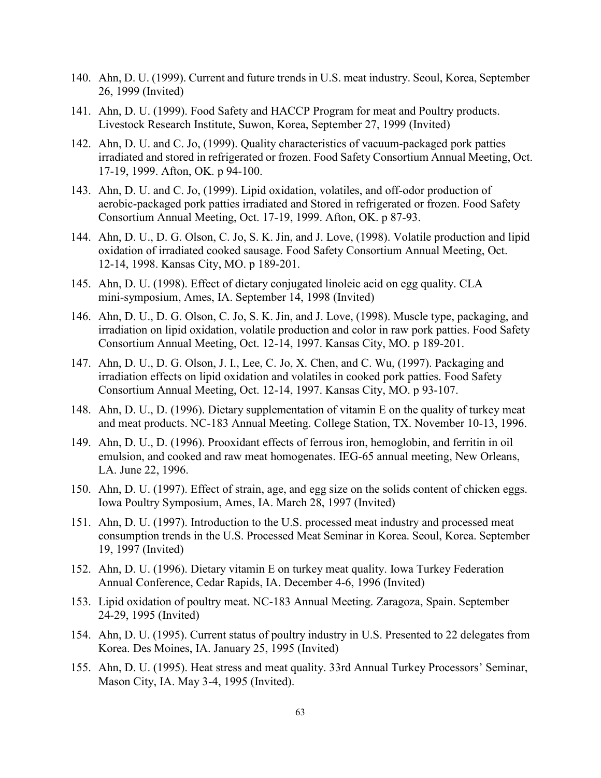- 140. Ahn, D. U. (1999). Current and future trends in U.S. meat industry. Seoul, Korea, September 26, 1999 (Invited)
- 141. Ahn, D. U. (1999). Food Safety and HACCP Program for meat and Poultry products. Livestock Research Institute, Suwon, Korea, September 27, 1999 (Invited)
- 142. Ahn, D. U. and C. Jo, (1999). Quality characteristics of vacuum-packaged pork patties irradiated and stored in refrigerated or frozen. Food Safety Consortium Annual Meeting, Oct. 17-19, 1999. Afton, OK. p 94-100.
- 143. Ahn, D. U. and C. Jo, (1999). Lipid oxidation, volatiles, and off-odor production of aerobic-packaged pork patties irradiated and Stored in refrigerated or frozen. Food Safety Consortium Annual Meeting, Oct. 17-19, 1999. Afton, OK. p 87-93.
- 144. Ahn, D. U., D. G. Olson, C. Jo, S. K. Jin, and J. Love, (1998). Volatile production and lipid oxidation of irradiated cooked sausage. Food Safety Consortium Annual Meeting, Oct. 12-14, 1998. Kansas City, MO. p 189-201.
- 145. Ahn, D. U. (1998). Effect of dietary conjugated linoleic acid on egg quality. CLA mini-symposium, Ames, IA. September 14, 1998 (Invited)
- 146. Ahn, D. U., D. G. Olson, C. Jo, S. K. Jin, and J. Love, (1998). Muscle type, packaging, and irradiation on lipid oxidation, volatile production and color in raw pork patties. Food Safety Consortium Annual Meeting, Oct. 12-14, 1997. Kansas City, MO. p 189-201.
- 147. Ahn, D. U., D. G. Olson, J. I., Lee, C. Jo, X. Chen, and C. Wu, (1997). Packaging and irradiation effects on lipid oxidation and volatiles in cooked pork patties. Food Safety Consortium Annual Meeting, Oct. 12-14, 1997. Kansas City, MO. p 93-107.
- 148. Ahn, D. U., D. (1996). Dietary supplementation of vitamin E on the quality of turkey meat and meat products. NC-183 Annual Meeting. College Station, TX. November 10-13, 1996.
- 149. Ahn, D. U., D. (1996). Prooxidant effects of ferrous iron, hemoglobin, and ferritin in oil emulsion, and cooked and raw meat homogenates. IEG-65 annual meeting, New Orleans, LA. June 22, 1996.
- 150. Ahn, D. U. (1997). Effect of strain, age, and egg size on the solids content of chicken eggs. Iowa Poultry Symposium, Ames, IA. March 28, 1997 (Invited)
- 151. Ahn, D. U. (1997). Introduction to the U.S. processed meat industry and processed meat consumption trends in the U.S. Processed Meat Seminar in Korea. Seoul, Korea. September 19, 1997 (Invited)
- 152. Ahn, D. U. (1996). Dietary vitamin E on turkey meat quality. Iowa Turkey Federation Annual Conference, Cedar Rapids, IA. December 4-6, 1996 (Invited)
- 153. Lipid oxidation of poultry meat. NC-183 Annual Meeting. Zaragoza, Spain. September 24-29, 1995 (Invited)
- 154. Ahn, D. U. (1995). Current status of poultry industry in U.S. Presented to 22 delegates from Korea. Des Moines, IA. January 25, 1995 (Invited)
- 155. Ahn, D. U. (1995). Heat stress and meat quality. 33rd Annual Turkey Processors' Seminar, Mason City, IA. May 3-4, 1995 (Invited).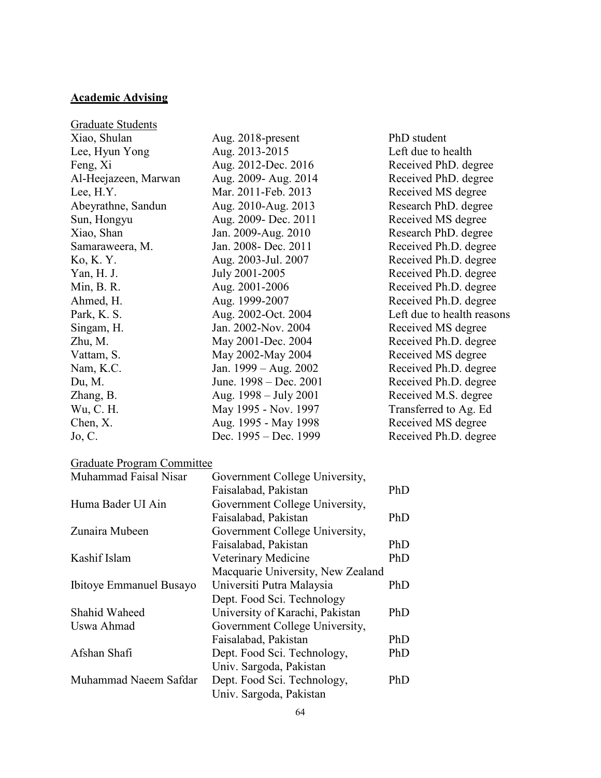## **Academic Advising**

| <b>Graduate Students</b> |                        |                            |
|--------------------------|------------------------|----------------------------|
| Xiao, Shulan             | Aug. 2018-present      | PhD student                |
| Lee, Hyun Yong           | Aug. 2013-2015         | Left due to health         |
| Feng, Xi                 | Aug. 2012-Dec. 2016    | Received PhD. degree       |
| Al-Heejazeen, Marwan     | Aug. 2009- Aug. 2014   | Received PhD. degree       |
| Lee, H.Y.                | Mar. 2011-Feb. 2013    | Received MS degree         |
| Abeyrathne, Sandun       | Aug. 2010-Aug. 2013    | Research PhD. degree       |
| Sun, Hongyu              | Aug. 2009- Dec. 2011   | Received MS degree         |
| Xiao, Shan               | Jan. 2009-Aug. 2010    | Research PhD. degree       |
| Samaraweera, M.          | Jan. 2008- Dec. 2011   | Received Ph.D. degree      |
| Ko, K. Y.                | Aug. 2003-Jul. 2007    | Received Ph.D. degree      |
| Yan, H. J.               | July 2001-2005         | Received Ph.D. degree      |
| Min, B. R.               | Aug. 2001-2006         | Received Ph.D. degree      |
| Ahmed, H.                | Aug. 1999-2007         | Received Ph.D. degree      |
| Park, K. S.              | Aug. 2002-Oct. 2004    | Left due to health reasons |
| Singam, H.               | Jan. 2002-Nov. 2004    | Received MS degree         |
| Zhu, M.                  | May 2001-Dec. 2004     | Received Ph.D. degree      |
| Vattam, S.               | May 2002-May 2004      | Received MS degree         |
| Nam, K.C.                | Jan. 1999 – Aug. 2002  | Received Ph.D. degree      |
| Du, M.                   | June. 1998 – Dec. 2001 | Received Ph.D. degree      |
| Zhang, B.                | Aug. 1998 – July 2001  | Received M.S. degree       |
| Wu, C. H.                | May 1995 - Nov. 1997   | Transferred to Ag. Ed      |
| Chen, X.                 | Aug. 1995 - May 1998   | Received MS degree         |
| Jo, C.                   | Dec. 1995 – Dec. 1999  | Received Ph.D. degree      |

# Graduate Program Committee

| Muhammad Faisal Nisar   | Government College University,    |     |
|-------------------------|-----------------------------------|-----|
|                         | Faisalabad, Pakistan              | PhD |
| Huma Bader UI Ain       | Government College University,    |     |
|                         | Faisalabad, Pakistan              | PhD |
| Zunaira Mubeen          | Government College University,    |     |
|                         | Faisalabad, Pakistan              | PhD |
| Kashif Islam            | Veterinary Medicine               | PhD |
|                         | Macquarie University, New Zealand |     |
| Ibitoye Emmanuel Busayo | Universiti Putra Malaysia         | PhD |
|                         | Dept. Food Sci. Technology        |     |
| Shahid Waheed           | University of Karachi, Pakistan   | PhD |
| Uswa Ahmad              | Government College University,    |     |
|                         | Faisalabad, Pakistan              | PhD |
| Afshan Shafi            | Dept. Food Sci. Technology,       | PhD |
|                         | Univ. Sargoda, Pakistan           |     |
| Muhammad Naeem Safdar   | Dept. Food Sci. Technology,       | PhD |
|                         | Univ. Sargoda, Pakistan           |     |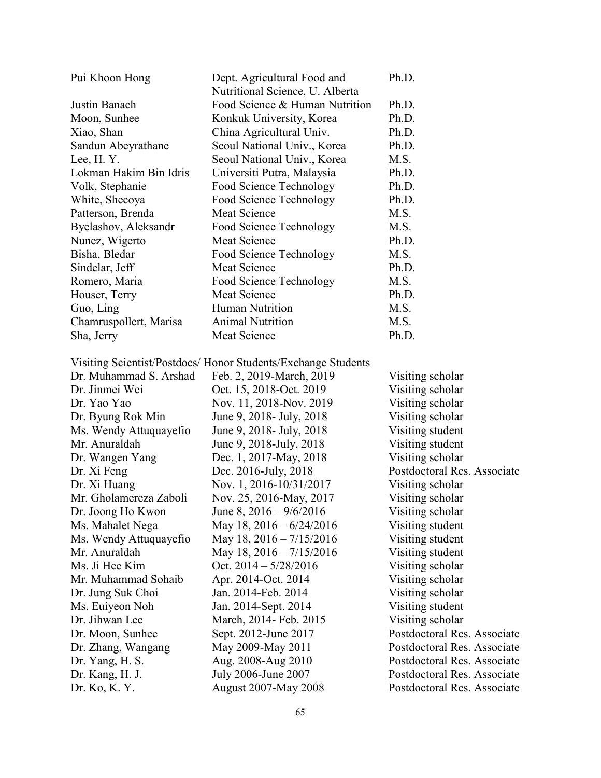| Pui Khoon Hong         | Dept. Agricultural Food and     | Ph.D. |
|------------------------|---------------------------------|-------|
|                        | Nutritional Science, U. Alberta |       |
| Justin Banach          | Food Science & Human Nutrition  | Ph.D. |
| Moon, Sunhee           | Konkuk University, Korea        | Ph.D. |
| Xiao, Shan             | China Agricultural Univ.        | Ph.D. |
| Sandun Abeyrathane     | Seoul National Univ., Korea     | Ph.D. |
| Lee, H.Y.              | Seoul National Univ., Korea     | M.S.  |
| Lokman Hakim Bin Idris | Universiti Putra, Malaysia      | Ph.D. |
| Volk, Stephanie        | <b>Food Science Technology</b>  | Ph.D. |
| White, Shecoya         | Food Science Technology         | Ph.D. |
| Patterson, Brenda      | Meat Science                    | M.S.  |
| Byelashov, Aleksandr   | Food Science Technology         | M.S.  |
| Nunez, Wigerto         | <b>Meat Science</b>             | Ph.D. |
| Bisha, Bledar          | Food Science Technology         | M.S.  |
| Sindelar, Jeff         | Meat Science                    | Ph.D. |
| Romero, Maria          | Food Science Technology         | M.S.  |
| Houser, Terry          | Meat Science                    | Ph.D. |
| Guo, Ling              | Human Nutrition                 | M.S.  |
| Chamruspollert, Marisa | <b>Animal Nutrition</b>         | M.S.  |
| Sha, Jerry             | Meat Science                    | Ph.D. |

## Visiting Scientist/Postdocs/ Honor Students/Exchange Students

| Dr. Muhammad S. Arshad | Feb. 2, 2019-March, 2019            | Visiting scholar            |
|------------------------|-------------------------------------|-----------------------------|
| Dr. Jinmei Wei         | Oct. 15, 2018-Oct. 2019             | Visiting scholar            |
| Dr. Yao Yao            | Nov. 11, 2018-Nov. 2019             | Visiting scholar            |
| Dr. Byung Rok Min      | June 9, 2018 - July, 2018           | Visiting scholar            |
| Ms. Wendy Attuquayefio | June 9, 2018 - July, 2018           | Visiting student            |
| Mr. Anuraldah          | June 9, 2018-July, 2018             | Visiting student            |
| Dr. Wangen Yang        | Dec. 1, 2017-May, 2018              | Visiting scholar            |
| Dr. Xi Feng            | Dec. 2016-July, 2018                | Postdoctoral Res. Associate |
| Dr. Xi Huang           | Nov. 1, 2016-10/31/2017             | Visiting scholar            |
| Mr. Gholamereza Zaboli | Nov. 25, 2016-May, 2017             | Visiting scholar            |
| Dr. Joong Ho Kwon      | June 8, $2016 - \frac{9}{6}{2016}$  | Visiting scholar            |
| Ms. Mahalet Nega       | May 18, $2016 - 6/24/2016$          | Visiting student            |
| Ms. Wendy Attuquayefio | May 18, $2016 - \frac{7}{15}{2016}$ | Visiting student            |
| Mr. Anuraldah          | May 18, $2016 - \frac{7}{15}{2016}$ | Visiting student            |
| Ms. Ji Hee Kim         | Oct. $2014 - \frac{5}{28/2016}$     | Visiting scholar            |
| Mr. Muhammad Sohaib    | Apr. 2014-Oct. 2014                 | Visiting scholar            |
| Dr. Jung Suk Choi      | Jan. 2014-Feb. 2014                 | Visiting scholar            |
| Ms. Euiyeon Noh        | Jan. 2014-Sept. 2014                | Visiting student            |
| Dr. Jihwan Lee         | March, 2014- Feb. 2015              | Visiting scholar            |
| Dr. Moon, Sunhee       | Sept. 2012-June 2017                | Postdoctoral Res. Associate |
| Dr. Zhang, Wangang     | May 2009-May 2011                   | Postdoctoral Res. Associate |
| Dr. Yang, H. S.        | Aug. 2008-Aug 2010                  | Postdoctoral Res. Associate |
| Dr. Kang, H. J.        | July 2006-June 2007                 | Postdoctoral Res. Associate |
| Dr. Ko, K. Y.          | <b>August 2007-May 2008</b>         | Postdoctoral Res. Associate |
|                        |                                     |                             |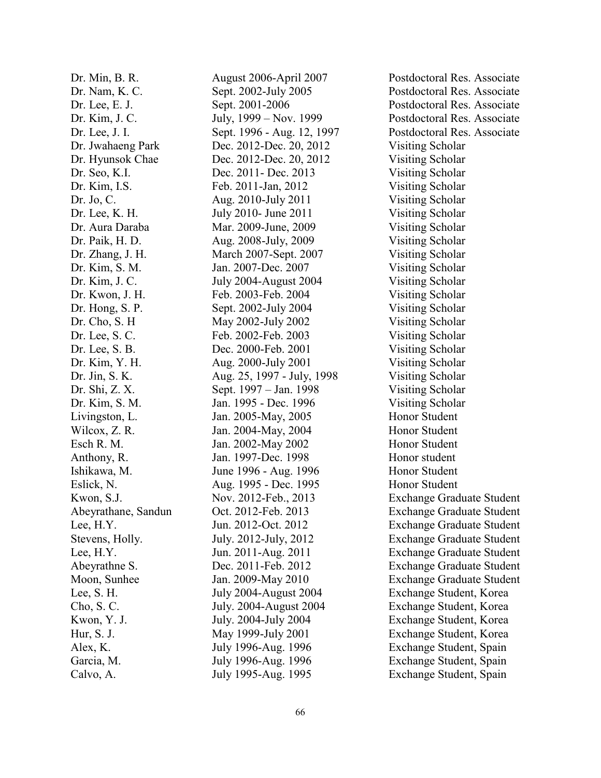Dr. Min, B. R. August 2006-April 2007 Postdoctoral Res. Associate Dr. Jwahaeng Park Dec. 2012-Dec. 20, 2012 Visiting Scholar Dr. Hyunsok Chae Dec. 2012-Dec. 20, 2012 Visiting Scholar Dr. Seo, K.I. Dec. 2011- Dec. 2013 Visiting Scholar Dr. Kim, I.S. Feb. 2011-Jan, 2012 Visiting Scholar Dr. Jo, C. Aug. 2010-July 2011 Visiting Scholar Dr. Lee, K. H. July 2010- June 2011 Visiting Scholar Dr. Aura Daraba Mar. 2009-June, 2009 Visiting Scholar Dr. Paik, H. D. Aug. 2008-July, 2009 Visiting Scholar Dr. Zhang, J. H. March 2007-Sept. 2007 Visiting Scholar Dr. Kim, S. M. Jan. 2007-Dec. 2007 Visiting Scholar Dr. Kim, J. C. July 2004-August 2004 Visiting Scholar Dr. Kwon, J. H. Feb. 2003-Feb. 2004 Visiting Scholar Dr. Hong, S. P. Sept. 2002-July 2004 Visiting Scholar Dr. Cho, S. H May 2002-July 2002 Visiting Scholar Dr. Lee, S. C. Feb. 2002-Feb. 2003 Visiting Scholar Dr. Lee, S. B. Dec. 2000-Feb. 2001 Visiting Scholar Dr. Kim, Y. H. Aug. 2000-July 2001 Visiting Scholar Dr. Jin, S. K. Aug. 25, 1997 - July, 1998 Visiting Scholar Dr. Shi, Z. X. Sept. 1997 – Jan. 1998 Visiting Scholar Dr. Kim, S. M. Jan. 1995 - Dec. 1996 Visiting Scholar Livingston, L. Jan. 2005-May, 2005 Honor Student Wilcox, Z. R. **Jan. 2004-May, 2004** Honor Student Esch R. M. Jan. 2002-May 2002 Honor Student Anthony, R. Jan. 1997-Dec. 1998 Honor student Ishikawa, M. June 1996 - Aug. 1996 Honor Student Eslick, N. Aug. 1995 - Dec. 1995 Honor Student Garcia, M. July 1996-Aug. 1996 Exchange Student, Spain

Dr. Nam, K. C. Sept. 2002-July 2005 Postdoctoral Res. Associate Dr. Lee, E. J. Sept. 2001-2006 Postdoctoral Res. Associate Dr. Kim, J. C. July, 1999 – Nov. 1999 Postdoctoral Res. Associate Dr. Lee, J. I. Sept. 1996 - Aug. 12, 1997 Postdoctoral Res. Associate Kwon, S.J. Nov. 2012-Feb., 2013 Exchange Graduate Student Abeyrathane, Sandun Oct. 2012-Feb. 2013 Exchange Graduate Student Lee, H.Y. Jun. 2012-Oct. 2012 Exchange Graduate Student Stevens, Holly. July. 2012-July, 2012 Exchange Graduate Student Lee, H.Y. Jun. 2011-Aug. 2011 Exchange Graduate Student Abeyrathne S. Dec. 2011-Feb. 2012 Exchange Graduate Student Moon, Sunhee Jan. 2009-May 2010 Exchange Graduate Student Lee, S. H. July 2004-August 2004 Exchange Student, Korea Cho, S. C. July. 2004-August 2004 Exchange Student, Korea Kwon, Y. J. July. 2004-July 2004 Exchange Student, Korea Hur, S. J. May 1999-July 2001 Exchange Student, Korea Alex, K. July 1996-Aug. 1996 Exchange Student, Spain Calvo, A. July 1995-Aug. 1995 Exchange Student, Spain